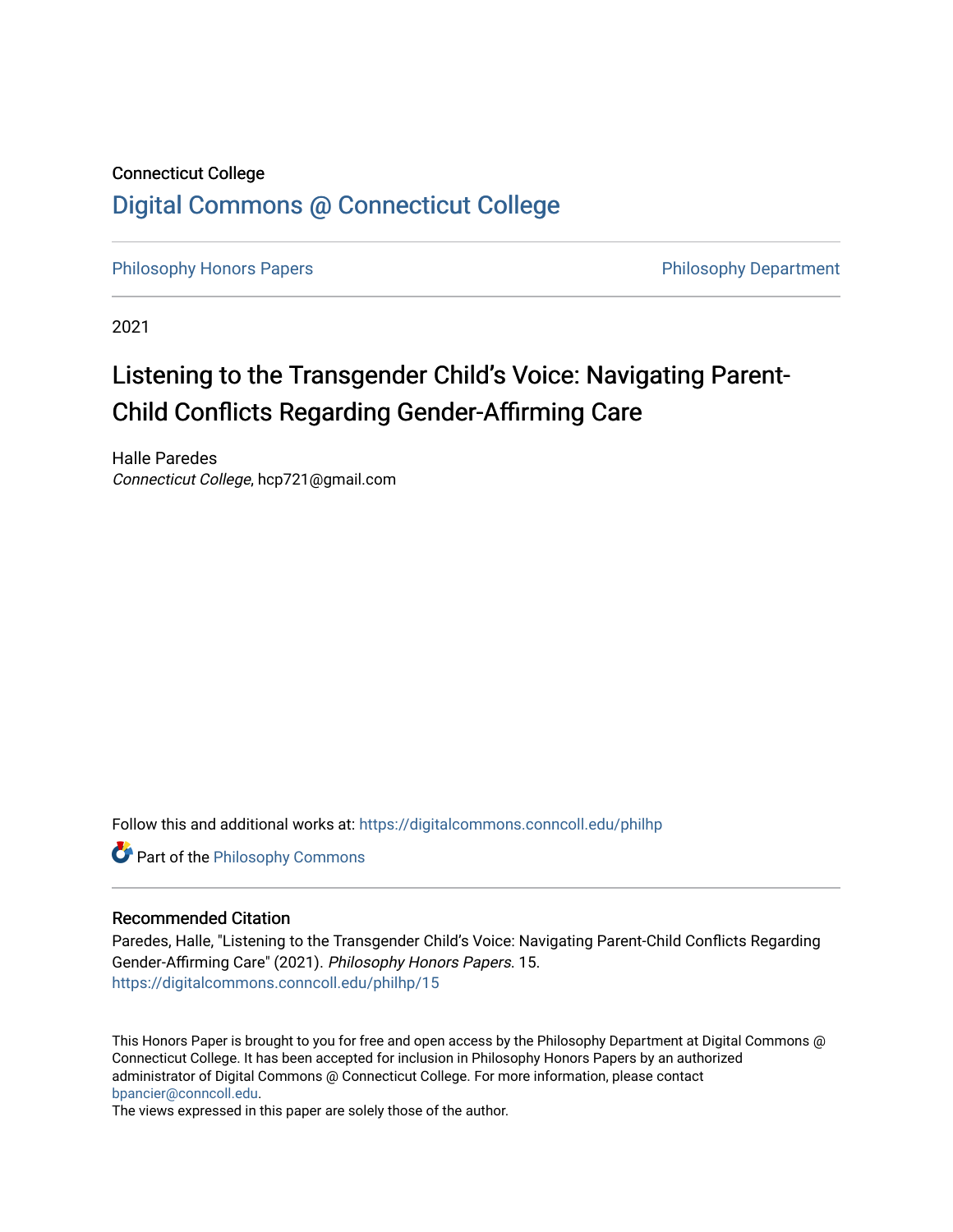## Connecticut College [Digital Commons @ Connecticut College](https://digitalcommons.conncoll.edu/)

[Philosophy Honors Papers](https://digitalcommons.conncoll.edu/philhp) **Philosophy Department** 

2021

# Listening to the Transgender Child's Voice: Navigating Parent-Child Conflicts Regarding Gender-Affirming Care

Halle Paredes Connecticut College, hcp721@gmail.com

Follow this and additional works at: [https://digitalcommons.conncoll.edu/philhp](https://digitalcommons.conncoll.edu/philhp?utm_source=digitalcommons.conncoll.edu%2Fphilhp%2F15&utm_medium=PDF&utm_campaign=PDFCoverPages) 

**Part of the Philosophy Commons** 

#### Recommended Citation

Paredes, Halle, "Listening to the Transgender Child's Voice: Navigating Parent-Child Conflicts Regarding Gender-Affirming Care" (2021). Philosophy Honors Papers. 15. [https://digitalcommons.conncoll.edu/philhp/15](https://digitalcommons.conncoll.edu/philhp/15?utm_source=digitalcommons.conncoll.edu%2Fphilhp%2F15&utm_medium=PDF&utm_campaign=PDFCoverPages)

This Honors Paper is brought to you for free and open access by the Philosophy Department at Digital Commons @ Connecticut College. It has been accepted for inclusion in Philosophy Honors Papers by an authorized administrator of Digital Commons @ Connecticut College. For more information, please contact [bpancier@conncoll.edu.](mailto:bpancier@conncoll.edu)

The views expressed in this paper are solely those of the author.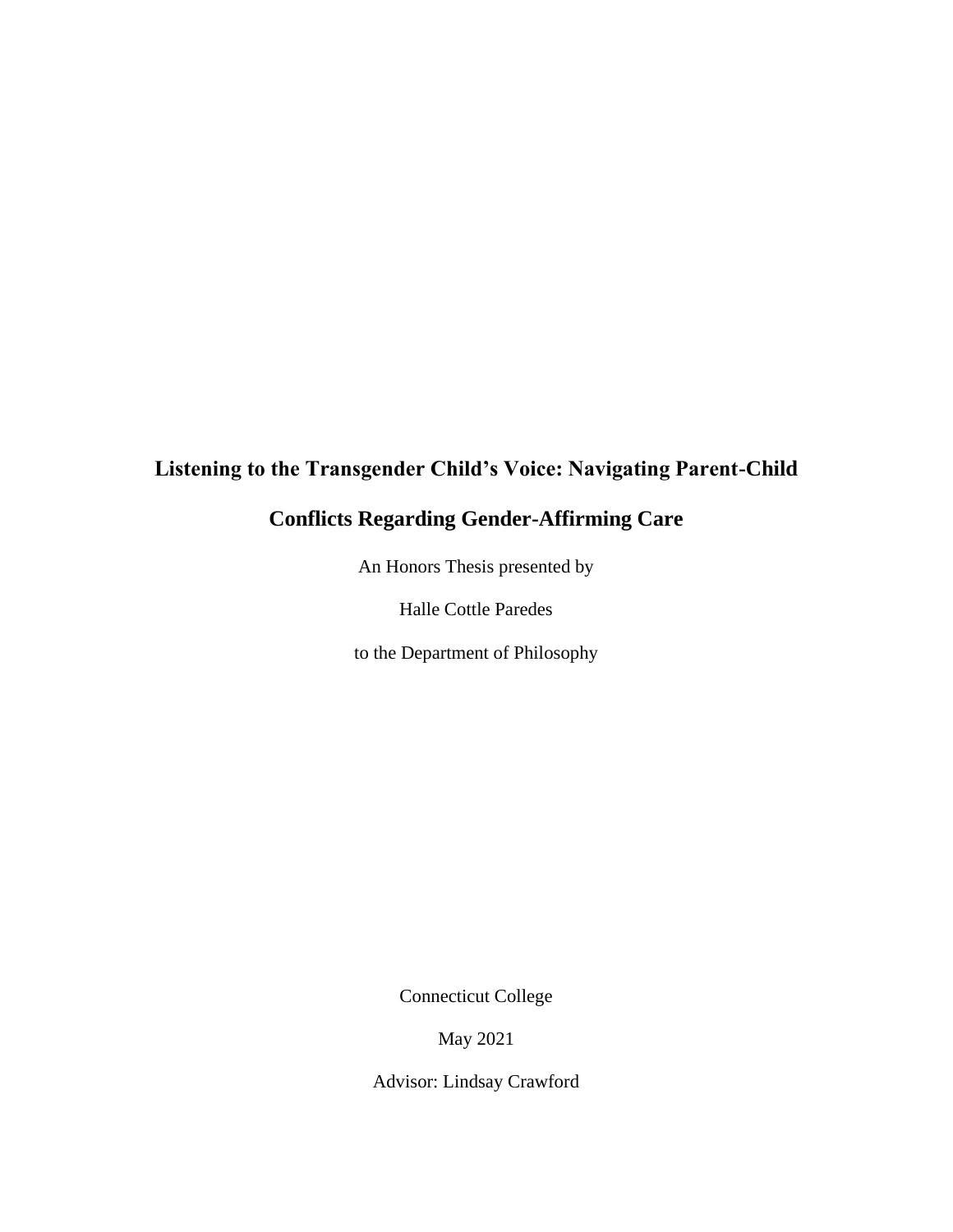## **Listening to the Transgender Child's Voice: Navigating Parent-Child**

## **Conflicts Regarding Gender-Affirming Care**

An Honors Thesis presented by

Halle Cottle Paredes

to the Department of Philosophy

Connecticut College

May 2021

Advisor: Lindsay Crawford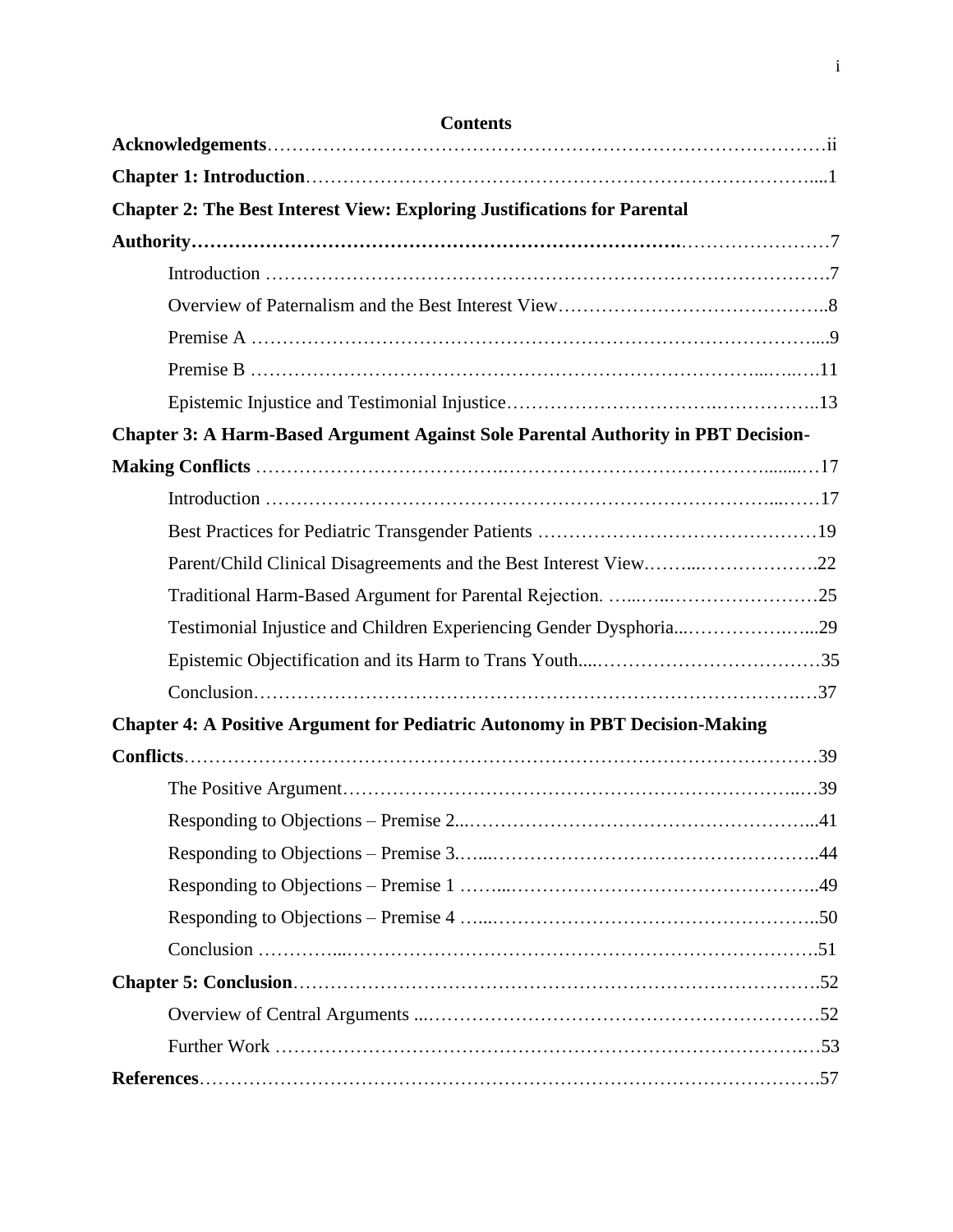| <b>Contents</b>                                                                          |  |
|------------------------------------------------------------------------------------------|--|
|                                                                                          |  |
|                                                                                          |  |
| <b>Chapter 2: The Best Interest View: Exploring Justifications for Parental</b>          |  |
|                                                                                          |  |
|                                                                                          |  |
|                                                                                          |  |
|                                                                                          |  |
|                                                                                          |  |
|                                                                                          |  |
| <b>Chapter 3: A Harm-Based Argument Against Sole Parental Authority in PBT Decision-</b> |  |
|                                                                                          |  |
|                                                                                          |  |
|                                                                                          |  |
|                                                                                          |  |
|                                                                                          |  |
| Testimonial Injustice and Children Experiencing Gender Dysphoria29                       |  |
|                                                                                          |  |
|                                                                                          |  |
| <b>Chapter 4: A Positive Argument for Pediatric Autonomy in PBT Decision-Making</b>      |  |
|                                                                                          |  |
|                                                                                          |  |
|                                                                                          |  |
|                                                                                          |  |
|                                                                                          |  |
|                                                                                          |  |
|                                                                                          |  |
|                                                                                          |  |
|                                                                                          |  |
|                                                                                          |  |
|                                                                                          |  |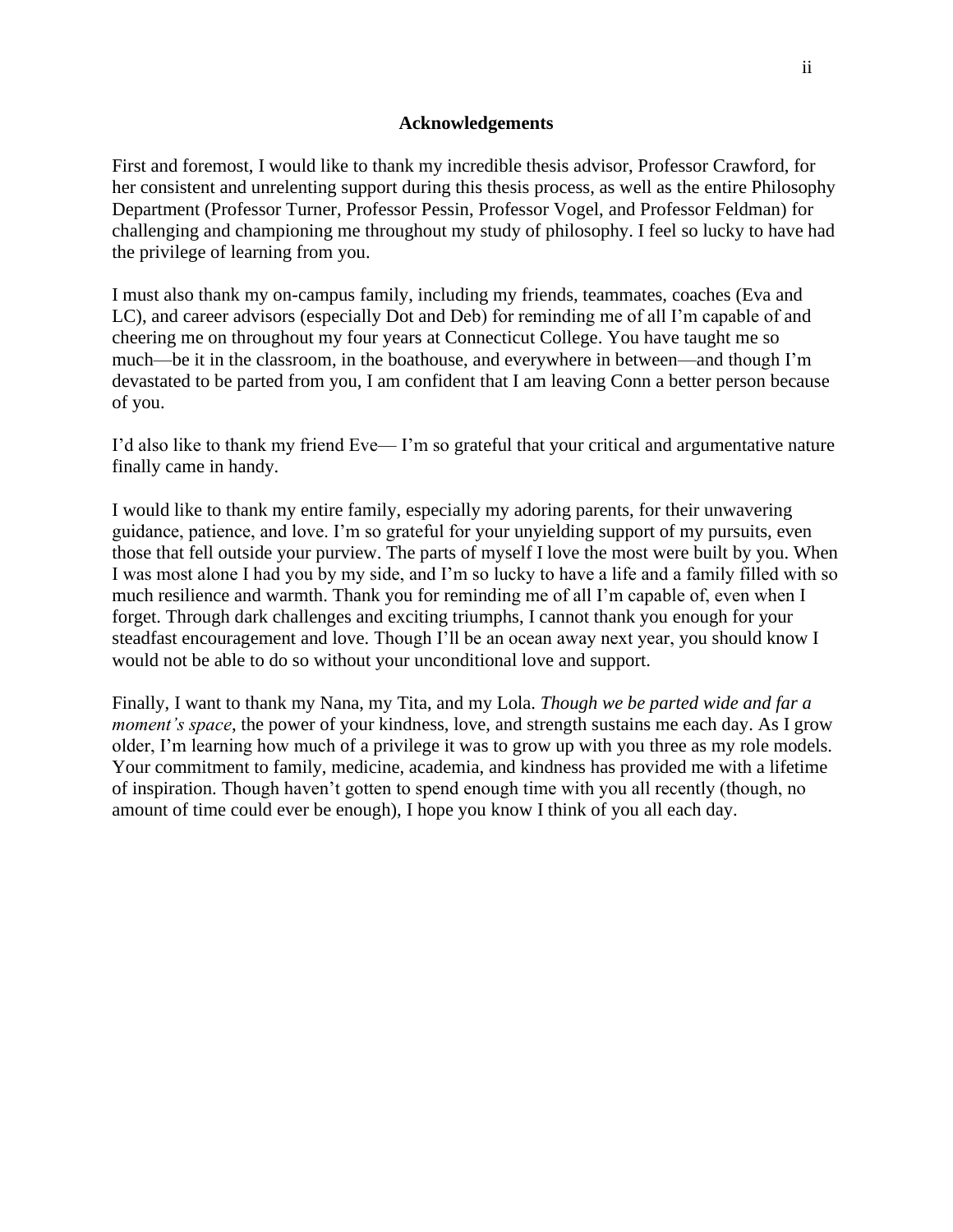#### **Acknowledgements**

First and foremost, I would like to thank my incredible thesis advisor, Professor Crawford, for her consistent and unrelenting support during this thesis process, as well as the entire Philosophy Department (Professor Turner, Professor Pessin, Professor Vogel, and Professor Feldman) for challenging and championing me throughout my study of philosophy. I feel so lucky to have had the privilege of learning from you.

I must also thank my on-campus family, including my friends, teammates, coaches (Eva and LC), and career advisors (especially Dot and Deb) for reminding me of all I'm capable of and cheering me on throughout my four years at Connecticut College. You have taught me so much—be it in the classroom, in the boathouse, and everywhere in between—and though I'm devastated to be parted from you, I am confident that I am leaving Conn a better person because of you.

I'd also like to thank my friend Eve— I'm so grateful that your critical and argumentative nature finally came in handy.

I would like to thank my entire family, especially my adoring parents, for their unwavering guidance, patience, and love. I'm so grateful for your unyielding support of my pursuits, even those that fell outside your purview. The parts of myself I love the most were built by you. When I was most alone I had you by my side, and I'm so lucky to have a life and a family filled with so much resilience and warmth. Thank you for reminding me of all I'm capable of, even when I forget. Through dark challenges and exciting triumphs, I cannot thank you enough for your steadfast encouragement and love. Though I'll be an ocean away next year, you should know I would not be able to do so without your unconditional love and support.

Finally, I want to thank my Nana, my Tita, and my Lola. *Though we be parted wide and far a moment's space*, the power of your kindness, love, and strength sustains me each day. As I grow older, I'm learning how much of a privilege it was to grow up with you three as my role models. Your commitment to family, medicine, academia, and kindness has provided me with a lifetime of inspiration. Though haven't gotten to spend enough time with you all recently (though, no amount of time could ever be enough), I hope you know I think of you all each day.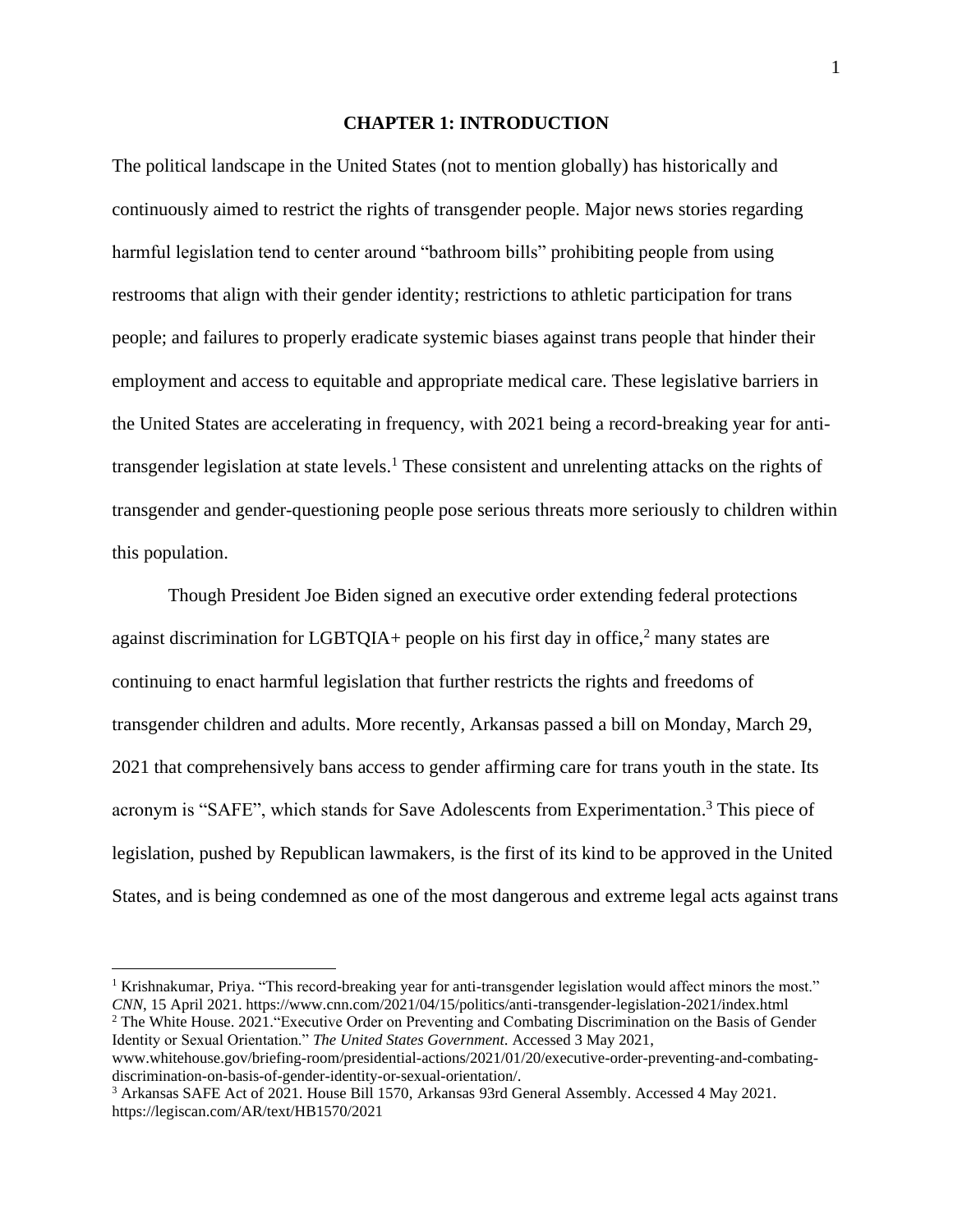#### **CHAPTER 1: INTRODUCTION**

The political landscape in the United States (not to mention globally) has historically and continuously aimed to restrict the rights of transgender people. Major news stories regarding harmful legislation tend to center around "bathroom bills" prohibiting people from using restrooms that align with their gender identity; restrictions to athletic participation for trans people; and failures to properly eradicate systemic biases against trans people that hinder their employment and access to equitable and appropriate medical care. These legislative barriers in the United States are accelerating in frequency, with 2021 being a record-breaking year for antitransgender legislation at state levels.<sup>1</sup> These consistent and unrelenting attacks on the rights of transgender and gender-questioning people pose serious threats more seriously to children within this population.

Though President Joe Biden signed an executive order extending federal protections against discrimination for LGBTQIA+ people on his first day in office, $2$  many states are continuing to enact harmful legislation that further restricts the rights and freedoms of transgender children and adults. More recently, Arkansas passed a bill on Monday, March 29, 2021 that comprehensively bans access to gender affirming care for trans youth in the state. Its acronym is "SAFE", which stands for Save Adolescents from Experimentation.<sup>3</sup> This piece of legislation, pushed by Republican lawmakers, is the first of its kind to be approved in the United States, and is being condemned as one of the most dangerous and extreme legal acts against trans

<sup>&</sup>lt;sup>1</sup> Krishnakumar, Priya. "This record-breaking year for anti-transgender legislation would affect minors the most." *CNN*, 15 April 2021. https://www.cnn.com/2021/04/15/politics/anti-transgender-legislation-2021/index.html

<sup>2</sup> The White House. 2021."Executive Order on Preventing and Combating Discrimination on the Basis of Gender Identity or Sexual Orientation." *The United States Government*. Accessed 3 May 2021,

www.whitehouse.gov/briefing-room/presidential-actions/2021/01/20/executive-order-preventing-and-combatingdiscrimination-on-basis-of-gender-identity-or-sexual-orientation/.

<sup>3</sup> Arkansas SAFE Act of 2021. House Bill 1570, Arkansas 93rd General Assembly. Accessed 4 May 2021. https://legiscan.com/AR/text/HB1570/2021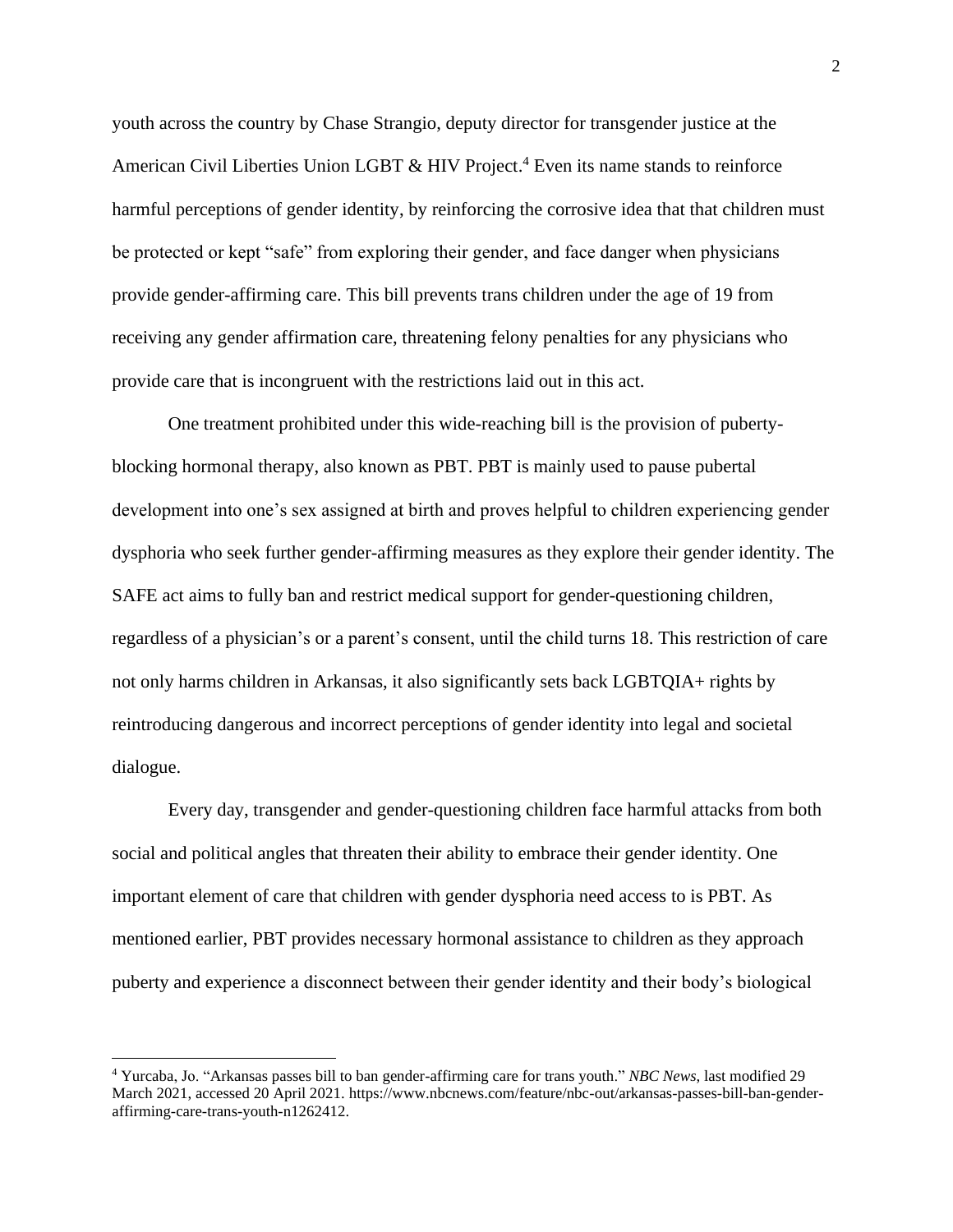youth across the country by Chase Strangio, deputy director for transgender justice at the American Civil Liberties Union LGBT & HIV Project.<sup>4</sup> Even its name stands to reinforce harmful perceptions of gender identity, by reinforcing the corrosive idea that that children must be protected or kept "safe" from exploring their gender, and face danger when physicians provide gender-affirming care. This bill prevents trans children under the age of 19 from receiving any gender affirmation care, threatening felony penalties for any physicians who provide care that is incongruent with the restrictions laid out in this act.

One treatment prohibited under this wide-reaching bill is the provision of pubertyblocking hormonal therapy, also known as PBT. PBT is mainly used to pause pubertal development into one's sex assigned at birth and proves helpful to children experiencing gender dysphoria who seek further gender-affirming measures as they explore their gender identity. The SAFE act aims to fully ban and restrict medical support for gender-questioning children, regardless of a physician's or a parent's consent, until the child turns 18. This restriction of care not only harms children in Arkansas, it also significantly sets back LGBTQIA+ rights by reintroducing dangerous and incorrect perceptions of gender identity into legal and societal dialogue.

Every day, transgender and gender-questioning children face harmful attacks from both social and political angles that threaten their ability to embrace their gender identity. One important element of care that children with gender dysphoria need access to is PBT. As mentioned earlier, PBT provides necessary hormonal assistance to children as they approach puberty and experience a disconnect between their gender identity and their body's biological

<sup>4</sup> Yurcaba, Jo. "Arkansas passes bill to ban gender-affirming care for trans youth." *NBC News*, last modified 29 March 2021, accessed 20 April 2021. https://www.nbcnews.com/feature/nbc-out/arkansas-passes-bill-ban-genderaffirming-care-trans-youth-n1262412.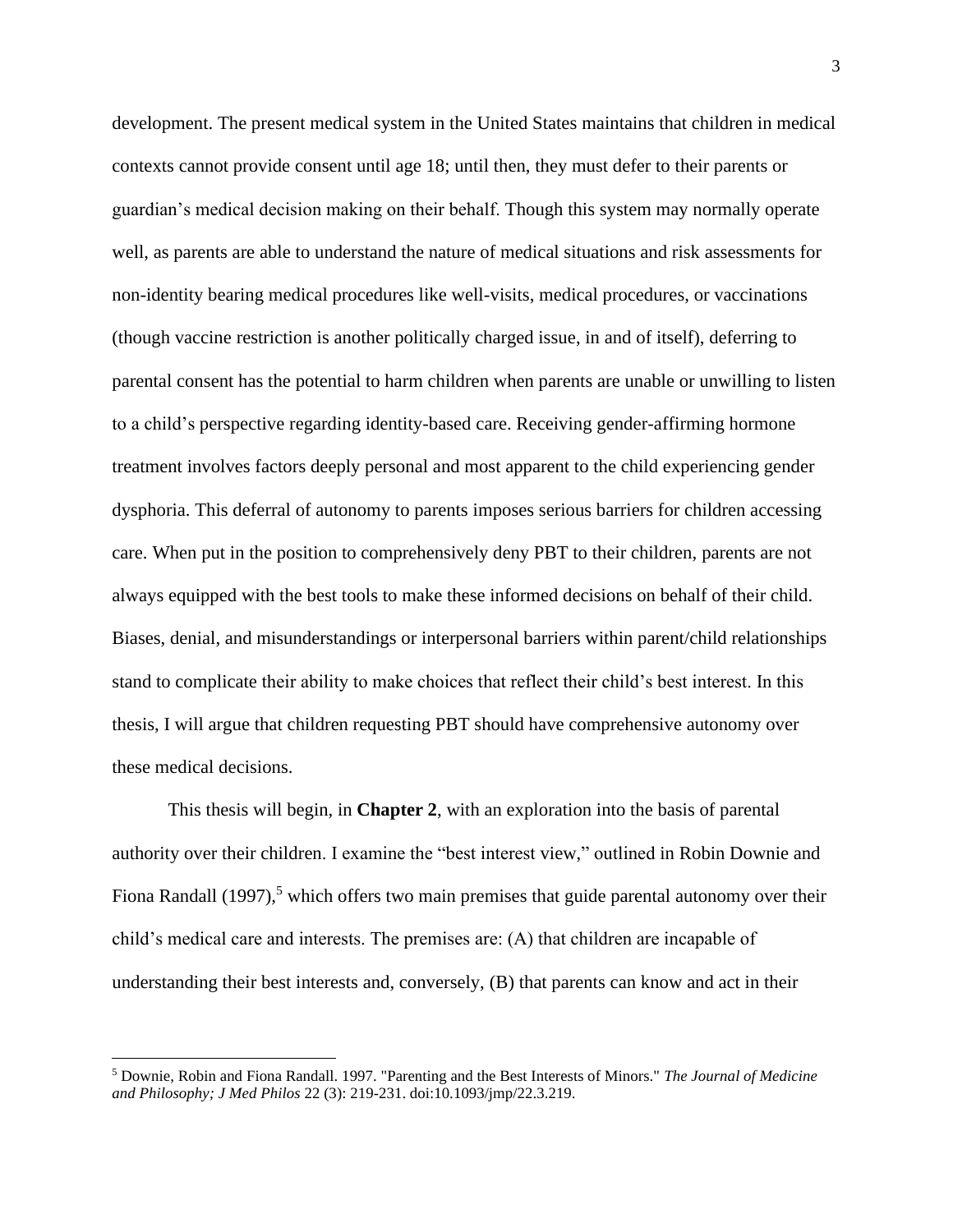development. The present medical system in the United States maintains that children in medical contexts cannot provide consent until age 18; until then, they must defer to their parents or guardian's medical decision making on their behalf. Though this system may normally operate well, as parents are able to understand the nature of medical situations and risk assessments for non-identity bearing medical procedures like well-visits, medical procedures, or vaccinations (though vaccine restriction is another politically charged issue, in and of itself), deferring to parental consent has the potential to harm children when parents are unable or unwilling to listen to a child's perspective regarding identity-based care. Receiving gender-affirming hormone treatment involves factors deeply personal and most apparent to the child experiencing gender dysphoria. This deferral of autonomy to parents imposes serious barriers for children accessing care. When put in the position to comprehensively deny PBT to their children, parents are not always equipped with the best tools to make these informed decisions on behalf of their child. Biases, denial, and misunderstandings or interpersonal barriers within parent/child relationships stand to complicate their ability to make choices that reflect their child's best interest. In this thesis, I will argue that children requesting PBT should have comprehensive autonomy over these medical decisions.

This thesis will begin, in **Chapter 2**, with an exploration into the basis of parental authority over their children. I examine the "best interest view," outlined in Robin Downie and Fiona Randall (1997)*,* <sup>5</sup> which offers two main premises that guide parental autonomy over their child's medical care and interests. The premises are: (A) that children are incapable of understanding their best interests and, conversely, (B) that parents can know and act in their

<sup>5</sup> Downie, Robin and Fiona Randall. 1997. "Parenting and the Best Interests of Minors." *The Journal of Medicine and Philosophy; J Med Philos* 22 (3): 219-231. doi:10.1093/jmp/22.3.219.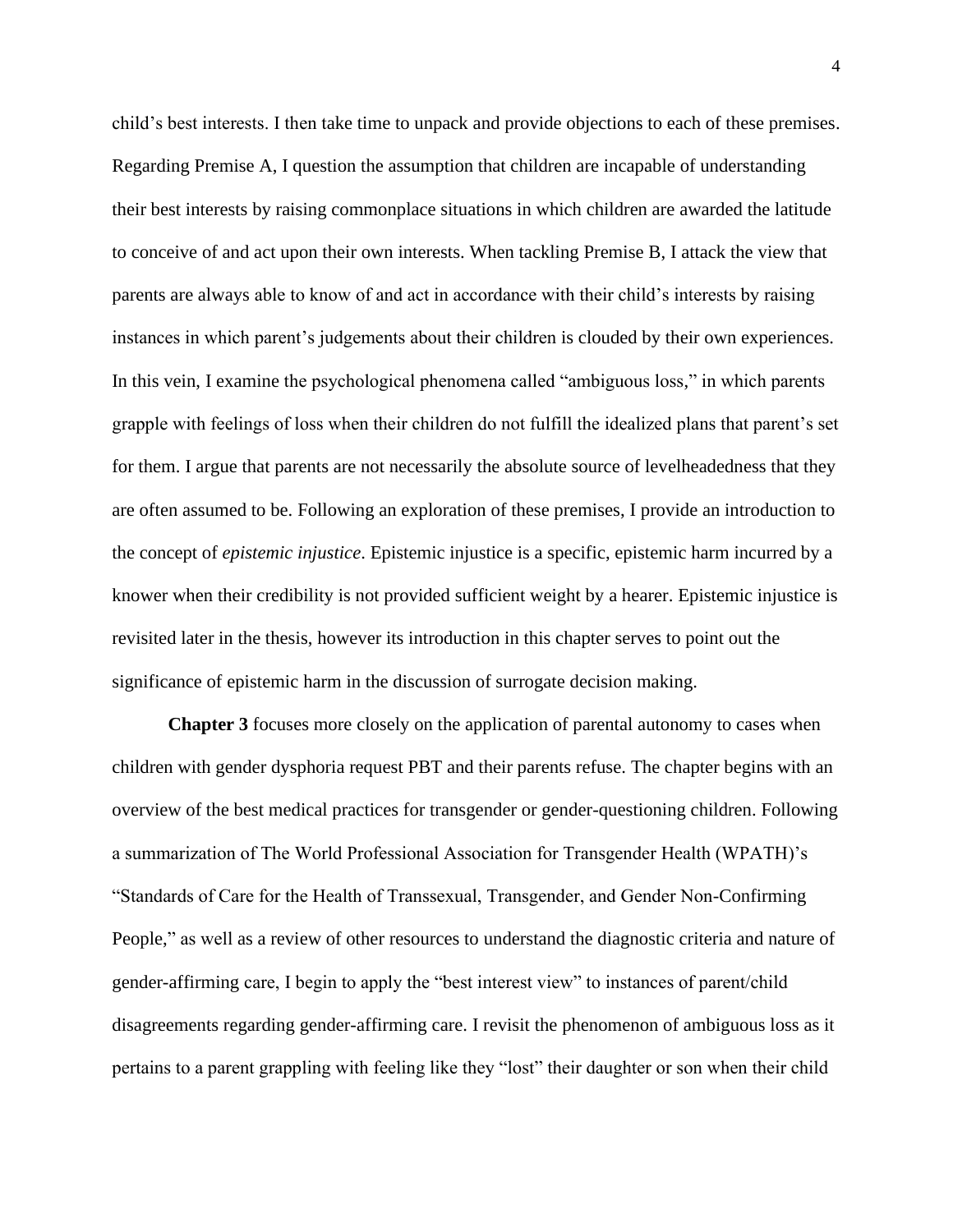child's best interests. I then take time to unpack and provide objections to each of these premises. Regarding Premise A, I question the assumption that children are incapable of understanding their best interests by raising commonplace situations in which children are awarded the latitude to conceive of and act upon their own interests. When tackling Premise B, I attack the view that parents are always able to know of and act in accordance with their child's interests by raising instances in which parent's judgements about their children is clouded by their own experiences. In this vein, I examine the psychological phenomena called "ambiguous loss," in which parents grapple with feelings of loss when their children do not fulfill the idealized plans that parent's set for them. I argue that parents are not necessarily the absolute source of levelheadedness that they are often assumed to be. Following an exploration of these premises, I provide an introduction to the concept of *epistemic injustice*. Epistemic injustice is a specific, epistemic harm incurred by a knower when their credibility is not provided sufficient weight by a hearer. Epistemic injustice is revisited later in the thesis, however its introduction in this chapter serves to point out the significance of epistemic harm in the discussion of surrogate decision making.

**Chapter 3** focuses more closely on the application of parental autonomy to cases when children with gender dysphoria request PBT and their parents refuse. The chapter begins with an overview of the best medical practices for transgender or gender-questioning children. Following a summarization of The World Professional Association for Transgender Health (WPATH)'s "Standards of Care for the Health of Transsexual, Transgender, and Gender Non-Confirming People," as well as a review of other resources to understand the diagnostic criteria and nature of gender-affirming care, I begin to apply the "best interest view" to instances of parent/child disagreements regarding gender-affirming care. I revisit the phenomenon of ambiguous loss as it pertains to a parent grappling with feeling like they "lost" their daughter or son when their child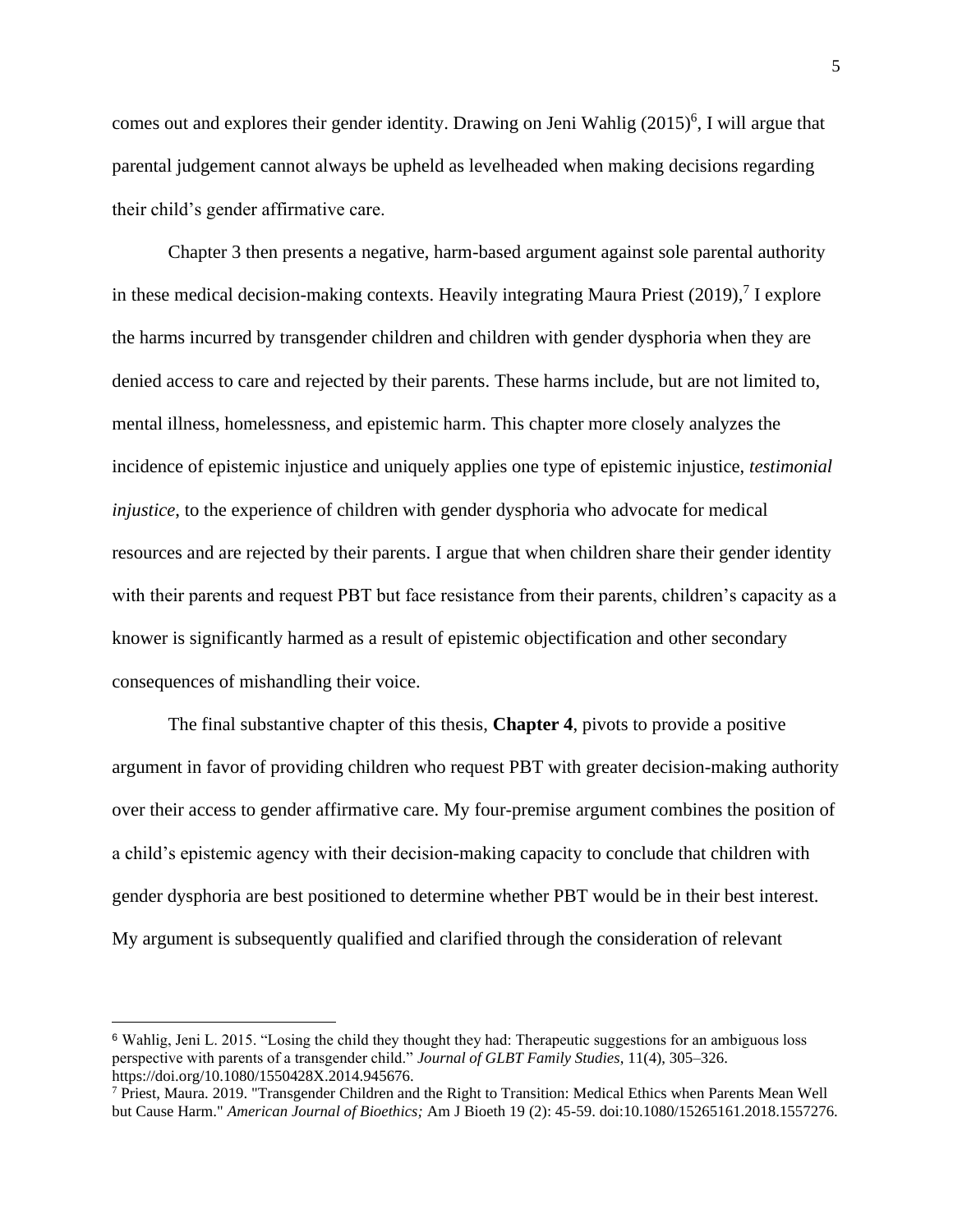comes out and explores their gender identity. Drawing on Jeni Wahlig (2015)<sup>6</sup>, I will argue that parental judgement cannot always be upheld as levelheaded when making decisions regarding their child's gender affirmative care.

Chapter 3 then presents a negative, harm-based argument against sole parental authority in these medical decision-making contexts. Heavily integrating Maura Priest (2019)*,* 7 I explore the harms incurred by transgender children and children with gender dysphoria when they are denied access to care and rejected by their parents. These harms include, but are not limited to, mental illness, homelessness, and epistemic harm. This chapter more closely analyzes the incidence of epistemic injustice and uniquely applies one type of epistemic injustice, *testimonial injustice*, to the experience of children with gender dysphoria who advocate for medical resources and are rejected by their parents. I argue that when children share their gender identity with their parents and request PBT but face resistance from their parents, children's capacity as a knower is significantly harmed as a result of epistemic objectification and other secondary consequences of mishandling their voice.

The final substantive chapter of this thesis, **Chapter 4**, pivots to provide a positive argument in favor of providing children who request PBT with greater decision-making authority over their access to gender affirmative care. My four-premise argument combines the position of a child's epistemic agency with their decision-making capacity to conclude that children with gender dysphoria are best positioned to determine whether PBT would be in their best interest. My argument is subsequently qualified and clarified through the consideration of relevant

<sup>6</sup> Wahlig, Jeni L. 2015. "Losing the child they thought they had: Therapeutic suggestions for an ambiguous loss perspective with parents of a transgender child." *Journal of GLBT Family Studies*, 11(4), 305–326. https://doi.org/10.1080/1550428X.2014.945676.

 $7$  Priest, Maura. 2019. "Transgender Children and the Right to Transition: Medical Ethics when Parents Mean Well but Cause Harm." *American Journal of Bioethics;* Am J Bioeth 19 (2): 45-59. doi:10.1080/15265161.2018.1557276.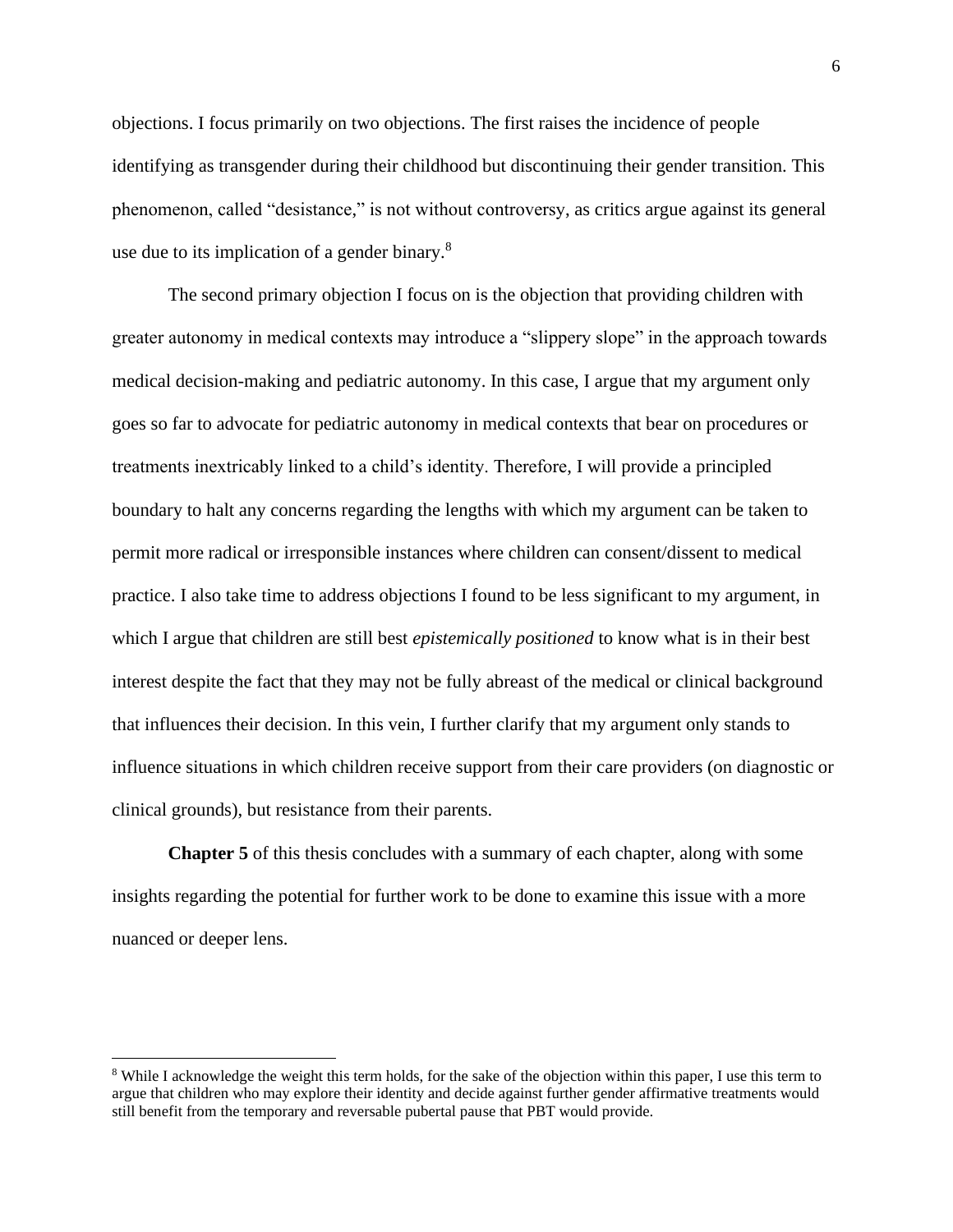objections. I focus primarily on two objections. The first raises the incidence of people identifying as transgender during their childhood but discontinuing their gender transition. This phenomenon, called "desistance," is not without controversy, as critics argue against its general use due to its implication of a gender binary. $8$ 

The second primary objection I focus on is the objection that providing children with greater autonomy in medical contexts may introduce a "slippery slope" in the approach towards medical decision-making and pediatric autonomy. In this case, I argue that my argument only goes so far to advocate for pediatric autonomy in medical contexts that bear on procedures or treatments inextricably linked to a child's identity. Therefore, I will provide a principled boundary to halt any concerns regarding the lengths with which my argument can be taken to permit more radical or irresponsible instances where children can consent/dissent to medical practice. I also take time to address objections I found to be less significant to my argument, in which I argue that children are still best *epistemically positioned* to know what is in their best interest despite the fact that they may not be fully abreast of the medical or clinical background that influences their decision. In this vein, I further clarify that my argument only stands to influence situations in which children receive support from their care providers (on diagnostic or clinical grounds), but resistance from their parents.

**Chapter 5** of this thesis concludes with a summary of each chapter, along with some insights regarding the potential for further work to be done to examine this issue with a more nuanced or deeper lens.

<sup>8</sup> While I acknowledge the weight this term holds, for the sake of the objection within this paper, I use this term to argue that children who may explore their identity and decide against further gender affirmative treatments would still benefit from the temporary and reversable pubertal pause that PBT would provide.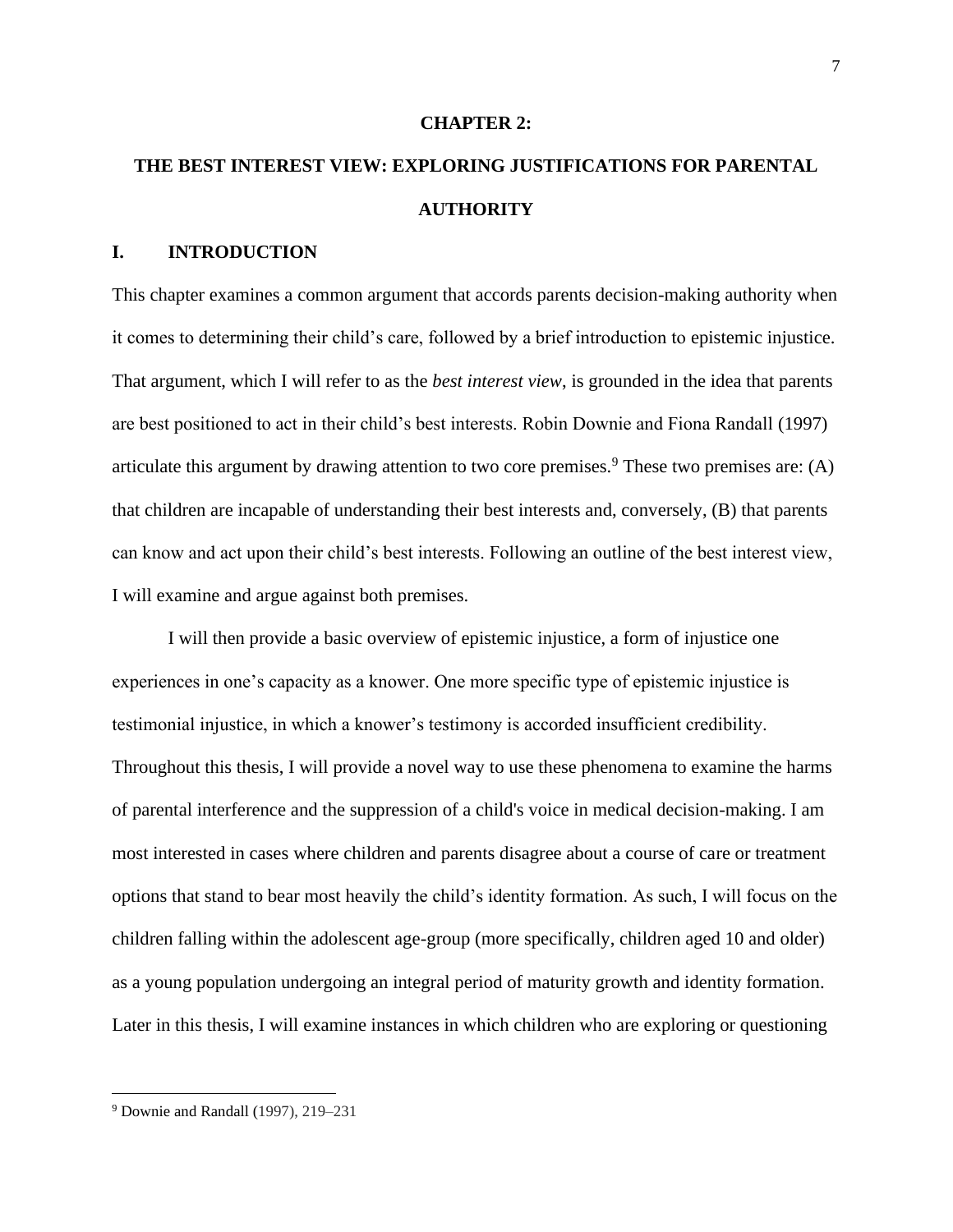#### **CHAPTER 2:**

# **THE BEST INTEREST VIEW: EXPLORING JUSTIFICATIONS FOR PARENTAL AUTHORITY**

### **I. INTRODUCTION**

This chapter examines a common argument that accords parents decision-making authority when it comes to determining their child's care, followed by a brief introduction to epistemic injustice. That argument, which I will refer to as the *best interest view*, is grounded in the idea that parents are best positioned to act in their child's best interests. Robin Downie and Fiona Randall (1997) articulate this argument by drawing attention to two core premises.<sup>9</sup> These two premises are: (A) that children are incapable of understanding their best interests and, conversely, (B) that parents can know and act upon their child's best interests. Following an outline of the best interest view, I will examine and argue against both premises.

I will then provide a basic overview of epistemic injustice, a form of injustice one experiences in one's capacity as a knower. One more specific type of epistemic injustice is testimonial injustice, in which a knower's testimony is accorded insufficient credibility. Throughout this thesis, I will provide a novel way to use these phenomena to examine the harms of parental interference and the suppression of a child's voice in medical decision-making. I am most interested in cases where children and parents disagree about a course of care or treatment options that stand to bear most heavily the child's identity formation. As such, I will focus on the children falling within the adolescent age-group (more specifically, children aged 10 and older) as a young population undergoing an integral period of maturity growth and identity formation. Later in this thesis, I will examine instances in which children who are exploring or questioning

<sup>9</sup> Downie and Randall (1997), 219–231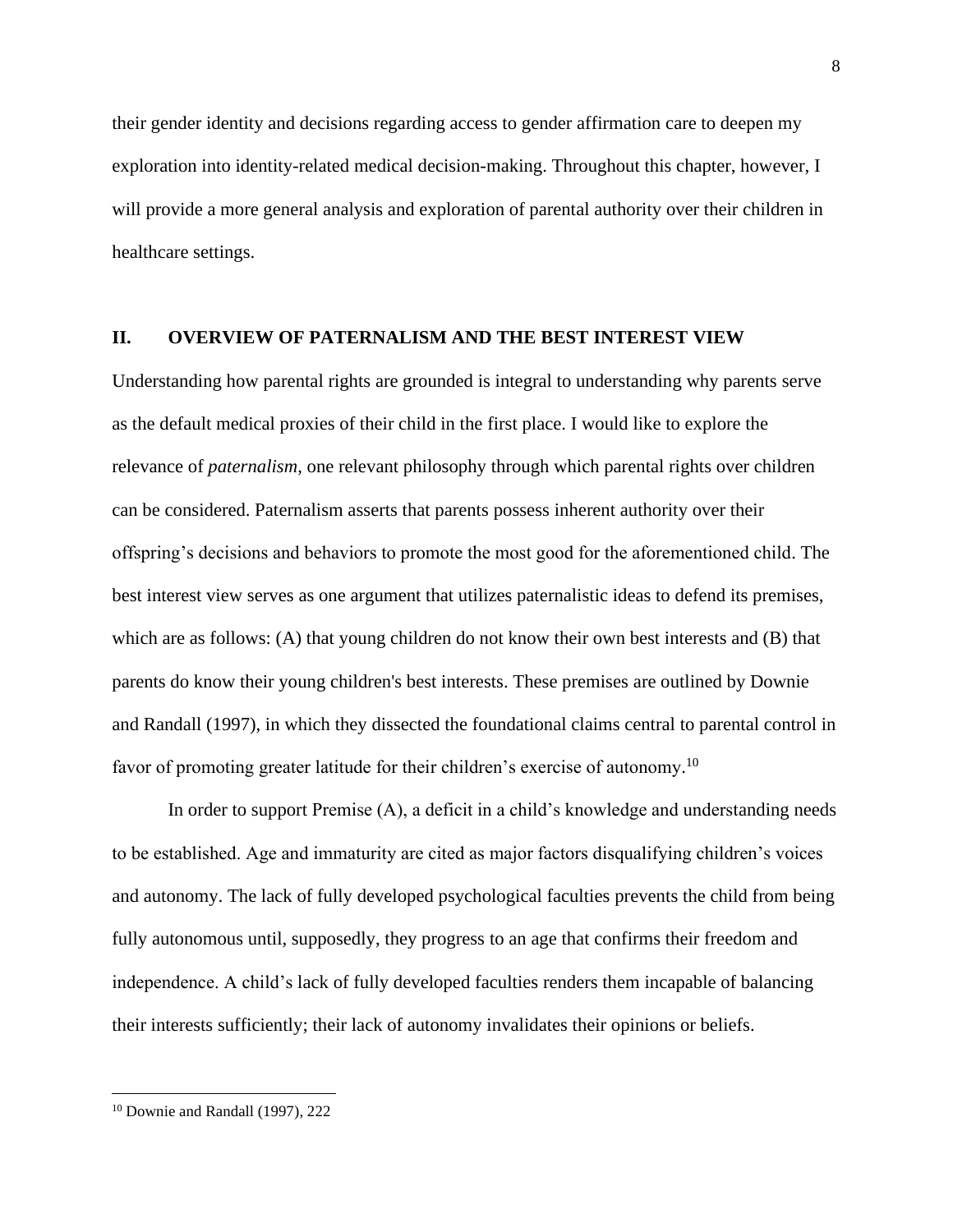their gender identity and decisions regarding access to gender affirmation care to deepen my exploration into identity-related medical decision-making. Throughout this chapter, however, I will provide a more general analysis and exploration of parental authority over their children in healthcare settings.

#### **II. OVERVIEW OF PATERNALISM AND THE BEST INTEREST VIEW**

Understanding how parental rights are grounded is integral to understanding why parents serve as the default medical proxies of their child in the first place. I would like to explore the relevance of *paternalism*, one relevant philosophy through which parental rights over children can be considered. Paternalism asserts that parents possess inherent authority over their offspring's decisions and behaviors to promote the most good for the aforementioned child. The best interest view serves as one argument that utilizes paternalistic ideas to defend its premises, which are as follows: (A) that young children do not know their own best interests and (B) that parents do know their young children's best interests. These premises are outlined by Downie and Randall (1997), in which they dissected the foundational claims central to parental control in favor of promoting greater latitude for their children's exercise of autonomy.<sup>10</sup>

In order to support Premise (A), a deficit in a child's knowledge and understanding needs to be established. Age and immaturity are cited as major factors disqualifying children's voices and autonomy. The lack of fully developed psychological faculties prevents the child from being fully autonomous until, supposedly, they progress to an age that confirms their freedom and independence. A child's lack of fully developed faculties renders them incapable of balancing their interests sufficiently; their lack of autonomy invalidates their opinions or beliefs.

<sup>10</sup> Downie and Randall (1997), 222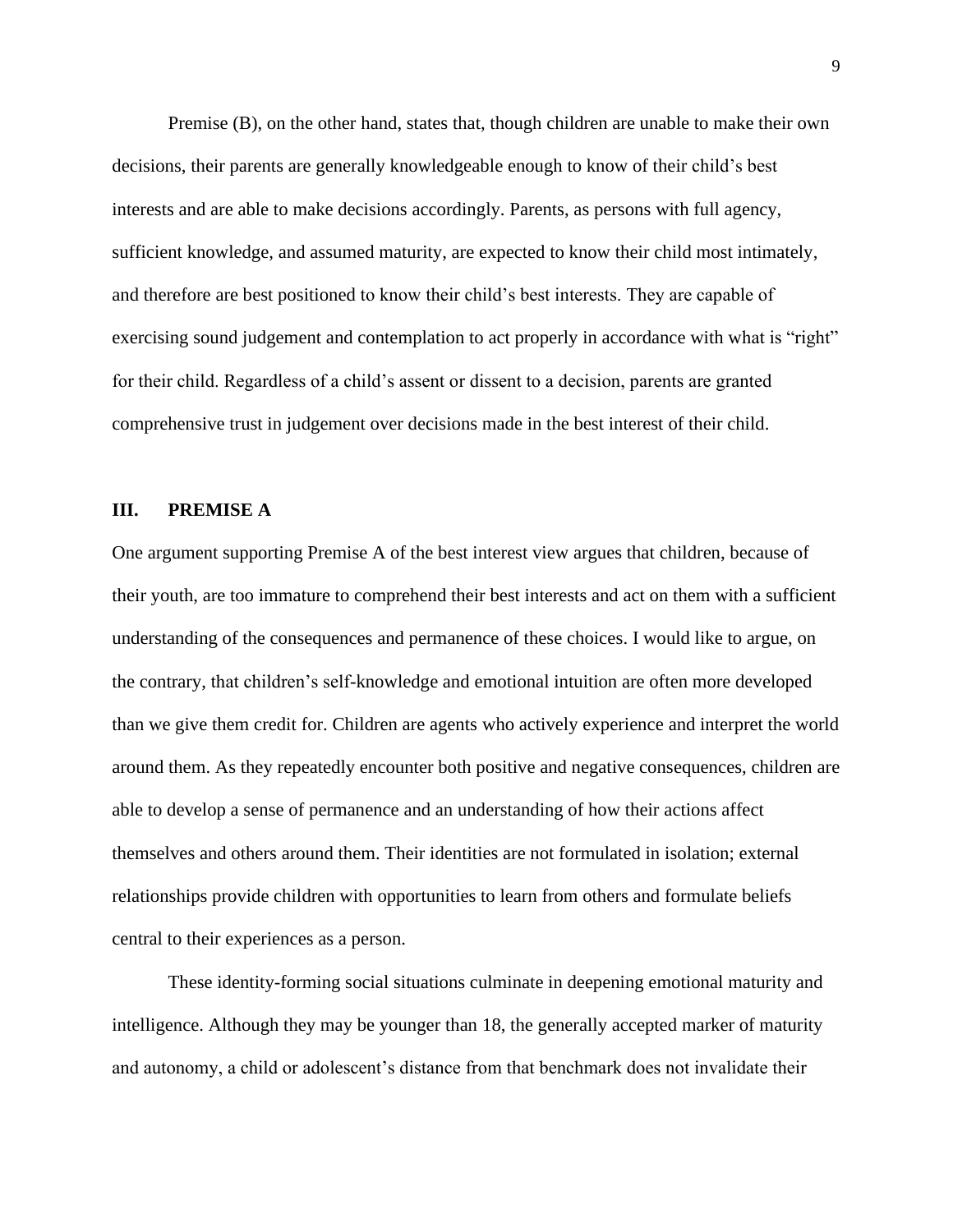Premise (B), on the other hand, states that, though children are unable to make their own decisions, their parents are generally knowledgeable enough to know of their child's best interests and are able to make decisions accordingly. Parents, as persons with full agency, sufficient knowledge, and assumed maturity, are expected to know their child most intimately, and therefore are best positioned to know their child's best interests. They are capable of exercising sound judgement and contemplation to act properly in accordance with what is "right" for their child. Regardless of a child's assent or dissent to a decision, parents are granted comprehensive trust in judgement over decisions made in the best interest of their child.

#### **III. PREMISE A**

One argument supporting Premise A of the best interest view argues that children, because of their youth, are too immature to comprehend their best interests and act on them with a sufficient understanding of the consequences and permanence of these choices. I would like to argue, on the contrary, that children's self-knowledge and emotional intuition are often more developed than we give them credit for. Children are agents who actively experience and interpret the world around them. As they repeatedly encounter both positive and negative consequences, children are able to develop a sense of permanence and an understanding of how their actions affect themselves and others around them. Their identities are not formulated in isolation; external relationships provide children with opportunities to learn from others and formulate beliefs central to their experiences as a person.

These identity-forming social situations culminate in deepening emotional maturity and intelligence. Although they may be younger than 18, the generally accepted marker of maturity and autonomy, a child or adolescent's distance from that benchmark does not invalidate their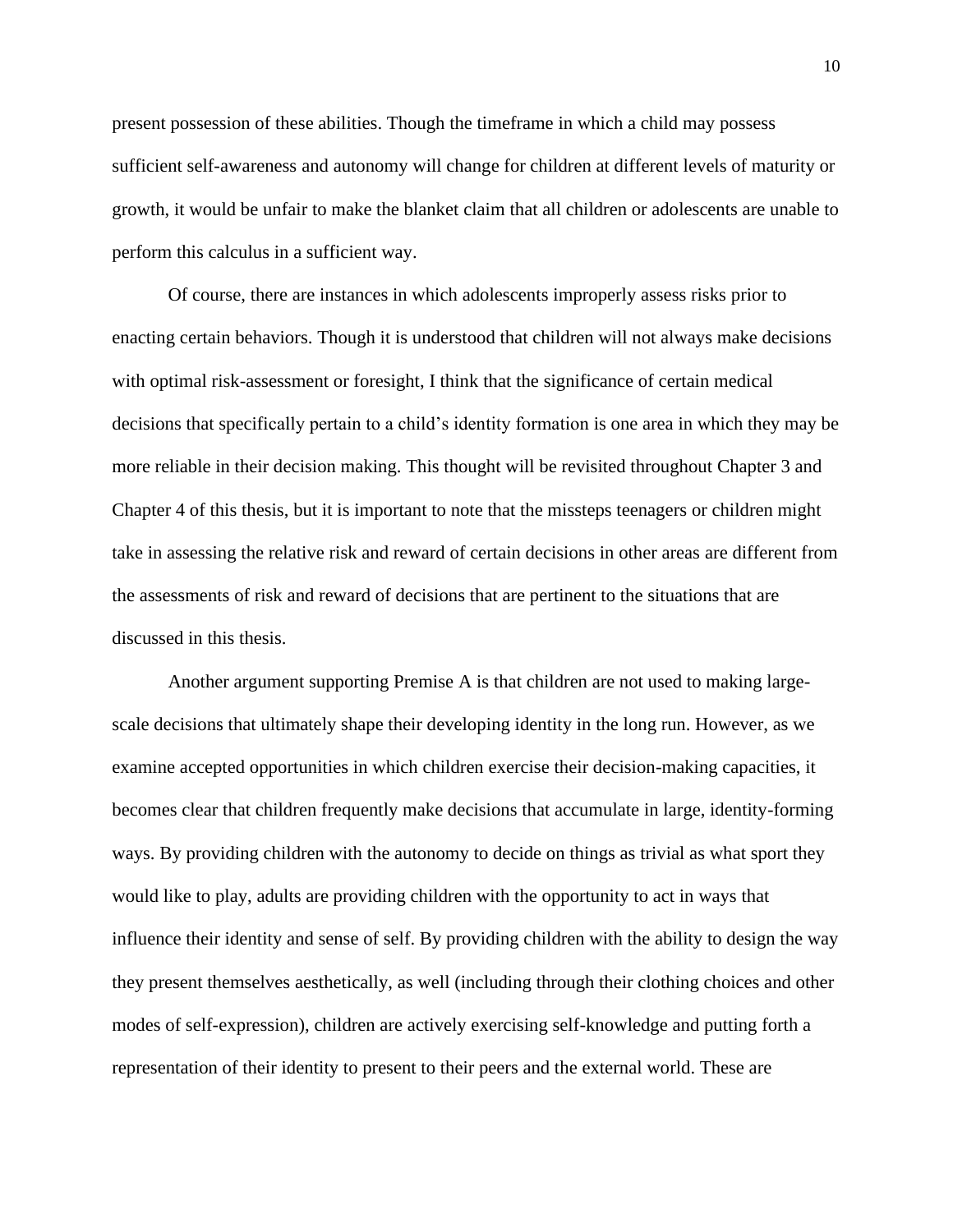present possession of these abilities. Though the timeframe in which a child may possess sufficient self-awareness and autonomy will change for children at different levels of maturity or growth, it would be unfair to make the blanket claim that all children or adolescents are unable to perform this calculus in a sufficient way.

Of course, there are instances in which adolescents improperly assess risks prior to enacting certain behaviors. Though it is understood that children will not always make decisions with optimal risk-assessment or foresight, I think that the significance of certain medical decisions that specifically pertain to a child's identity formation is one area in which they may be more reliable in their decision making. This thought will be revisited throughout Chapter 3 and Chapter 4 of this thesis, but it is important to note that the missteps teenagers or children might take in assessing the relative risk and reward of certain decisions in other areas are different from the assessments of risk and reward of decisions that are pertinent to the situations that are discussed in this thesis.

Another argument supporting Premise A is that children are not used to making largescale decisions that ultimately shape their developing identity in the long run. However, as we examine accepted opportunities in which children exercise their decision-making capacities, it becomes clear that children frequently make decisions that accumulate in large, identity-forming ways. By providing children with the autonomy to decide on things as trivial as what sport they would like to play, adults are providing children with the opportunity to act in ways that influence their identity and sense of self. By providing children with the ability to design the way they present themselves aesthetically, as well (including through their clothing choices and other modes of self-expression), children are actively exercising self-knowledge and putting forth a representation of their identity to present to their peers and the external world. These are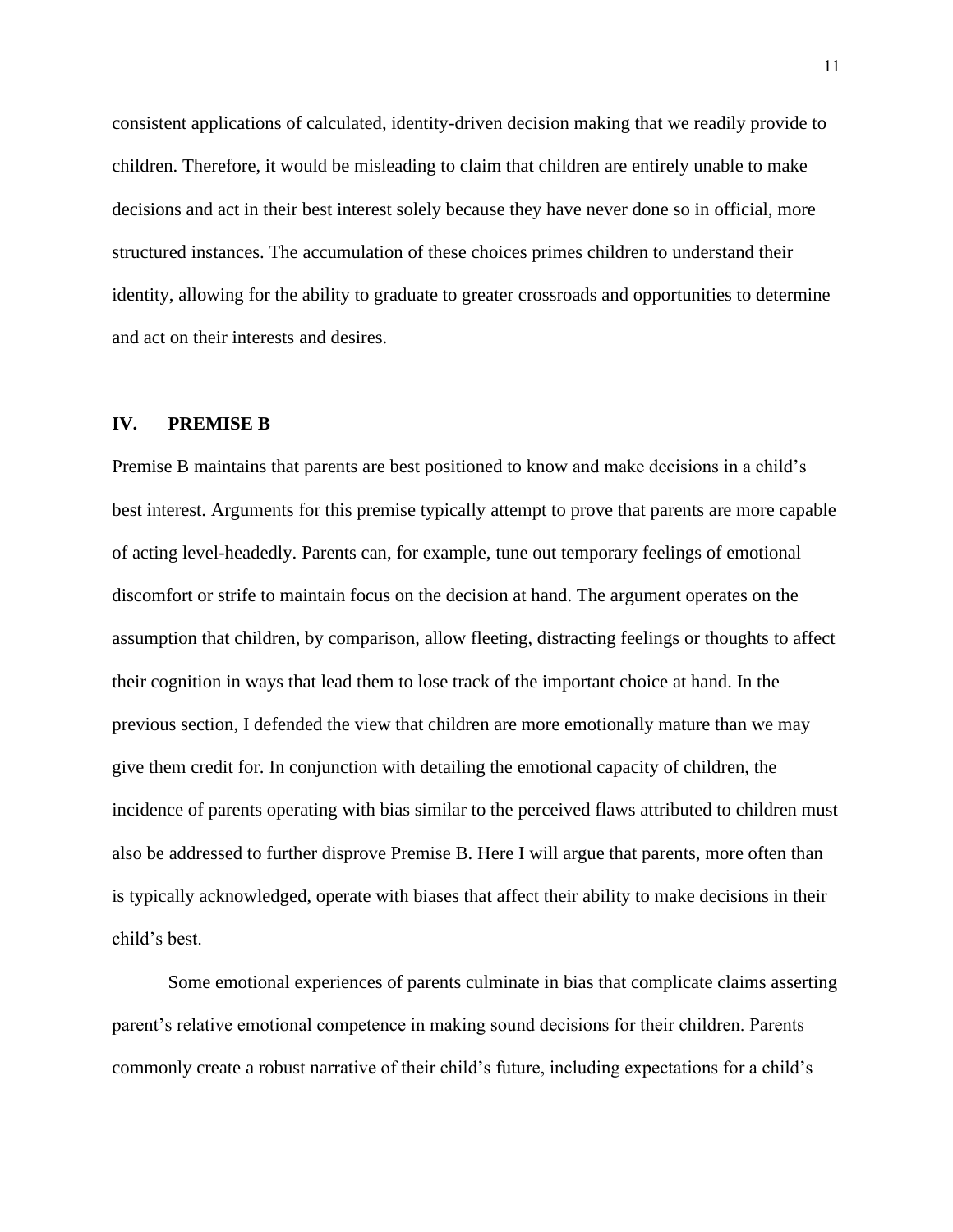consistent applications of calculated, identity-driven decision making that we readily provide to children. Therefore, it would be misleading to claim that children are entirely unable to make decisions and act in their best interest solely because they have never done so in official, more structured instances. The accumulation of these choices primes children to understand their identity, allowing for the ability to graduate to greater crossroads and opportunities to determine and act on their interests and desires.

#### **IV. PREMISE B**

Premise B maintains that parents are best positioned to know and make decisions in a child's best interest. Arguments for this premise typically attempt to prove that parents are more capable of acting level-headedly. Parents can, for example, tune out temporary feelings of emotional discomfort or strife to maintain focus on the decision at hand. The argument operates on the assumption that children, by comparison, allow fleeting, distracting feelings or thoughts to affect their cognition in ways that lead them to lose track of the important choice at hand. In the previous section, I defended the view that children are more emotionally mature than we may give them credit for. In conjunction with detailing the emotional capacity of children, the incidence of parents operating with bias similar to the perceived flaws attributed to children must also be addressed to further disprove Premise B. Here I will argue that parents, more often than is typically acknowledged, operate with biases that affect their ability to make decisions in their child's best.

Some emotional experiences of parents culminate in bias that complicate claims asserting parent's relative emotional competence in making sound decisions for their children. Parents commonly create a robust narrative of their child's future, including expectations for a child's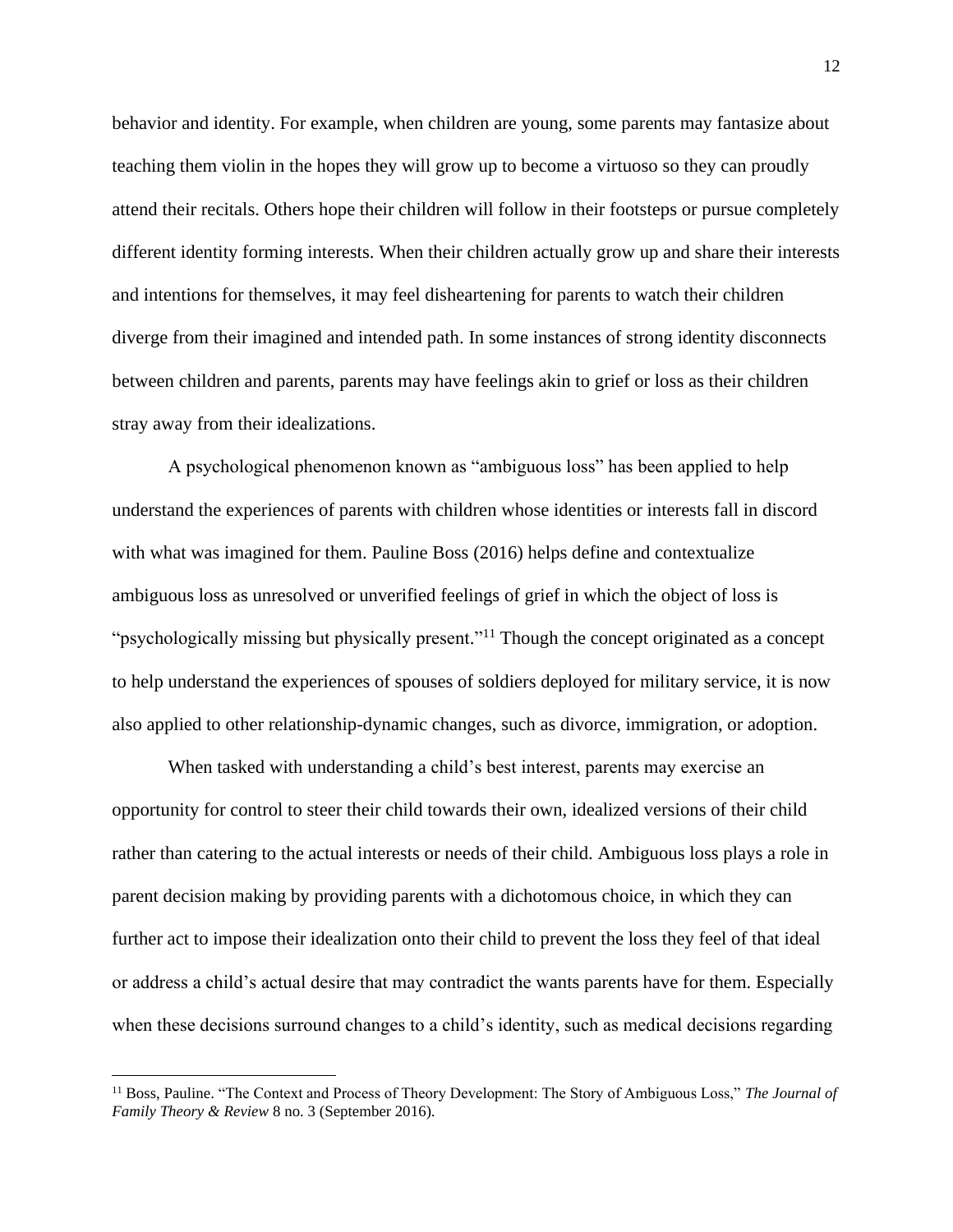behavior and identity. For example, when children are young, some parents may fantasize about teaching them violin in the hopes they will grow up to become a virtuoso so they can proudly attend their recitals. Others hope their children will follow in their footsteps or pursue completely different identity forming interests. When their children actually grow up and share their interests and intentions for themselves, it may feel disheartening for parents to watch their children diverge from their imagined and intended path. In some instances of strong identity disconnects between children and parents, parents may have feelings akin to grief or loss as their children stray away from their idealizations.

A psychological phenomenon known as "ambiguous loss" has been applied to help understand the experiences of parents with children whose identities or interests fall in discord with what was imagined for them. Pauline Boss (2016) helps define and contextualize ambiguous loss as unresolved or unverified feelings of grief in which the object of loss is "psychologically missing but physically present."<sup>11</sup> Though the concept originated as a concept to help understand the experiences of spouses of soldiers deployed for military service, it is now also applied to other relationship-dynamic changes, such as divorce, immigration, or adoption.

When tasked with understanding a child's best interest, parents may exercise an opportunity for control to steer their child towards their own, idealized versions of their child rather than catering to the actual interests or needs of their child. Ambiguous loss plays a role in parent decision making by providing parents with a dichotomous choice, in which they can further act to impose their idealization onto their child to prevent the loss they feel of that ideal or address a child's actual desire that may contradict the wants parents have for them. Especially when these decisions surround changes to a child's identity, such as medical decisions regarding

<sup>&</sup>lt;sup>11</sup> Boss, Pauline. "The Context and Process of Theory Development: The Story of Ambiguous Loss," The Journal of *Family Theory & Review* 8 no. 3 (September 2016).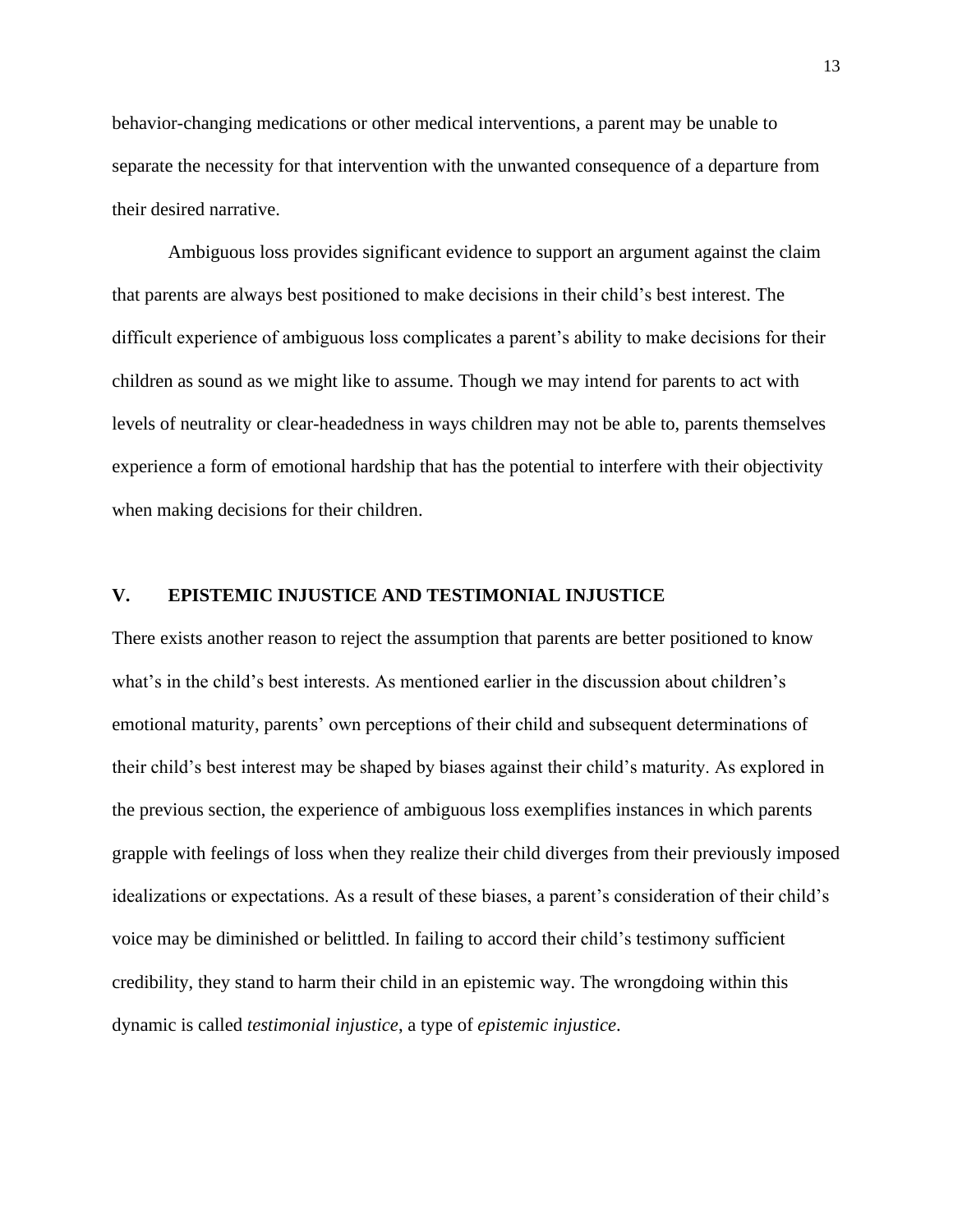behavior-changing medications or other medical interventions, a parent may be unable to separate the necessity for that intervention with the unwanted consequence of a departure from their desired narrative.

Ambiguous loss provides significant evidence to support an argument against the claim that parents are always best positioned to make decisions in their child's best interest. The difficult experience of ambiguous loss complicates a parent's ability to make decisions for their children as sound as we might like to assume. Though we may intend for parents to act with levels of neutrality or clear-headedness in ways children may not be able to, parents themselves experience a form of emotional hardship that has the potential to interfere with their objectivity when making decisions for their children.

#### **V. EPISTEMIC INJUSTICE AND TESTIMONIAL INJUSTICE**

There exists another reason to reject the assumption that parents are better positioned to know what's in the child's best interests. As mentioned earlier in the discussion about children's emotional maturity, parents' own perceptions of their child and subsequent determinations of their child's best interest may be shaped by biases against their child's maturity. As explored in the previous section, the experience of ambiguous loss exemplifies instances in which parents grapple with feelings of loss when they realize their child diverges from their previously imposed idealizations or expectations. As a result of these biases, a parent's consideration of their child's voice may be diminished or belittled. In failing to accord their child's testimony sufficient credibility, they stand to harm their child in an epistemic way. The wrongdoing within this dynamic is called *testimonial injustice*, a type of *epistemic injustice*.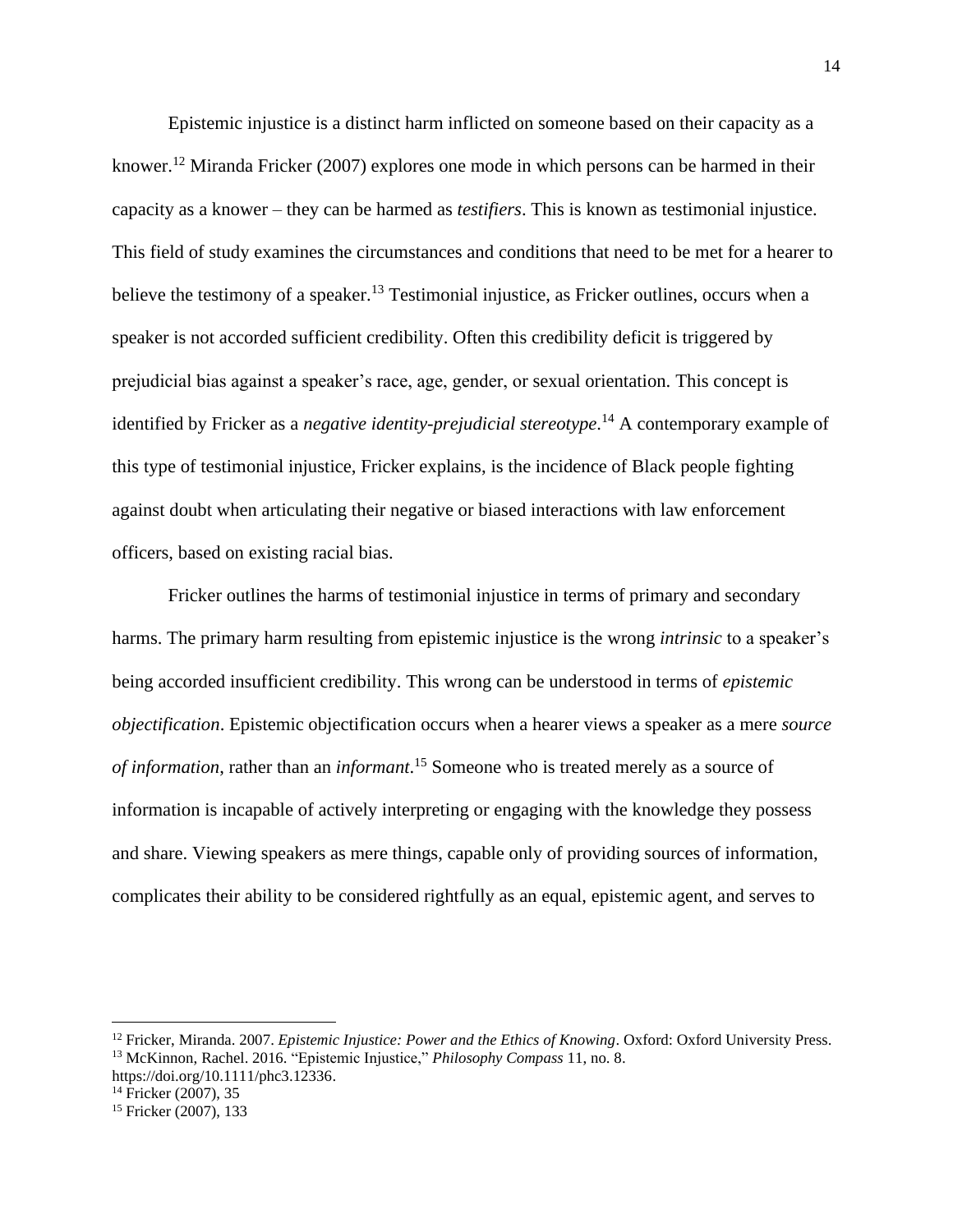Epistemic injustice is a distinct harm inflicted on someone based on their capacity as a knower. <sup>12</sup> Miranda Fricker (2007) explores one mode in which persons can be harmed in their capacity as a knower – they can be harmed as *testifiers*. This is known as testimonial injustice. This field of study examines the circumstances and conditions that need to be met for a hearer to believe the testimony of a speaker.<sup>13</sup> Testimonial injustice, as Fricker outlines, occurs when a speaker is not accorded sufficient credibility. Often this credibility deficit is triggered by prejudicial bias against a speaker's race, age, gender, or sexual orientation. This concept is identified by Fricker as a *negative identity-prejudicial stereotype*. <sup>14</sup> A contemporary example of this type of testimonial injustice, Fricker explains, is the incidence of Black people fighting against doubt when articulating their negative or biased interactions with law enforcement officers, based on existing racial bias.

Fricker outlines the harms of testimonial injustice in terms of primary and secondary harms. The primary harm resulting from epistemic injustice is the wrong *intrinsic* to a speaker's being accorded insufficient credibility. This wrong can be understood in terms of *epistemic objectification*. Epistemic objectification occurs when a hearer views a speaker as a mere *source of information*, rather than an *informant*. <sup>15</sup> Someone who is treated merely as a source of information is incapable of actively interpreting or engaging with the knowledge they possess and share. Viewing speakers as mere things, capable only of providing sources of information, complicates their ability to be considered rightfully as an equal, epistemic agent, and serves to

<sup>14</sup> Fricker (2007), 35

<sup>&</sup>lt;sup>12</sup> Fricker, Miranda. 2007. *Epistemic Injustice: Power and the Ethics of Knowing*. Oxford: Oxford University Press. <sup>13</sup> McKinnon, Rachel. 2016. "Epistemic Injustice," *Philosophy Compass* 11, no. 8.

https://doi.org/10.1111/phc3.12336.

<sup>15</sup> Fricker (2007), 133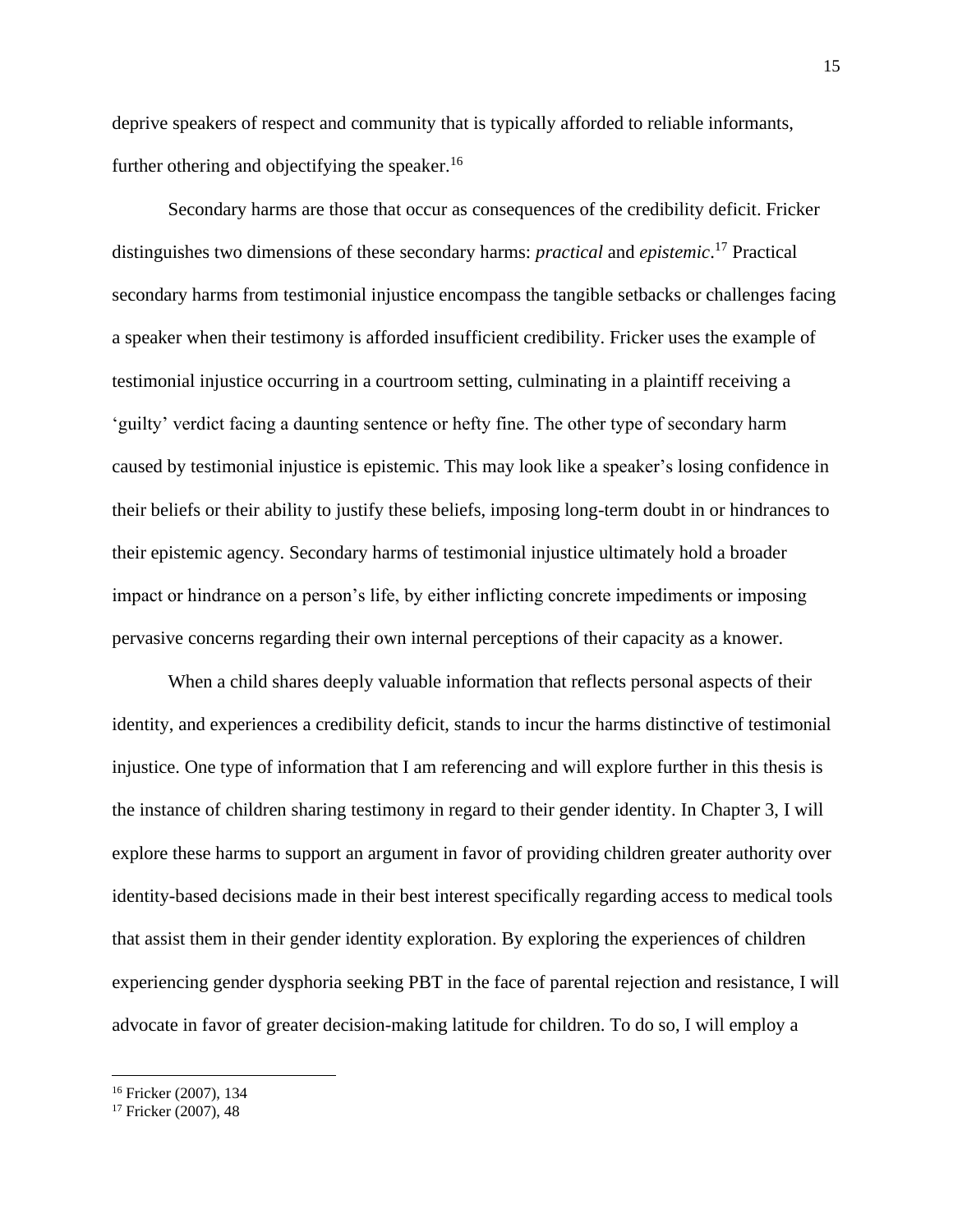deprive speakers of respect and community that is typically afforded to reliable informants, further othering and objectifying the speaker.<sup>16</sup>

Secondary harms are those that occur as consequences of the credibility deficit. Fricker distinguishes two dimensions of these secondary harms: *practical* and *epistemic*. <sup>17</sup> Practical secondary harms from testimonial injustice encompass the tangible setbacks or challenges facing a speaker when their testimony is afforded insufficient credibility. Fricker uses the example of testimonial injustice occurring in a courtroom setting, culminating in a plaintiff receiving a 'guilty' verdict facing a daunting sentence or hefty fine. The other type of secondary harm caused by testimonial injustice is epistemic. This may look like a speaker's losing confidence in their beliefs or their ability to justify these beliefs, imposing long-term doubt in or hindrances to their epistemic agency. Secondary harms of testimonial injustice ultimately hold a broader impact or hindrance on a person's life, by either inflicting concrete impediments or imposing pervasive concerns regarding their own internal perceptions of their capacity as a knower.

When a child shares deeply valuable information that reflects personal aspects of their identity, and experiences a credibility deficit, stands to incur the harms distinctive of testimonial injustice. One type of information that I am referencing and will explore further in this thesis is the instance of children sharing testimony in regard to their gender identity. In Chapter 3, I will explore these harms to support an argument in favor of providing children greater authority over identity-based decisions made in their best interest specifically regarding access to medical tools that assist them in their gender identity exploration. By exploring the experiences of children experiencing gender dysphoria seeking PBT in the face of parental rejection and resistance, I will advocate in favor of greater decision-making latitude for children. To do so, I will employ a

<sup>16</sup> Fricker (2007), 134

<sup>17</sup> Fricker (2007), 48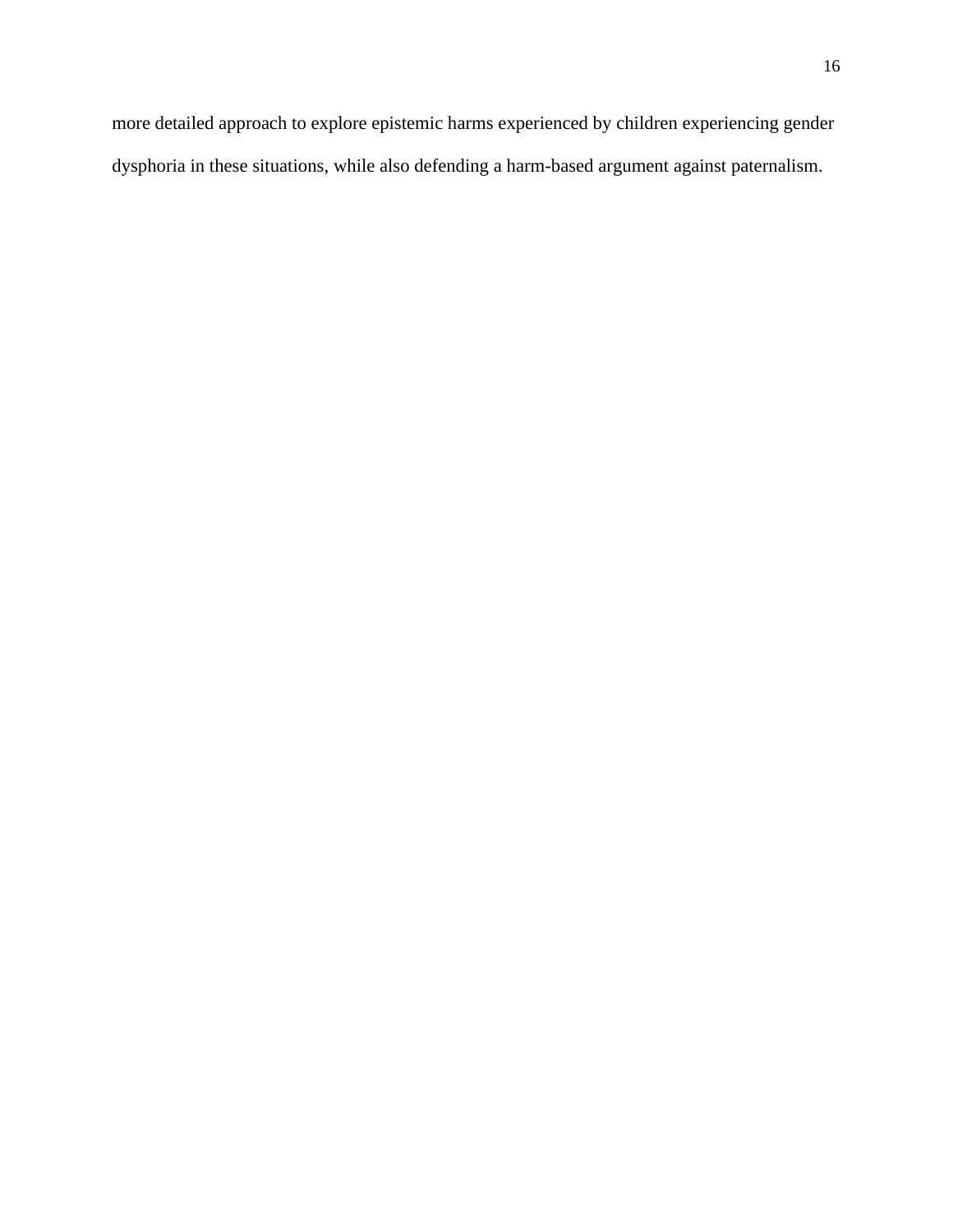more detailed approach to explore epistemic harms experienced by children experiencing gender dysphoria in these situations, while also defending a harm-based argument against paternalism.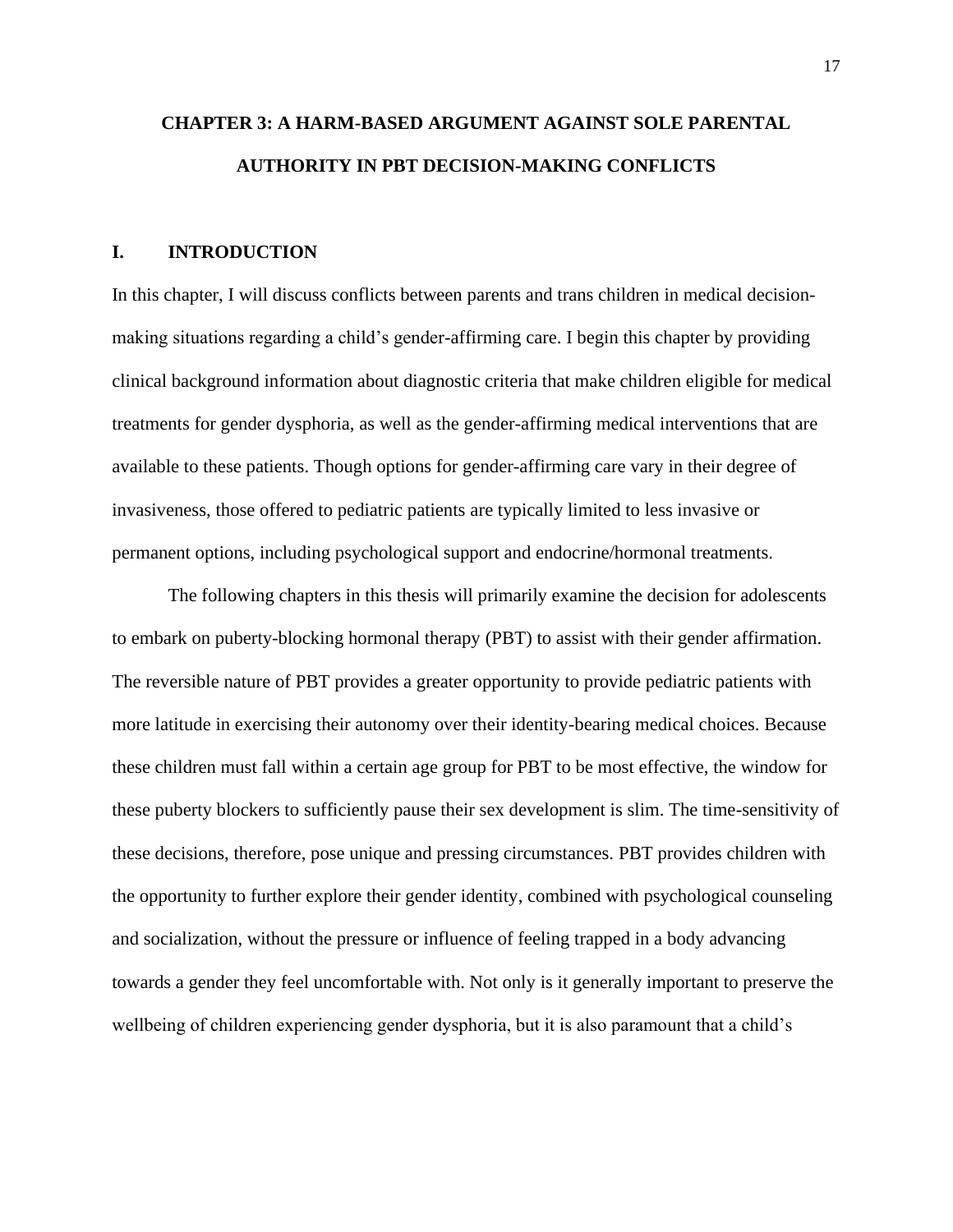# **CHAPTER 3: A HARM-BASED ARGUMENT AGAINST SOLE PARENTAL AUTHORITY IN PBT DECISION-MAKING CONFLICTS**

#### **I. INTRODUCTION**

In this chapter, I will discuss conflicts between parents and trans children in medical decisionmaking situations regarding a child's gender-affirming care. I begin this chapter by providing clinical background information about diagnostic criteria that make children eligible for medical treatments for gender dysphoria, as well as the gender-affirming medical interventions that are available to these patients. Though options for gender-affirming care vary in their degree of invasiveness, those offered to pediatric patients are typically limited to less invasive or permanent options, including psychological support and endocrine/hormonal treatments.

The following chapters in this thesis will primarily examine the decision for adolescents to embark on puberty-blocking hormonal therapy (PBT) to assist with their gender affirmation. The reversible nature of PBT provides a greater opportunity to provide pediatric patients with more latitude in exercising their autonomy over their identity-bearing medical choices. Because these children must fall within a certain age group for PBT to be most effective, the window for these puberty blockers to sufficiently pause their sex development is slim. The time-sensitivity of these decisions, therefore, pose unique and pressing circumstances. PBT provides children with the opportunity to further explore their gender identity, combined with psychological counseling and socialization, without the pressure or influence of feeling trapped in a body advancing towards a gender they feel uncomfortable with. Not only is it generally important to preserve the wellbeing of children experiencing gender dysphoria, but it is also paramount that a child's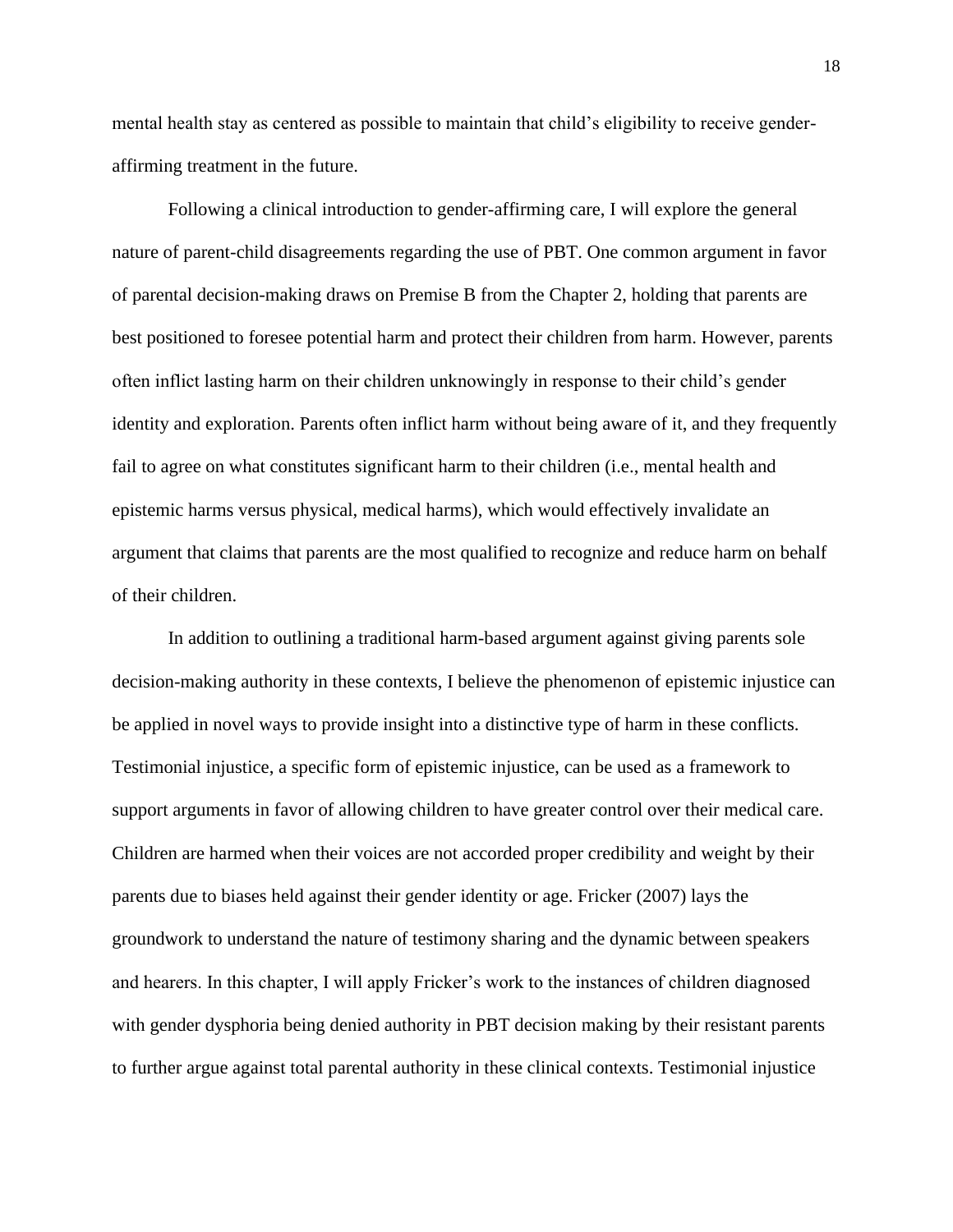mental health stay as centered as possible to maintain that child's eligibility to receive genderaffirming treatment in the future.

Following a clinical introduction to gender-affirming care, I will explore the general nature of parent-child disagreements regarding the use of PBT. One common argument in favor of parental decision-making draws on Premise B from the Chapter 2, holding that parents are best positioned to foresee potential harm and protect their children from harm. However, parents often inflict lasting harm on their children unknowingly in response to their child's gender identity and exploration. Parents often inflict harm without being aware of it, and they frequently fail to agree on what constitutes significant harm to their children (i.e., mental health and epistemic harms versus physical, medical harms), which would effectively invalidate an argument that claims that parents are the most qualified to recognize and reduce harm on behalf of their children.

In addition to outlining a traditional harm-based argument against giving parents sole decision-making authority in these contexts, I believe the phenomenon of epistemic injustice can be applied in novel ways to provide insight into a distinctive type of harm in these conflicts. Testimonial injustice, a specific form of epistemic injustice, can be used as a framework to support arguments in favor of allowing children to have greater control over their medical care. Children are harmed when their voices are not accorded proper credibility and weight by their parents due to biases held against their gender identity or age. Fricker (2007) lays the groundwork to understand the nature of testimony sharing and the dynamic between speakers and hearers. In this chapter, I will apply Fricker's work to the instances of children diagnosed with gender dysphoria being denied authority in PBT decision making by their resistant parents to further argue against total parental authority in these clinical contexts. Testimonial injustice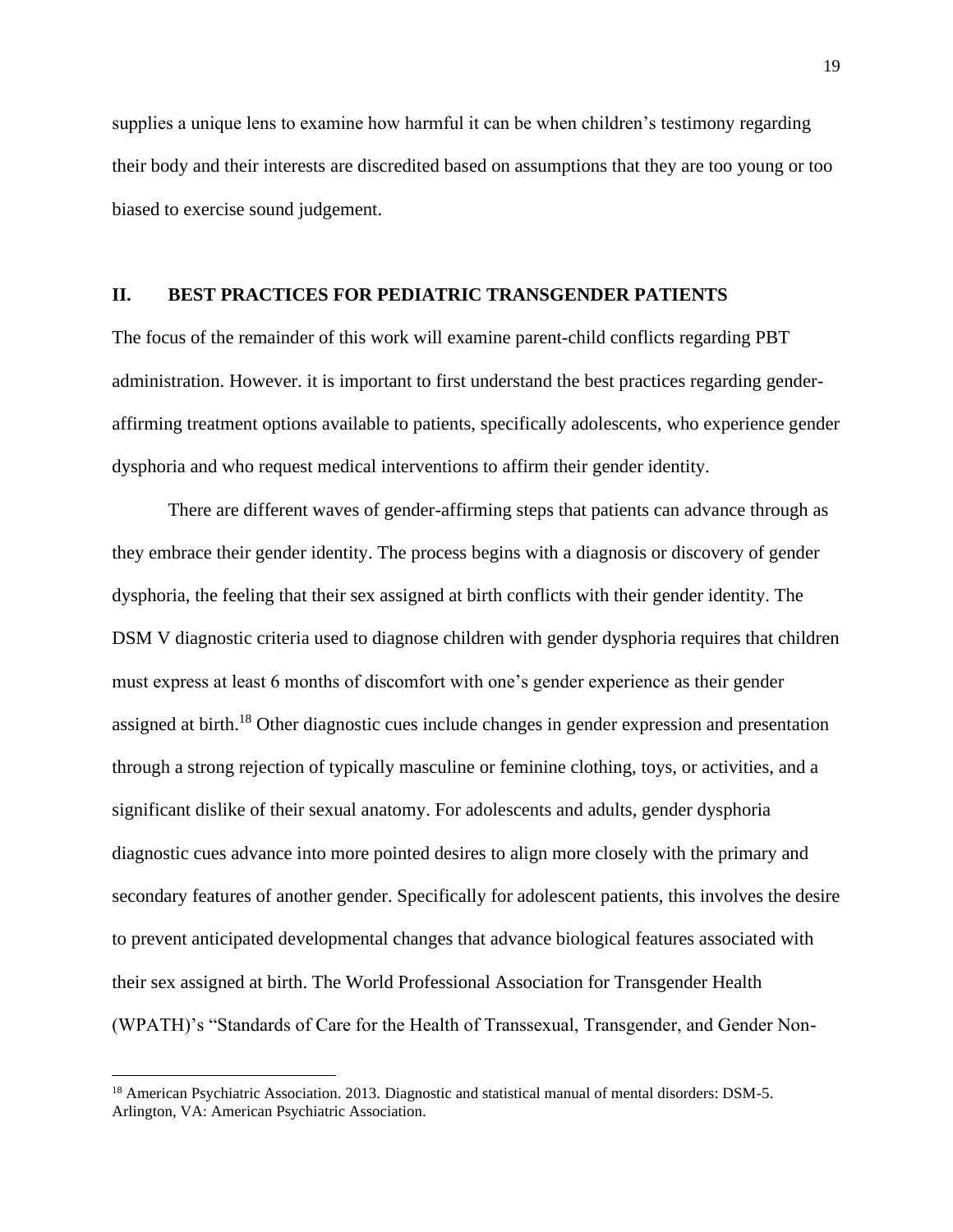supplies a unique lens to examine how harmful it can be when children's testimony regarding their body and their interests are discredited based on assumptions that they are too young or too biased to exercise sound judgement.

### **II. BEST PRACTICES FOR PEDIATRIC TRANSGENDER PATIENTS**

The focus of the remainder of this work will examine parent-child conflicts regarding PBT administration. However. it is important to first understand the best practices regarding genderaffirming treatment options available to patients, specifically adolescents, who experience gender dysphoria and who request medical interventions to affirm their gender identity.

There are different waves of gender-affirming steps that patients can advance through as they embrace their gender identity. The process begins with a diagnosis or discovery of gender dysphoria, the feeling that their sex assigned at birth conflicts with their gender identity. The DSM V diagnostic criteria used to diagnose children with gender dysphoria requires that children must express at least 6 months of discomfort with one's gender experience as their gender assigned at birth.<sup>18</sup> Other diagnostic cues include changes in gender expression and presentation through a strong rejection of typically masculine or feminine clothing, toys, or activities, and a significant dislike of their sexual anatomy. For adolescents and adults, gender dysphoria diagnostic cues advance into more pointed desires to align more closely with the primary and secondary features of another gender. Specifically for adolescent patients, this involves the desire to prevent anticipated developmental changes that advance biological features associated with their sex assigned at birth. The World Professional Association for Transgender Health (WPATH)'s "Standards of Care for the Health of Transsexual, Transgender, and Gender Non-

<sup>&</sup>lt;sup>18</sup> American Psychiatric Association. 2013. Diagnostic and statistical manual of mental disorders: DSM-5. Arlington, VA: American Psychiatric Association.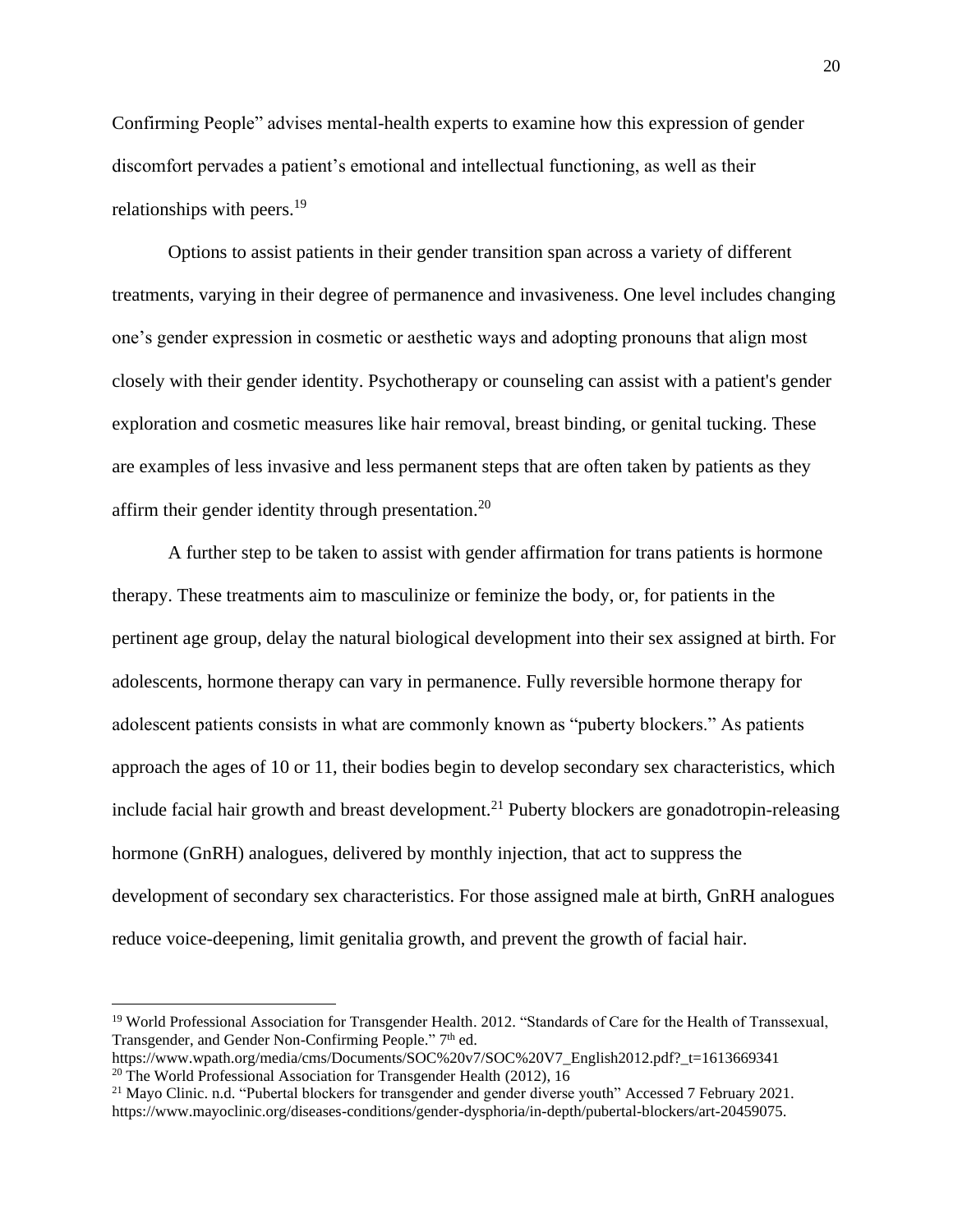Confirming People" advises mental-health experts to examine how this expression of gender discomfort pervades a patient's emotional and intellectual functioning, as well as their relationships with peers.<sup>19</sup>

Options to assist patients in their gender transition span across a variety of different treatments, varying in their degree of permanence and invasiveness. One level includes changing one's gender expression in cosmetic or aesthetic ways and adopting pronouns that align most closely with their gender identity. Psychotherapy or counseling can assist with a patient's gender exploration and cosmetic measures like hair removal, breast binding, or genital tucking. These are examples of less invasive and less permanent steps that are often taken by patients as they affirm their gender identity through presentation.<sup>20</sup>

A further step to be taken to assist with gender affirmation for trans patients is hormone therapy. These treatments aim to masculinize or feminize the body, or, for patients in the pertinent age group, delay the natural biological development into their sex assigned at birth. For adolescents, hormone therapy can vary in permanence. Fully reversible hormone therapy for adolescent patients consists in what are commonly known as "puberty blockers." As patients approach the ages of 10 or 11, their bodies begin to develop secondary sex characteristics, which include facial hair growth and breast development.<sup>21</sup> Puberty blockers are gonadotropin-releasing hormone (GnRH) analogues, delivered by monthly injection, that act to suppress the development of secondary sex characteristics. For those assigned male at birth, GnRH analogues reduce voice-deepening, limit genitalia growth, and prevent the growth of facial hair.

<sup>&</sup>lt;sup>19</sup> World Professional Association for Transgender Health. 2012. "Standards of Care for the Health of Transsexual, Transgender, and Gender Non-Confirming People." 7<sup>th</sup> ed.

https://www.wpath.org/media/cms/Documents/SOC%20v7/SOC%20V7\_English2012.pdf?\_t=1613669341 <sup>20</sup> The World Professional Association for Transgender Health (2012), 16

 $21$  Mayo Clinic. n.d. "Pubertal blockers for transgender and gender diverse youth" Accessed 7 February 2021. https://www.mayoclinic.org/diseases-conditions/gender-dysphoria/in-depth/pubertal-blockers/art-20459075.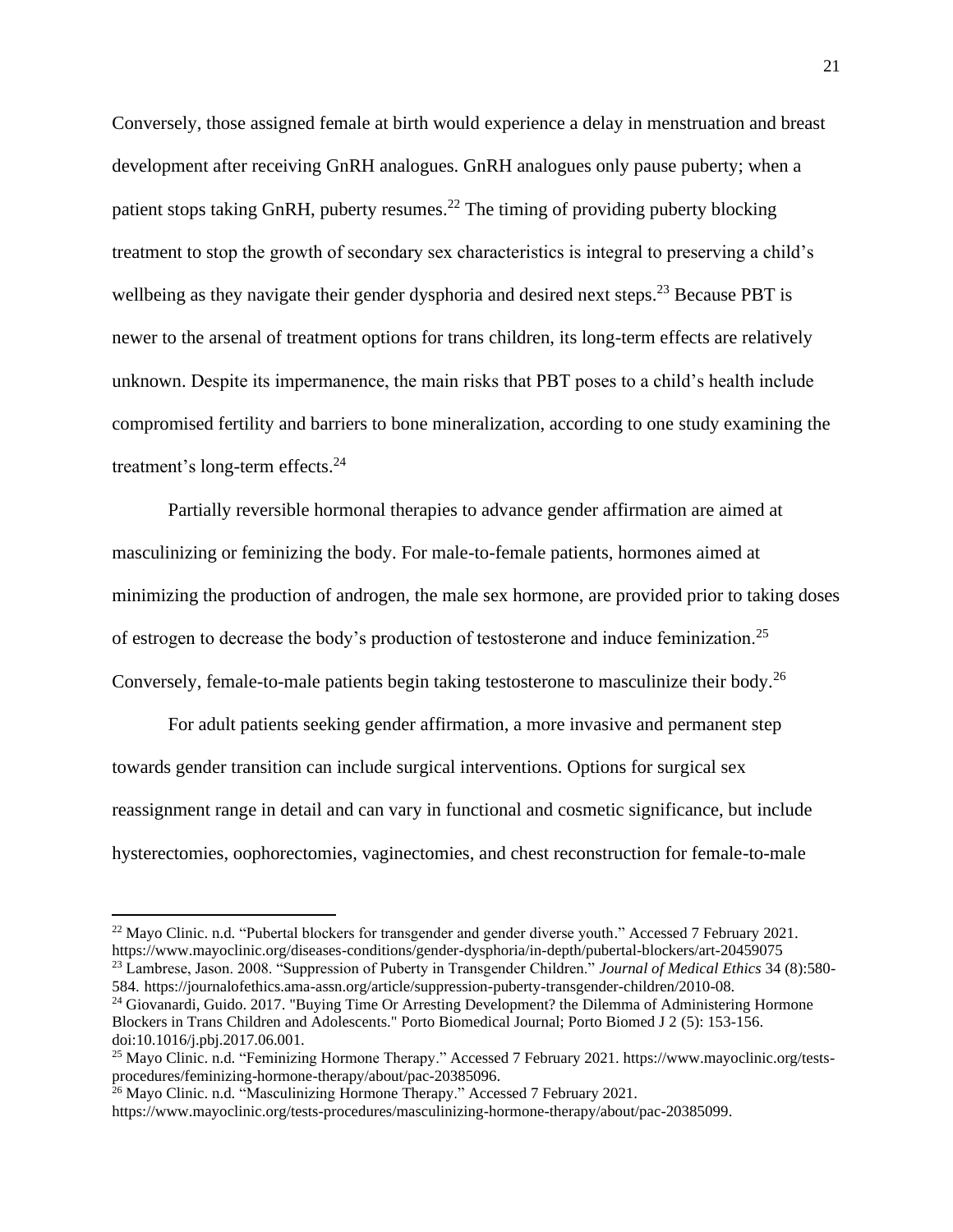Conversely, those assigned female at birth would experience a delay in menstruation and breast development after receiving GnRH analogues. GnRH analogues only pause puberty; when a patient stops taking GnRH, puberty resumes.<sup>22</sup> The timing of providing puberty blocking treatment to stop the growth of secondary sex characteristics is integral to preserving a child's wellbeing as they navigate their gender dysphoria and desired next steps.<sup>23</sup> Because PBT is newer to the arsenal of treatment options for trans children, its long-term effects are relatively unknown. Despite its impermanence, the main risks that PBT poses to a child's health include compromised fertility and barriers to bone mineralization, according to one study examining the treatment's long-term effects.<sup>24</sup>

Partially reversible hormonal therapies to advance gender affirmation are aimed at masculinizing or feminizing the body. For male-to-female patients, hormones aimed at minimizing the production of androgen, the male sex hormone, are provided prior to taking doses of estrogen to decrease the body's production of testosterone and induce feminization.<sup>25</sup> Conversely, female-to-male patients begin taking testosterone to masculinize their body.<sup>26</sup>

For adult patients seeking gender affirmation, a more invasive and permanent step towards gender transition can include surgical interventions. Options for surgical sex reassignment range in detail and can vary in functional and cosmetic significance, but include hysterectomies, oophorectomies, vaginectomies, and chest reconstruction for female-to-male

<sup>&</sup>lt;sup>22</sup> Mayo Clinic. n.d. "Pubertal blockers for transgender and gender diverse youth." Accessed 7 February 2021. https://www.mayoclinic.org/diseases-conditions/gender-dysphoria/in-depth/pubertal-blockers/art-20459075 <sup>23</sup> Lambrese, Jason. 2008. "Suppression of Puberty in Transgender Children." *Journal of Medical Ethics* 34 (8):580-

<sup>584.</sup> https://journalofethics.ama-assn.org/article/suppression-puberty-transgender-children/2010-08.

<sup>&</sup>lt;sup>24</sup> Giovanardi, Guido. 2017. "Buying Time Or Arresting Development? the Dilemma of Administering Hormone Blockers in Trans Children and Adolescents." Porto Biomedical Journal; Porto Biomed J 2 (5): 153-156. doi:10.1016/j.pbj.2017.06.001.

<sup>25</sup> Mayo Clinic. n.d. "Feminizing Hormone Therapy." Accessed 7 February 2021. https://www.mayoclinic.org/testsprocedures/feminizing-hormone-therapy/about/pac-20385096.

<sup>&</sup>lt;sup>26</sup> Mayo Clinic. n.d. "Masculinizing Hormone Therapy." Accessed 7 February 2021.

https://www.mayoclinic.org/tests-procedures/masculinizing-hormone-therapy/about/pac-20385099.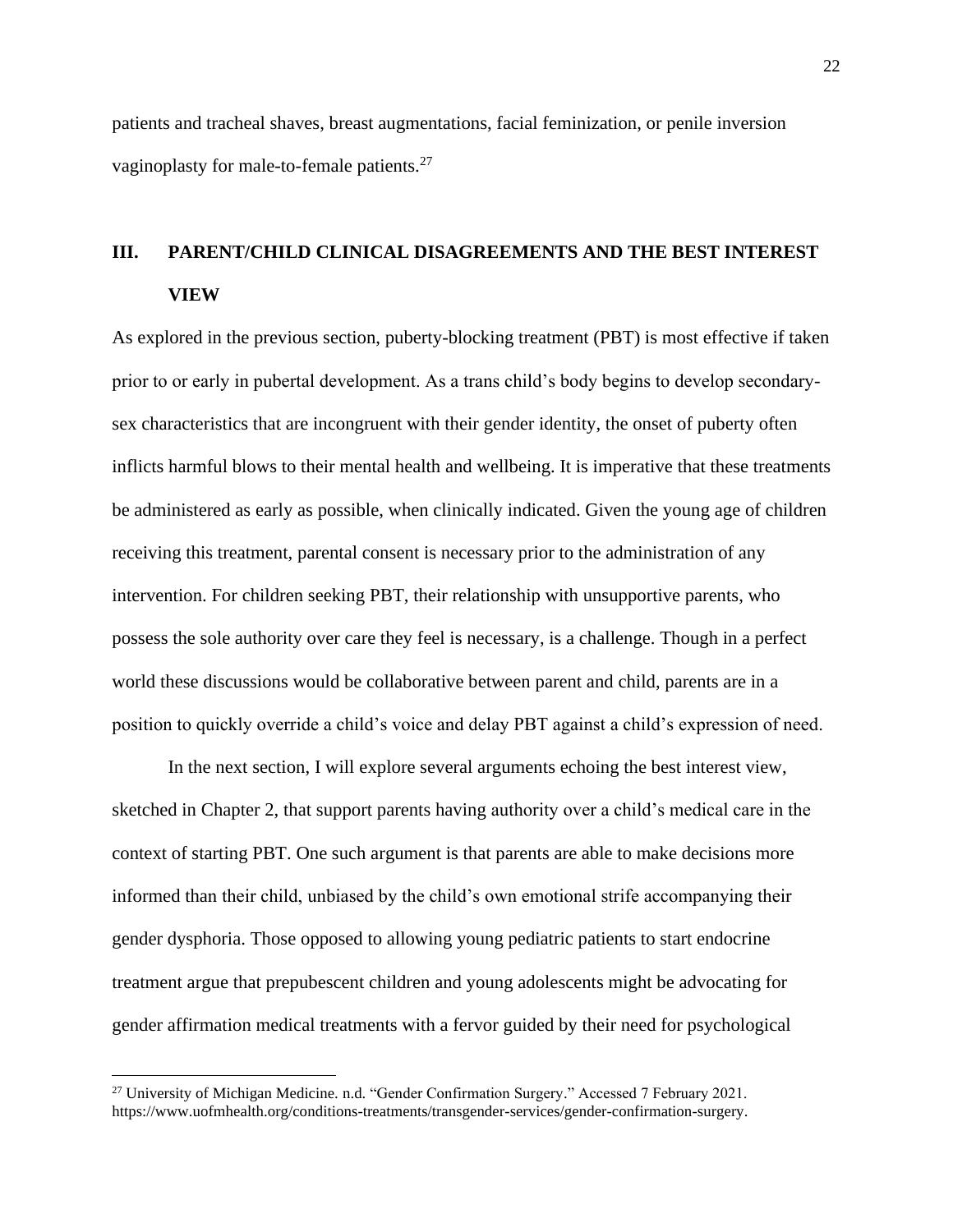patients and tracheal shaves, breast augmentations, facial feminization, or penile inversion vaginoplasty for male-to-female patients.<sup>27</sup>

# **III. PARENT/CHILD CLINICAL DISAGREEMENTS AND THE BEST INTEREST VIEW**

As explored in the previous section, puberty-blocking treatment (PBT) is most effective if taken prior to or early in pubertal development. As a trans child's body begins to develop secondarysex characteristics that are incongruent with their gender identity, the onset of puberty often inflicts harmful blows to their mental health and wellbeing. It is imperative that these treatments be administered as early as possible, when clinically indicated. Given the young age of children receiving this treatment, parental consent is necessary prior to the administration of any intervention. For children seeking PBT, their relationship with unsupportive parents, who possess the sole authority over care they feel is necessary, is a challenge. Though in a perfect world these discussions would be collaborative between parent and child, parents are in a position to quickly override a child's voice and delay PBT against a child's expression of need.

In the next section, I will explore several arguments echoing the best interest view, sketched in Chapter 2, that support parents having authority over a child's medical care in the context of starting PBT. One such argument is that parents are able to make decisions more informed than their child, unbiased by the child's own emotional strife accompanying their gender dysphoria. Those opposed to allowing young pediatric patients to start endocrine treatment argue that prepubescent children and young adolescents might be advocating for gender affirmation medical treatments with a fervor guided by their need for psychological

<sup>&</sup>lt;sup>27</sup> University of Michigan Medicine. n.d. "Gender Confirmation Surgery." Accessed 7 February 2021. https://www.uofmhealth.org/conditions-treatments/transgender-services/gender-confirmation-surgery.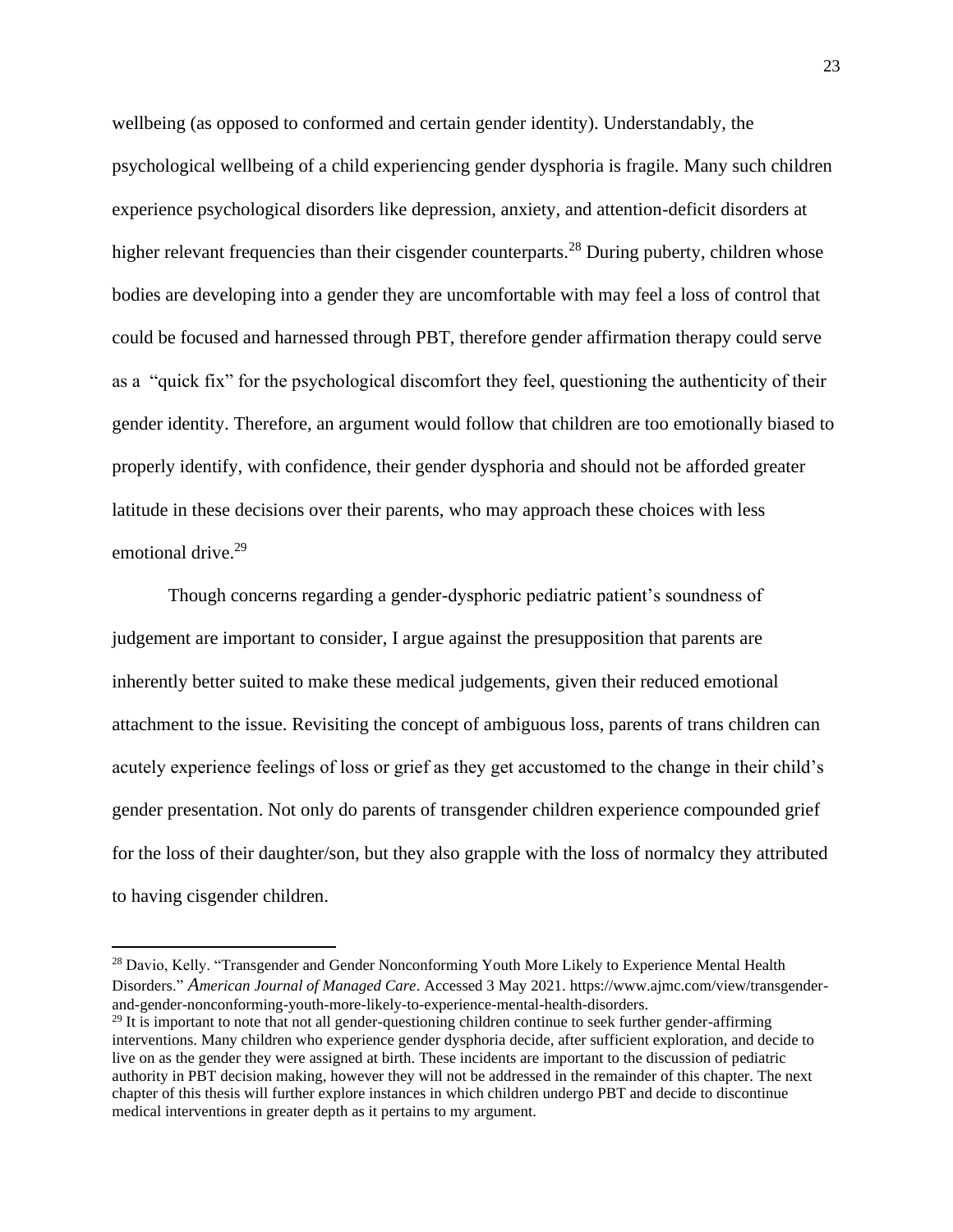wellbeing (as opposed to conformed and certain gender identity). Understandably, the psychological wellbeing of a child experiencing gender dysphoria is fragile. Many such children experience psychological disorders like depression, anxiety, and attention-deficit disorders at higher relevant frequencies than their cisgender counterparts.<sup>28</sup> During puberty, children whose bodies are developing into a gender they are uncomfortable with may feel a loss of control that could be focused and harnessed through PBT, therefore gender affirmation therapy could serve as a "quick fix" for the psychological discomfort they feel, questioning the authenticity of their gender identity. Therefore, an argument would follow that children are too emotionally biased to properly identify, with confidence, their gender dysphoria and should not be afforded greater latitude in these decisions over their parents, who may approach these choices with less emotional drive.<sup>29</sup>

Though concerns regarding a gender-dysphoric pediatric patient's soundness of judgement are important to consider, I argue against the presupposition that parents are inherently better suited to make these medical judgements, given their reduced emotional attachment to the issue. Revisiting the concept of ambiguous loss, parents of trans children can acutely experience feelings of loss or grief as they get accustomed to the change in their child's gender presentation. Not only do parents of transgender children experience compounded grief for the loss of their daughter/son, but they also grapple with the loss of normalcy they attributed to having cisgender children.

<sup>&</sup>lt;sup>28</sup> Davio, Kelly. "Transgender and Gender Nonconforming Youth More Likely to Experience Mental Health Disorders." *American Journal of Managed Care*. Accessed 3 May 2021. https://www.ajmc.com/view/transgenderand-gender-nonconforming-youth-more-likely-to-experience-mental-health-disorders.

 $29$  It is important to note that not all gender-questioning children continue to seek further gender-affirming interventions. Many children who experience gender dysphoria decide, after sufficient exploration, and decide to live on as the gender they were assigned at birth. These incidents are important to the discussion of pediatric authority in PBT decision making, however they will not be addressed in the remainder of this chapter. The next chapter of this thesis will further explore instances in which children undergo PBT and decide to discontinue medical interventions in greater depth as it pertains to my argument.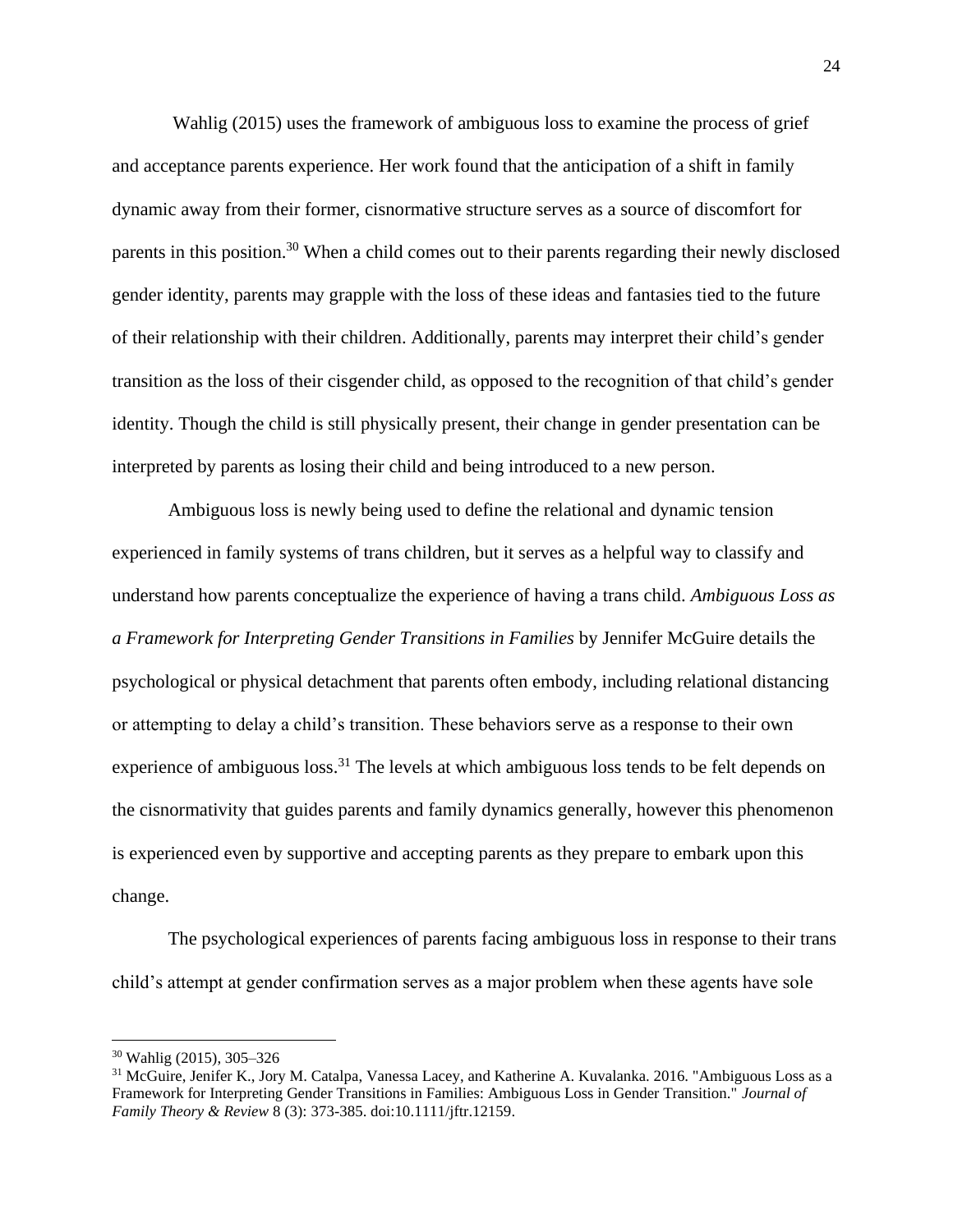Wahlig (2015) uses the framework of ambiguous loss to examine the process of grief and acceptance parents experience. Her work found that the anticipation of a shift in family dynamic away from their former, cisnormative structure serves as a source of discomfort for parents in this position.<sup>30</sup> When a child comes out to their parents regarding their newly disclosed gender identity, parents may grapple with the loss of these ideas and fantasies tied to the future of their relationship with their children. Additionally, parents may interpret their child's gender transition as the loss of their cisgender child, as opposed to the recognition of that child's gender identity. Though the child is still physically present, their change in gender presentation can be interpreted by parents as losing their child and being introduced to a new person.

Ambiguous loss is newly being used to define the relational and dynamic tension experienced in family systems of trans children, but it serves as a helpful way to classify and understand how parents conceptualize the experience of having a trans child. *Ambiguous Loss as a Framework for Interpreting Gender Transitions in Families* by Jennifer McGuire details the psychological or physical detachment that parents often embody, including relational distancing or attempting to delay a child's transition. These behaviors serve as a response to their own experience of ambiguous loss.<sup>31</sup> The levels at which ambiguous loss tends to be felt depends on the cisnormativity that guides parents and family dynamics generally, however this phenomenon is experienced even by supportive and accepting parents as they prepare to embark upon this change.

The psychological experiences of parents facing ambiguous loss in response to their trans child's attempt at gender confirmation serves as a major problem when these agents have sole

<sup>30</sup> Wahlig (2015), 305–326

<sup>&</sup>lt;sup>31</sup> McGuire, Jenifer K., Jory M. Catalpa, Vanessa Lacey, and Katherine A. Kuvalanka. 2016. "Ambiguous Loss as a Framework for Interpreting Gender Transitions in Families: Ambiguous Loss in Gender Transition." *Journal of Family Theory & Review* 8 (3): 373-385. doi:10.1111/jftr.12159.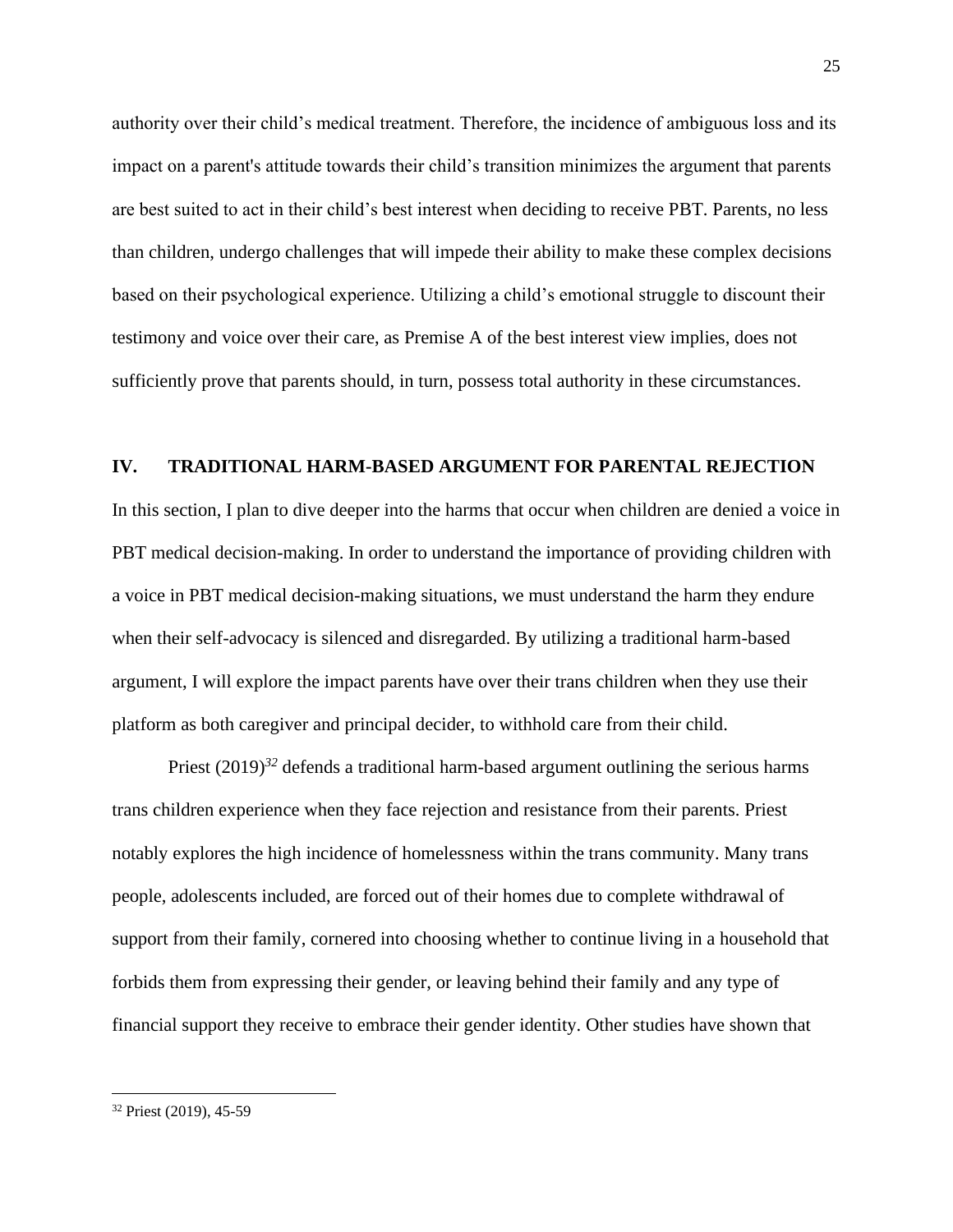authority over their child's medical treatment. Therefore, the incidence of ambiguous loss and its impact on a parent's attitude towards their child's transition minimizes the argument that parents are best suited to act in their child's best interest when deciding to receive PBT. Parents, no less than children, undergo challenges that will impede their ability to make these complex decisions based on their psychological experience. Utilizing a child's emotional struggle to discount their testimony and voice over their care, as Premise A of the best interest view implies, does not sufficiently prove that parents should, in turn, possess total authority in these circumstances.

#### **IV. TRADITIONAL HARM-BASED ARGUMENT FOR PARENTAL REJECTION**

In this section, I plan to dive deeper into the harms that occur when children are denied a voice in PBT medical decision-making. In order to understand the importance of providing children with a voice in PBT medical decision-making situations, we must understand the harm they endure when their self-advocacy is silenced and disregarded. By utilizing a traditional harm-based argument, I will explore the impact parents have over their trans children when they use their platform as both caregiver and principal decider, to withhold care from their child.

Priest (2019)<sup>32</sup> defends a traditional harm-based argument outlining the serious harms trans children experience when they face rejection and resistance from their parents. Priest notably explores the high incidence of homelessness within the trans community. Many trans people, adolescents included, are forced out of their homes due to complete withdrawal of support from their family, cornered into choosing whether to continue living in a household that forbids them from expressing their gender, or leaving behind their family and any type of financial support they receive to embrace their gender identity. Other studies have shown that

<sup>32</sup> Priest (2019), 45-59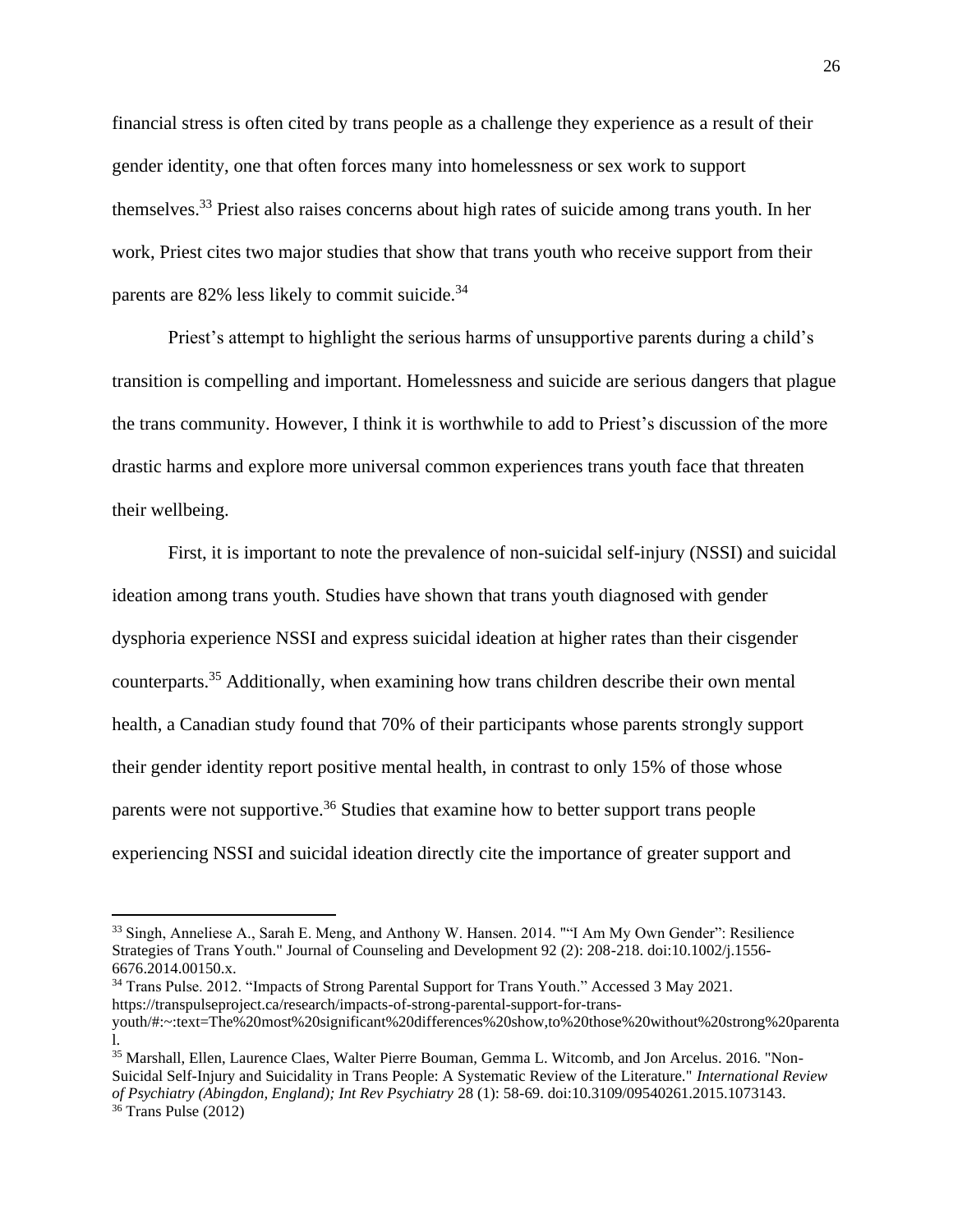financial stress is often cited by trans people as a challenge they experience as a result of their gender identity, one that often forces many into homelessness or sex work to support themselves.<sup>33</sup> Priest also raises concerns about high rates of suicide among trans youth. In her work, Priest cites two major studies that show that trans youth who receive support from their parents are  $82\%$  less likely to commit suicide.<sup>34</sup>

Priest's attempt to highlight the serious harms of unsupportive parents during a child's transition is compelling and important. Homelessness and suicide are serious dangers that plague the trans community. However, I think it is worthwhile to add to Priest's discussion of the more drastic harms and explore more universal common experiences trans youth face that threaten their wellbeing.

First, it is important to note the prevalence of non-suicidal self-injury (NSSI) and suicidal ideation among trans youth. Studies have shown that trans youth diagnosed with gender dysphoria experience NSSI and express suicidal ideation at higher rates than their cisgender counterparts.<sup>35</sup> Additionally, when examining how trans children describe their own mental health, a Canadian study found that 70% of their participants whose parents strongly support their gender identity report positive mental health, in contrast to only 15% of those whose parents were not supportive.<sup>36</sup> Studies that examine how to better support trans people experiencing NSSI and suicidal ideation directly cite the importance of greater support and

<sup>34</sup> Trans Pulse. 2012. "Impacts of Strong Parental Support for Trans Youth." Accessed 3 May 2021. https://transpulseproject.ca/research/impacts-of-strong-parental-support-for-trans-

<sup>33</sup> Singh, Anneliese A., Sarah E. Meng, and Anthony W. Hansen. 2014. ""I Am My Own Gender": Resilience Strategies of Trans Youth." Journal of Counseling and Development 92 (2): 208-218. doi:10.1002/j.1556- 6676.2014.00150.x.

youth/#:~:text=The%20most%20significant%20differences%20show,to%20those%20without%20strong%20parenta l.

<sup>35</sup> Marshall, Ellen, Laurence Claes, Walter Pierre Bouman, Gemma L. Witcomb, and Jon Arcelus. 2016. "Non-Suicidal Self-Injury and Suicidality in Trans People: A Systematic Review of the Literature." *International Review of Psychiatry (Abingdon, England); Int Rev Psychiatry* 28 (1): 58-69. doi:10.3109/09540261.2015.1073143.  $36$  Trans Pulse (2012)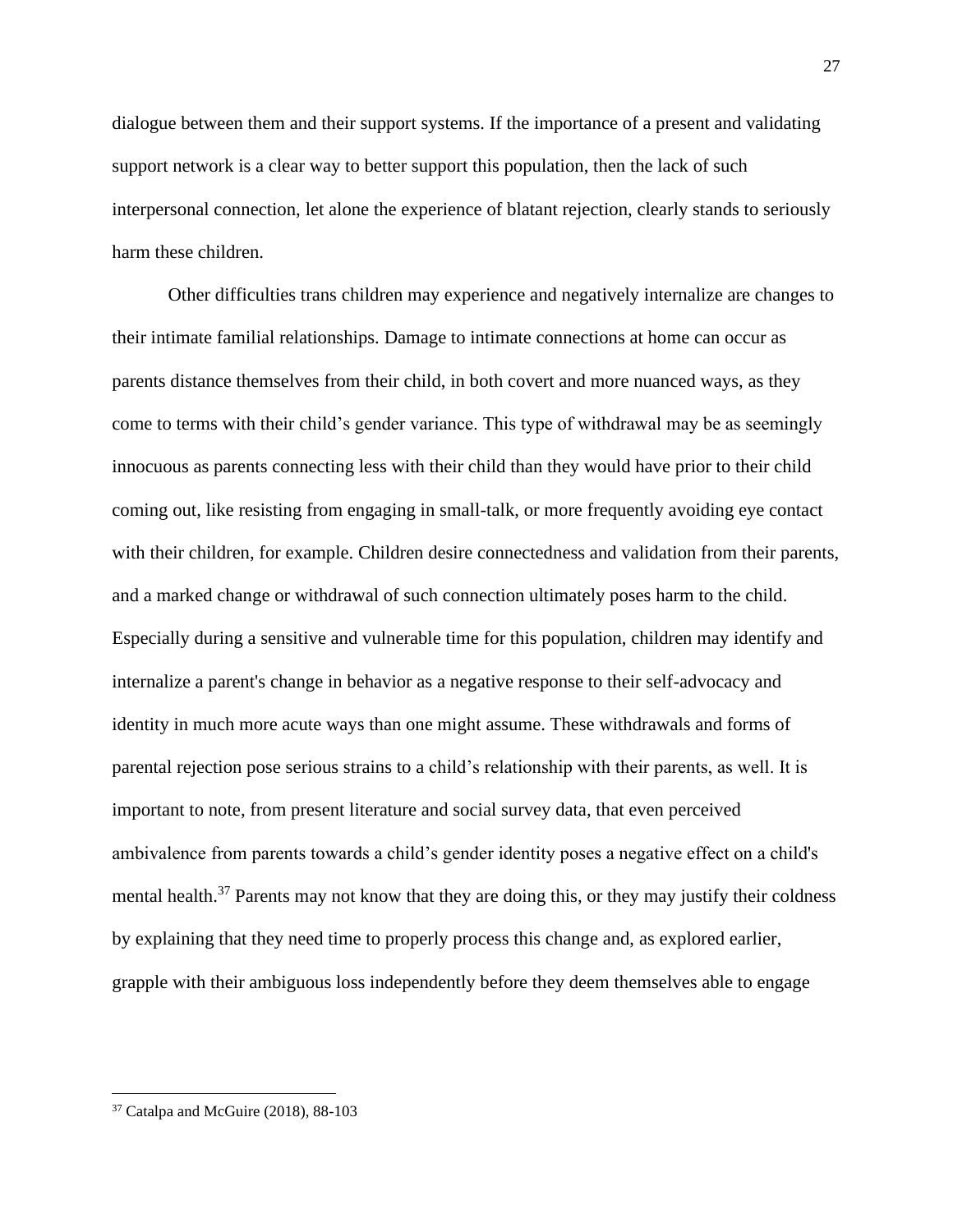dialogue between them and their support systems. If the importance of a present and validating support network is a clear way to better support this population, then the lack of such interpersonal connection, let alone the experience of blatant rejection, clearly stands to seriously harm these children.

Other difficulties trans children may experience and negatively internalize are changes to their intimate familial relationships. Damage to intimate connections at home can occur as parents distance themselves from their child, in both covert and more nuanced ways, as they come to terms with their child's gender variance. This type of withdrawal may be as seemingly innocuous as parents connecting less with their child than they would have prior to their child coming out, like resisting from engaging in small-talk, or more frequently avoiding eye contact with their children, for example. Children desire connectedness and validation from their parents, and a marked change or withdrawal of such connection ultimately poses harm to the child. Especially during a sensitive and vulnerable time for this population, children may identify and internalize a parent's change in behavior as a negative response to their self-advocacy and identity in much more acute ways than one might assume. These withdrawals and forms of parental rejection pose serious strains to a child's relationship with their parents, as well. It is important to note, from present literature and social survey data, that even perceived ambivalence from parents towards a child's gender identity poses a negative effect on a child's mental health.<sup>37</sup> Parents may not know that they are doing this, or they may justify their coldness by explaining that they need time to properly process this change and, as explored earlier, grapple with their ambiguous loss independently before they deem themselves able to engage

<sup>37</sup> Catalpa and McGuire (2018), 88-103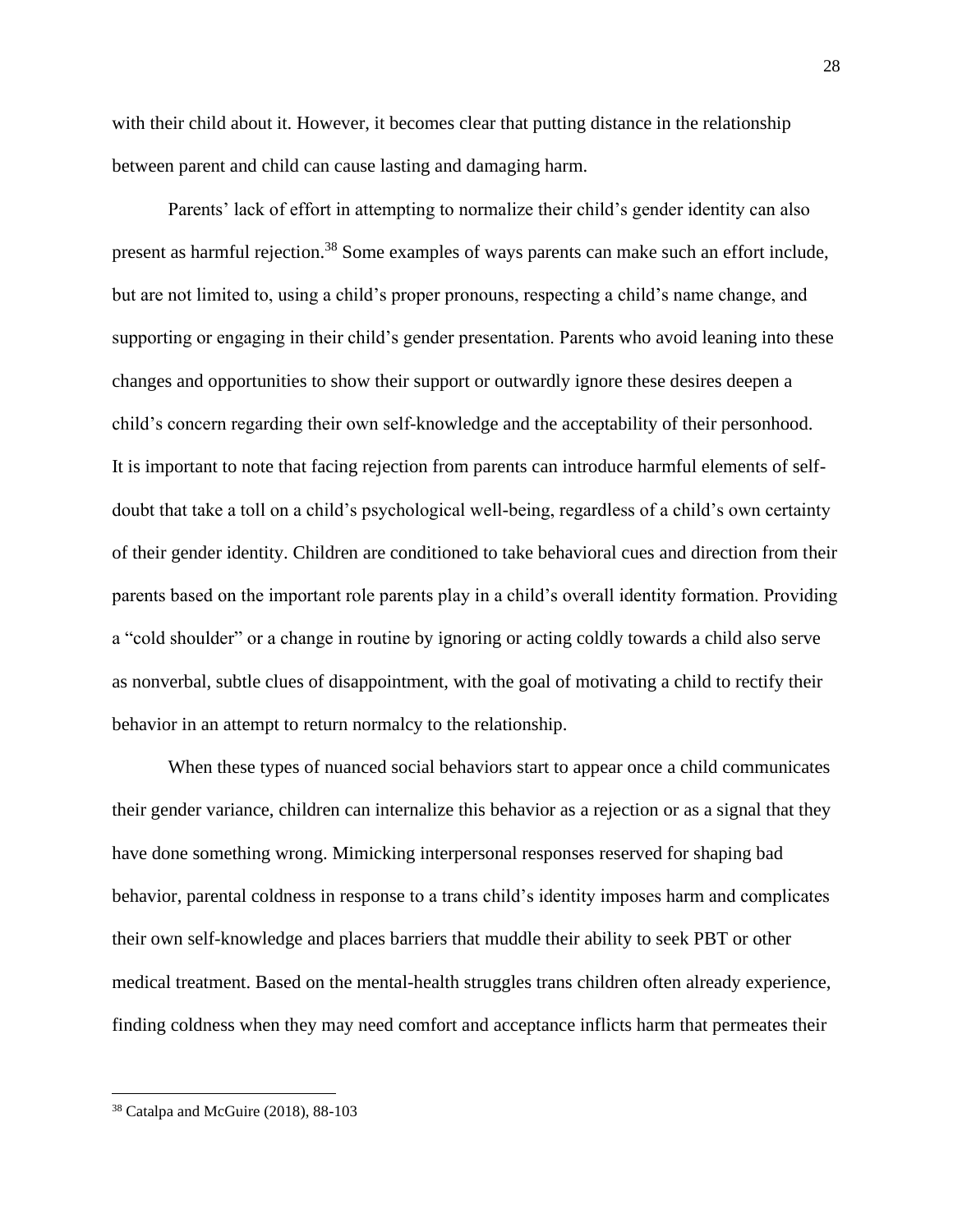with their child about it. However, it becomes clear that putting distance in the relationship between parent and child can cause lasting and damaging harm.

Parents' lack of effort in attempting to normalize their child's gender identity can also present as harmful rejection.<sup>38</sup> Some examples of ways parents can make such an effort include, but are not limited to, using a child's proper pronouns, respecting a child's name change, and supporting or engaging in their child's gender presentation. Parents who avoid leaning into these changes and opportunities to show their support or outwardly ignore these desires deepen a child's concern regarding their own self-knowledge and the acceptability of their personhood. It is important to note that facing rejection from parents can introduce harmful elements of selfdoubt that take a toll on a child's psychological well-being, regardless of a child's own certainty of their gender identity. Children are conditioned to take behavioral cues and direction from their parents based on the important role parents play in a child's overall identity formation. Providing a "cold shoulder" or a change in routine by ignoring or acting coldly towards a child also serve as nonverbal, subtle clues of disappointment, with the goal of motivating a child to rectify their behavior in an attempt to return normalcy to the relationship.

When these types of nuanced social behaviors start to appear once a child communicates their gender variance, children can internalize this behavior as a rejection or as a signal that they have done something wrong. Mimicking interpersonal responses reserved for shaping bad behavior, parental coldness in response to a trans child's identity imposes harm and complicates their own self-knowledge and places barriers that muddle their ability to seek PBT or other medical treatment. Based on the mental-health struggles trans children often already experience, finding coldness when they may need comfort and acceptance inflicts harm that permeates their

<sup>38</sup> Catalpa and McGuire (2018), 88-103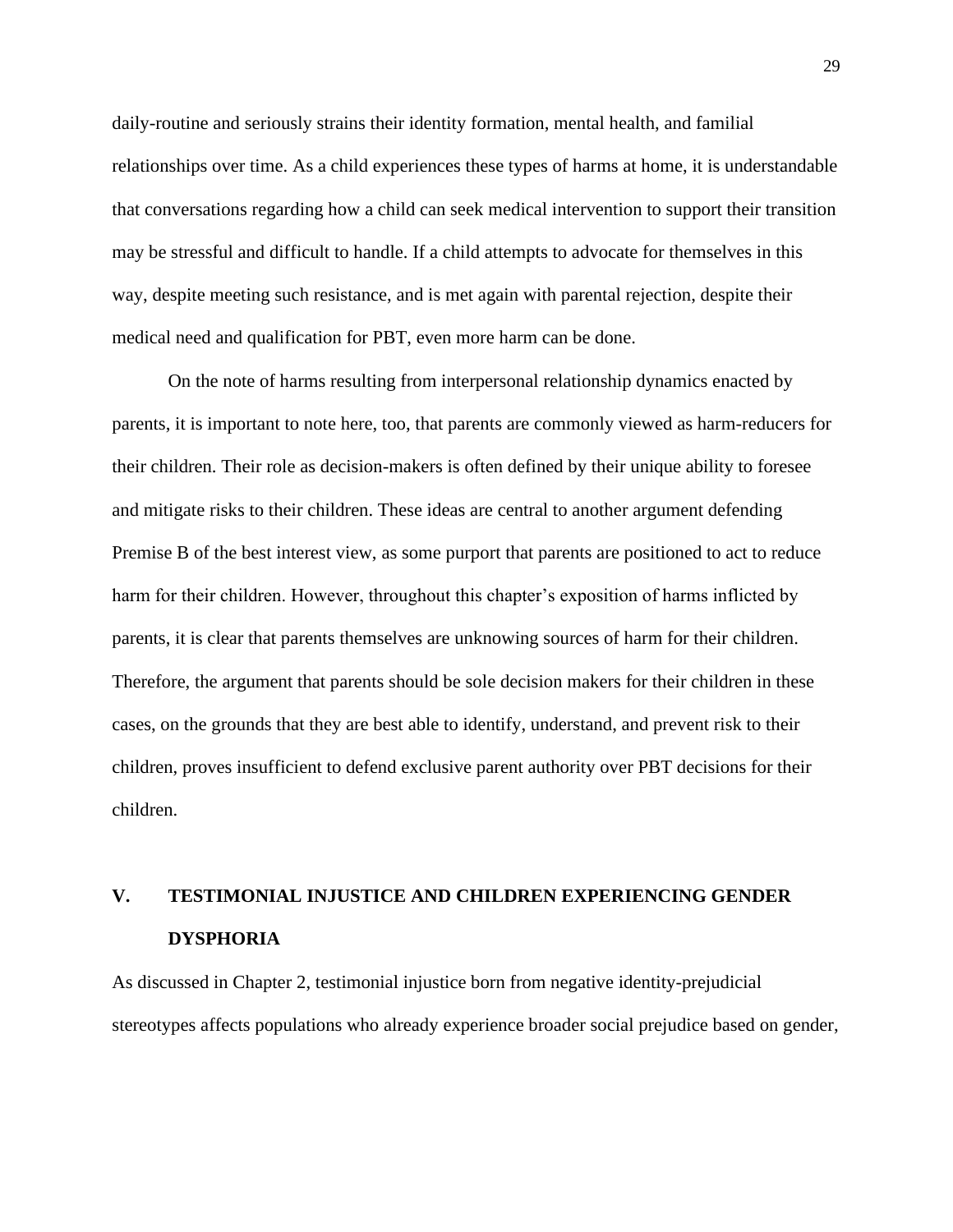daily-routine and seriously strains their identity formation, mental health, and familial relationships over time. As a child experiences these types of harms at home, it is understandable that conversations regarding how a child can seek medical intervention to support their transition may be stressful and difficult to handle. If a child attempts to advocate for themselves in this way, despite meeting such resistance, and is met again with parental rejection, despite their medical need and qualification for PBT, even more harm can be done.

On the note of harms resulting from interpersonal relationship dynamics enacted by parents, it is important to note here, too, that parents are commonly viewed as harm-reducers for their children. Their role as decision-makers is often defined by their unique ability to foresee and mitigate risks to their children. These ideas are central to another argument defending Premise B of the best interest view, as some purport that parents are positioned to act to reduce harm for their children. However, throughout this chapter's exposition of harms inflicted by parents, it is clear that parents themselves are unknowing sources of harm for their children. Therefore, the argument that parents should be sole decision makers for their children in these cases, on the grounds that they are best able to identify, understand, and prevent risk to their children, proves insufficient to defend exclusive parent authority over PBT decisions for their children.

# **V. TESTIMONIAL INJUSTICE AND CHILDREN EXPERIENCING GENDER DYSPHORIA**

As discussed in Chapter 2, testimonial injustice born from negative identity-prejudicial stereotypes affects populations who already experience broader social prejudice based on gender,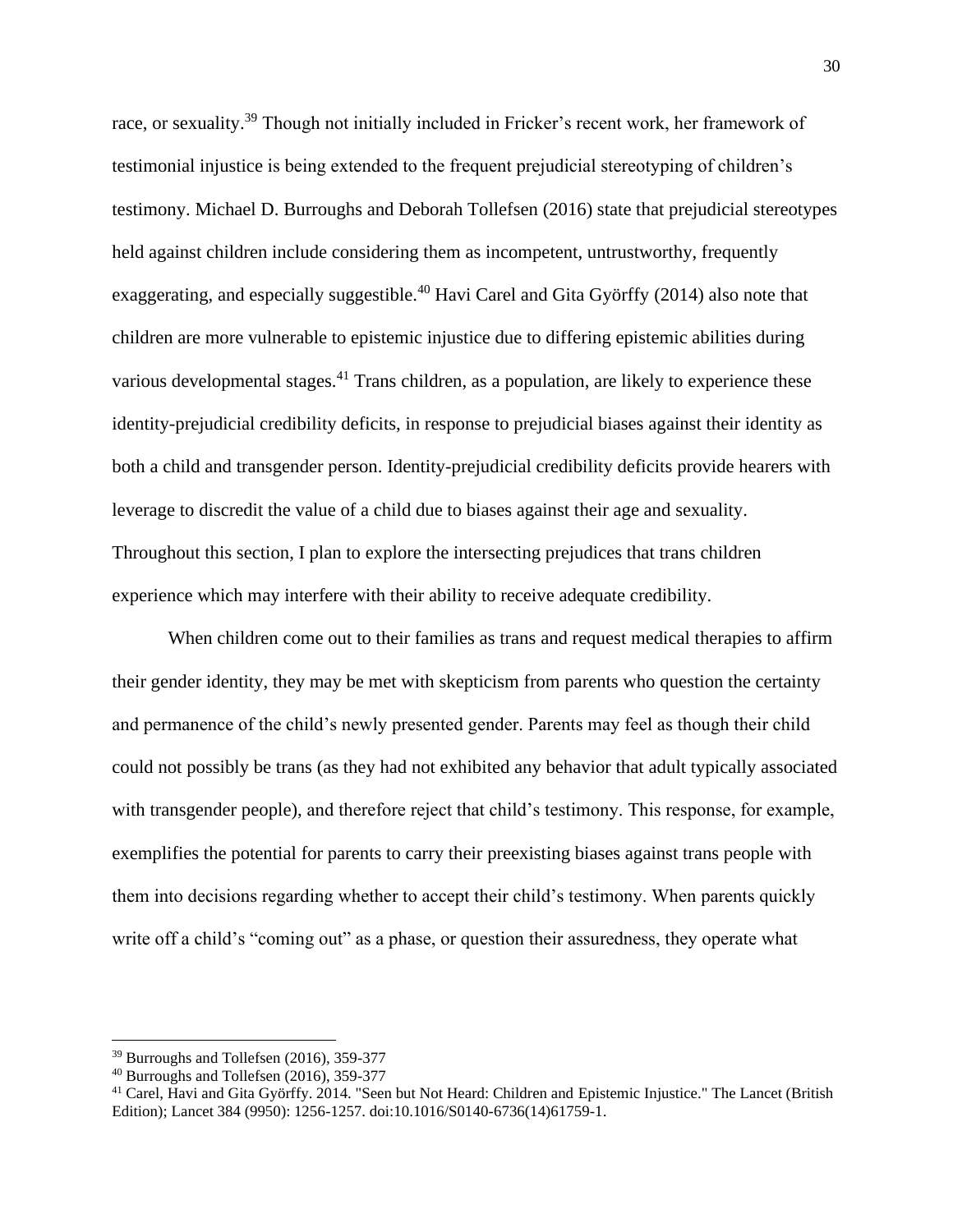race, or sexuality.<sup>39</sup> Though not initially included in Fricker's recent work, her framework of testimonial injustice is being extended to the frequent prejudicial stereotyping of children's testimony. Michael D. Burroughs and Deborah Tollefsen (2016) state that prejudicial stereotypes held against children include considering them as incompetent, untrustworthy, frequently exaggerating, and especially suggestible.<sup>40</sup> Havi Carel and Gita Györffy (2014) also note that children are more vulnerable to epistemic injustice due to differing epistemic abilities during various developmental stages.<sup>41</sup> Trans children, as a population, are likely to experience these identity-prejudicial credibility deficits, in response to prejudicial biases against their identity as both a child and transgender person. Identity-prejudicial credibility deficits provide hearers with leverage to discredit the value of a child due to biases against their age and sexuality. Throughout this section, I plan to explore the intersecting prejudices that trans children experience which may interfere with their ability to receive adequate credibility.

When children come out to their families as trans and request medical therapies to affirm their gender identity, they may be met with skepticism from parents who question the certainty and permanence of the child's newly presented gender. Parents may feel as though their child could not possibly be trans (as they had not exhibited any behavior that adult typically associated with transgender people), and therefore reject that child's testimony. This response, for example, exemplifies the potential for parents to carry their preexisting biases against trans people with them into decisions regarding whether to accept their child's testimony. When parents quickly write off a child's "coming out" as a phase, or question their assuredness, they operate what

<sup>39</sup> Burroughs and Tollefsen (2016), 359-377

<sup>40</sup> Burroughs and Tollefsen (2016), 359-377

<sup>&</sup>lt;sup>41</sup> Carel, Havi and Gita Györffy. 2014. "Seen but Not Heard: Children and Epistemic Injustice." The Lancet (British Edition); Lancet 384 (9950): 1256-1257. doi:10.1016/S0140-6736(14)61759-1.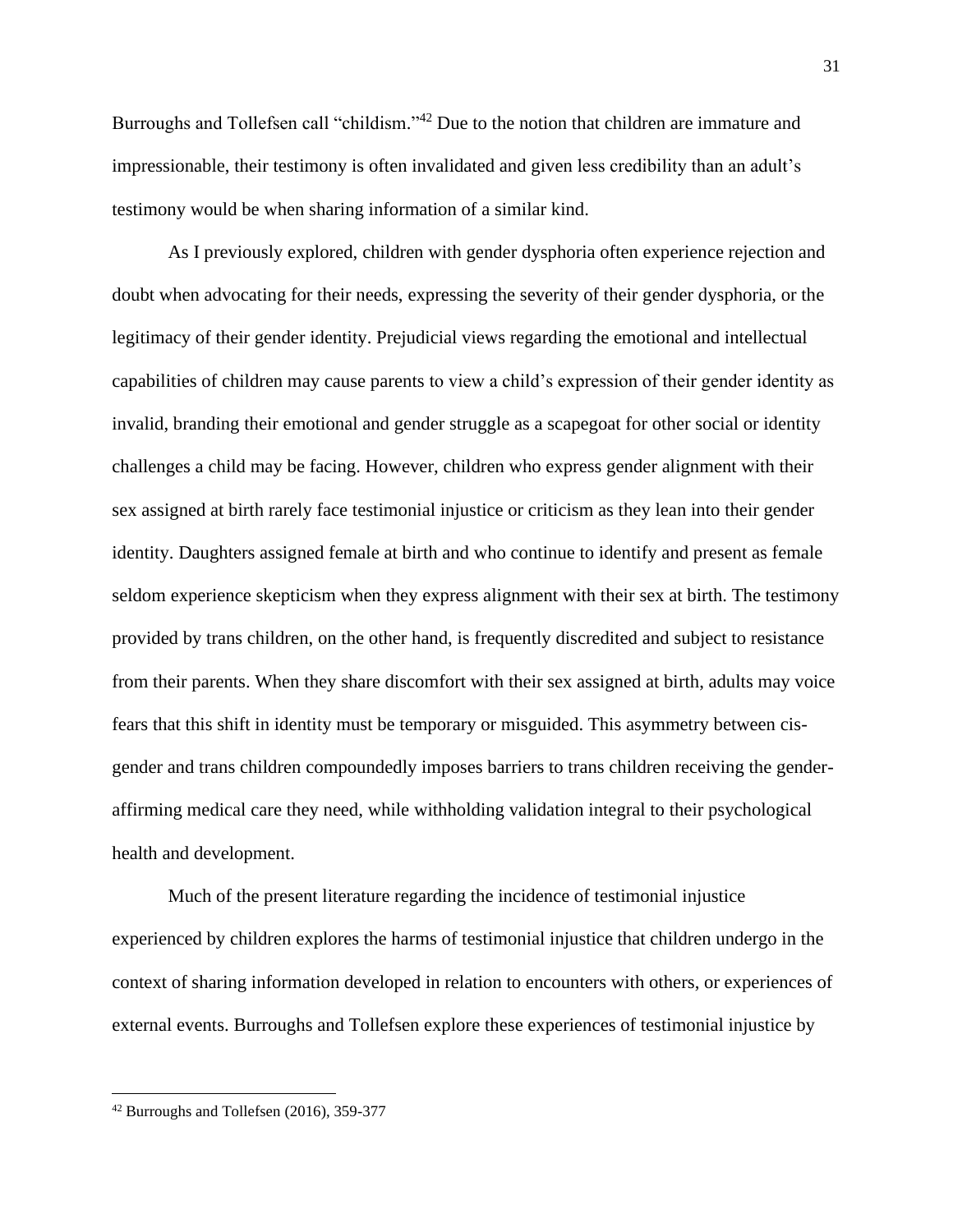Burroughs and Tollefsen call "childism."<sup>42</sup> Due to the notion that children are immature and impressionable, their testimony is often invalidated and given less credibility than an adult's testimony would be when sharing information of a similar kind.

As I previously explored, children with gender dysphoria often experience rejection and doubt when advocating for their needs, expressing the severity of their gender dysphoria, or the legitimacy of their gender identity. Prejudicial views regarding the emotional and intellectual capabilities of children may cause parents to view a child's expression of their gender identity as invalid, branding their emotional and gender struggle as a scapegoat for other social or identity challenges a child may be facing. However, children who express gender alignment with their sex assigned at birth rarely face testimonial injustice or criticism as they lean into their gender identity. Daughters assigned female at birth and who continue to identify and present as female seldom experience skepticism when they express alignment with their sex at birth. The testimony provided by trans children, on the other hand, is frequently discredited and subject to resistance from their parents. When they share discomfort with their sex assigned at birth, adults may voice fears that this shift in identity must be temporary or misguided. This asymmetry between cisgender and trans children compoundedly imposes barriers to trans children receiving the genderaffirming medical care they need, while withholding validation integral to their psychological health and development.

Much of the present literature regarding the incidence of testimonial injustice experienced by children explores the harms of testimonial injustice that children undergo in the context of sharing information developed in relation to encounters with others, or experiences of external events. Burroughs and Tollefsen explore these experiences of testimonial injustice by

<sup>42</sup> Burroughs and Tollefsen (2016), 359-377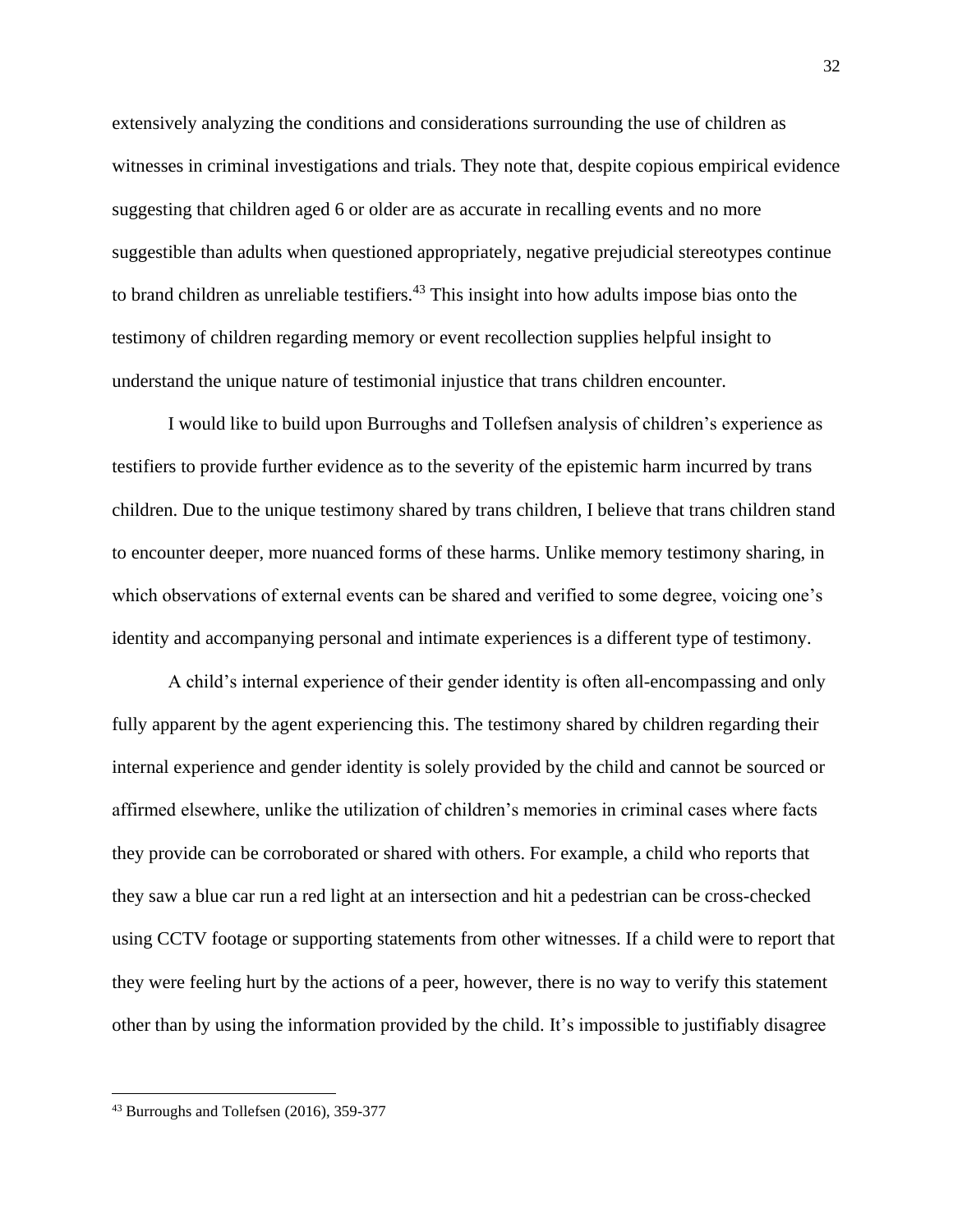extensively analyzing the conditions and considerations surrounding the use of children as witnesses in criminal investigations and trials. They note that, despite copious empirical evidence suggesting that children aged 6 or older are as accurate in recalling events and no more suggestible than adults when questioned appropriately, negative prejudicial stereotypes continue to brand children as unreliable testifiers. <sup>43</sup> This insight into how adults impose bias onto the testimony of children regarding memory or event recollection supplies helpful insight to understand the unique nature of testimonial injustice that trans children encounter.

I would like to build upon Burroughs and Tollefsen analysis of children's experience as testifiers to provide further evidence as to the severity of the epistemic harm incurred by trans children. Due to the unique testimony shared by trans children, I believe that trans children stand to encounter deeper, more nuanced forms of these harms. Unlike memory testimony sharing, in which observations of external events can be shared and verified to some degree, voicing one's identity and accompanying personal and intimate experiences is a different type of testimony.

A child's internal experience of their gender identity is often all-encompassing and only fully apparent by the agent experiencing this. The testimony shared by children regarding their internal experience and gender identity is solely provided by the child and cannot be sourced or affirmed elsewhere, unlike the utilization of children's memories in criminal cases where facts they provide can be corroborated or shared with others. For example, a child who reports that they saw a blue car run a red light at an intersection and hit a pedestrian can be cross-checked using CCTV footage or supporting statements from other witnesses. If a child were to report that they were feeling hurt by the actions of a peer, however, there is no way to verify this statement other than by using the information provided by the child. It's impossible to justifiably disagree

<sup>43</sup> Burroughs and Tollefsen (2016), 359-377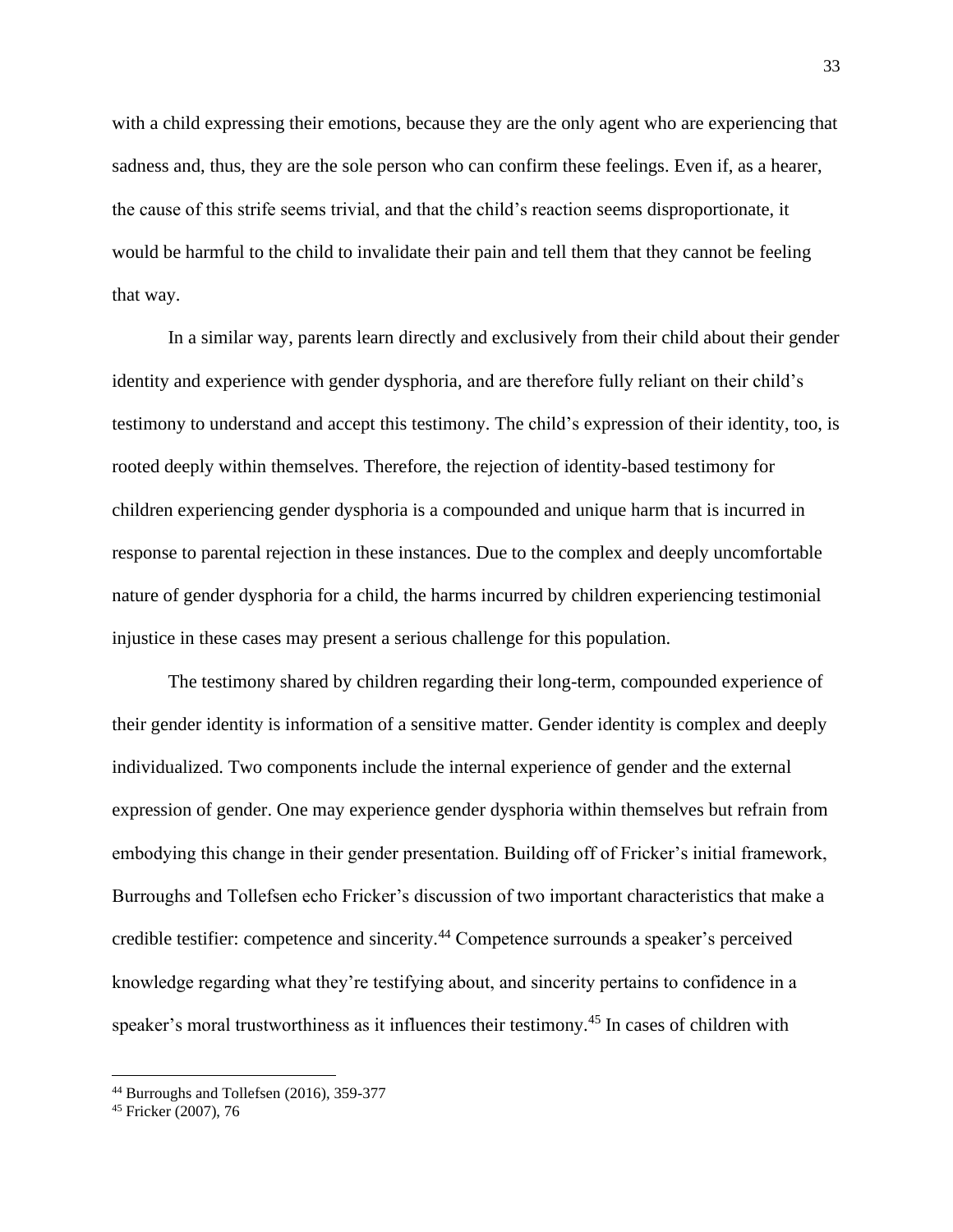with a child expressing their emotions, because they are the only agent who are experiencing that sadness and, thus, they are the sole person who can confirm these feelings. Even if, as a hearer, the cause of this strife seems trivial, and that the child's reaction seems disproportionate, it would be harmful to the child to invalidate their pain and tell them that they cannot be feeling that way.

In a similar way, parents learn directly and exclusively from their child about their gender identity and experience with gender dysphoria, and are therefore fully reliant on their child's testimony to understand and accept this testimony. The child's expression of their identity, too, is rooted deeply within themselves. Therefore, the rejection of identity-based testimony for children experiencing gender dysphoria is a compounded and unique harm that is incurred in response to parental rejection in these instances. Due to the complex and deeply uncomfortable nature of gender dysphoria for a child, the harms incurred by children experiencing testimonial injustice in these cases may present a serious challenge for this population.

The testimony shared by children regarding their long-term, compounded experience of their gender identity is information of a sensitive matter. Gender identity is complex and deeply individualized. Two components include the internal experience of gender and the external expression of gender. One may experience gender dysphoria within themselves but refrain from embodying this change in their gender presentation. Building off of Fricker's initial framework, Burroughs and Tollefsen echo Fricker's discussion of two important characteristics that make a credible testifier: competence and sincerity.<sup>44</sup> Competence surrounds a speaker's perceived knowledge regarding what they're testifying about, and sincerity pertains to confidence in a speaker's moral trustworthiness as it influences their testimony.<sup>45</sup> In cases of children with

<sup>44</sup> Burroughs and Tollefsen (2016), 359-377

<sup>45</sup> Fricker (2007), 76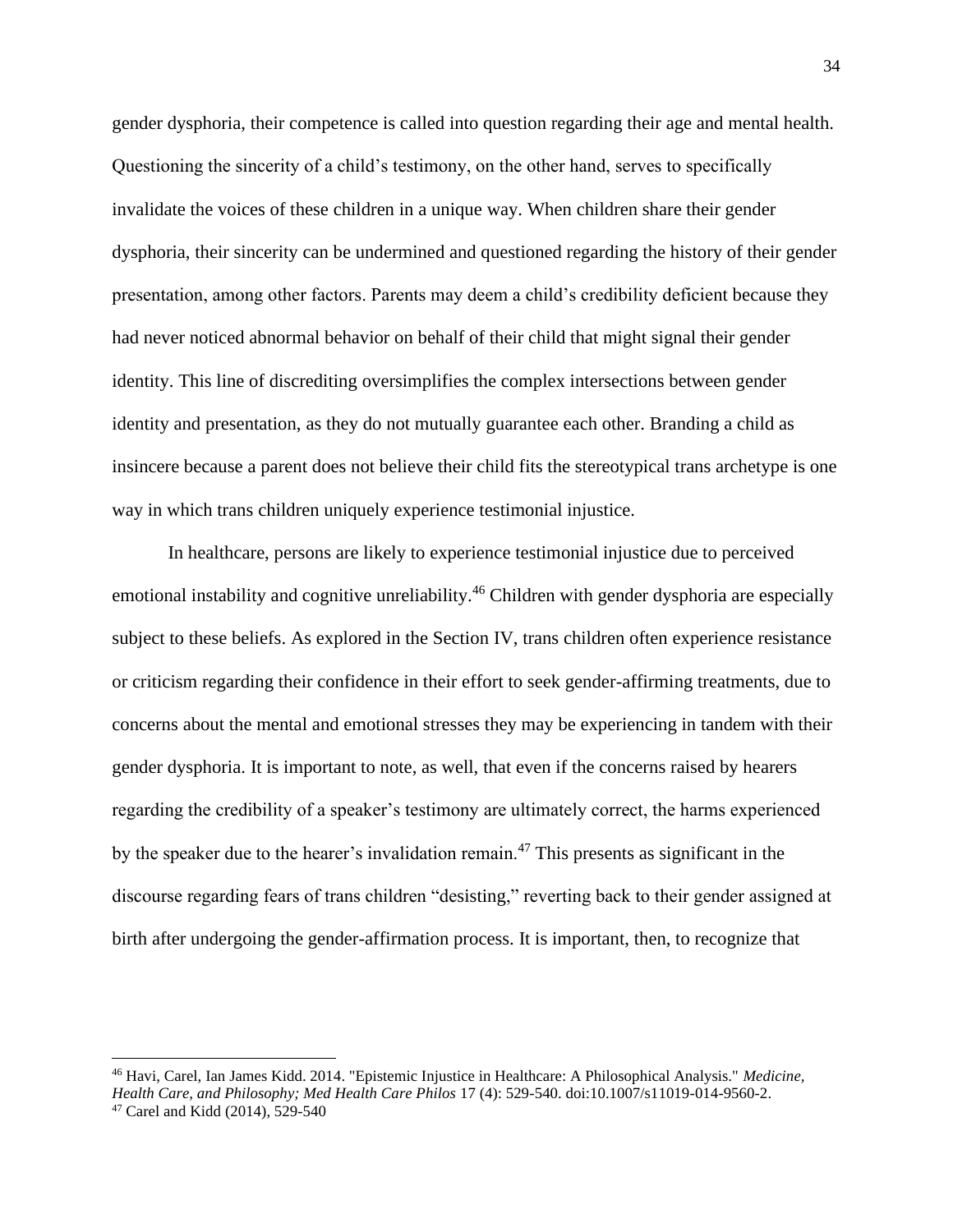gender dysphoria, their competence is called into question regarding their age and mental health. Questioning the sincerity of a child's testimony, on the other hand, serves to specifically invalidate the voices of these children in a unique way. When children share their gender dysphoria, their sincerity can be undermined and questioned regarding the history of their gender presentation, among other factors. Parents may deem a child's credibility deficient because they had never noticed abnormal behavior on behalf of their child that might signal their gender identity. This line of discrediting oversimplifies the complex intersections between gender identity and presentation, as they do not mutually guarantee each other. Branding a child as insincere because a parent does not believe their child fits the stereotypical trans archetype is one way in which trans children uniquely experience testimonial injustice.

In healthcare, persons are likely to experience testimonial injustice due to perceived emotional instability and cognitive unreliability.<sup>46</sup> Children with gender dysphoria are especially subject to these beliefs. As explored in the Section IV, trans children often experience resistance or criticism regarding their confidence in their effort to seek gender-affirming treatments, due to concerns about the mental and emotional stresses they may be experiencing in tandem with their gender dysphoria. It is important to note, as well, that even if the concerns raised by hearers regarding the credibility of a speaker's testimony are ultimately correct, the harms experienced by the speaker due to the hearer's invalidation remain.<sup>47</sup> This presents as significant in the discourse regarding fears of trans children "desisting," reverting back to their gender assigned at birth after undergoing the gender-affirmation process. It is important, then, to recognize that

<sup>46</sup> Havi, Carel, Ian James Kidd. 2014. "Epistemic Injustice in Healthcare: A Philosophical Analysis." *Medicine, Health Care, and Philosophy; Med Health Care Philos* 17 (4): 529-540. doi:10.1007/s11019-014-9560-2. <sup>47</sup> Carel and Kidd (2014), 529-540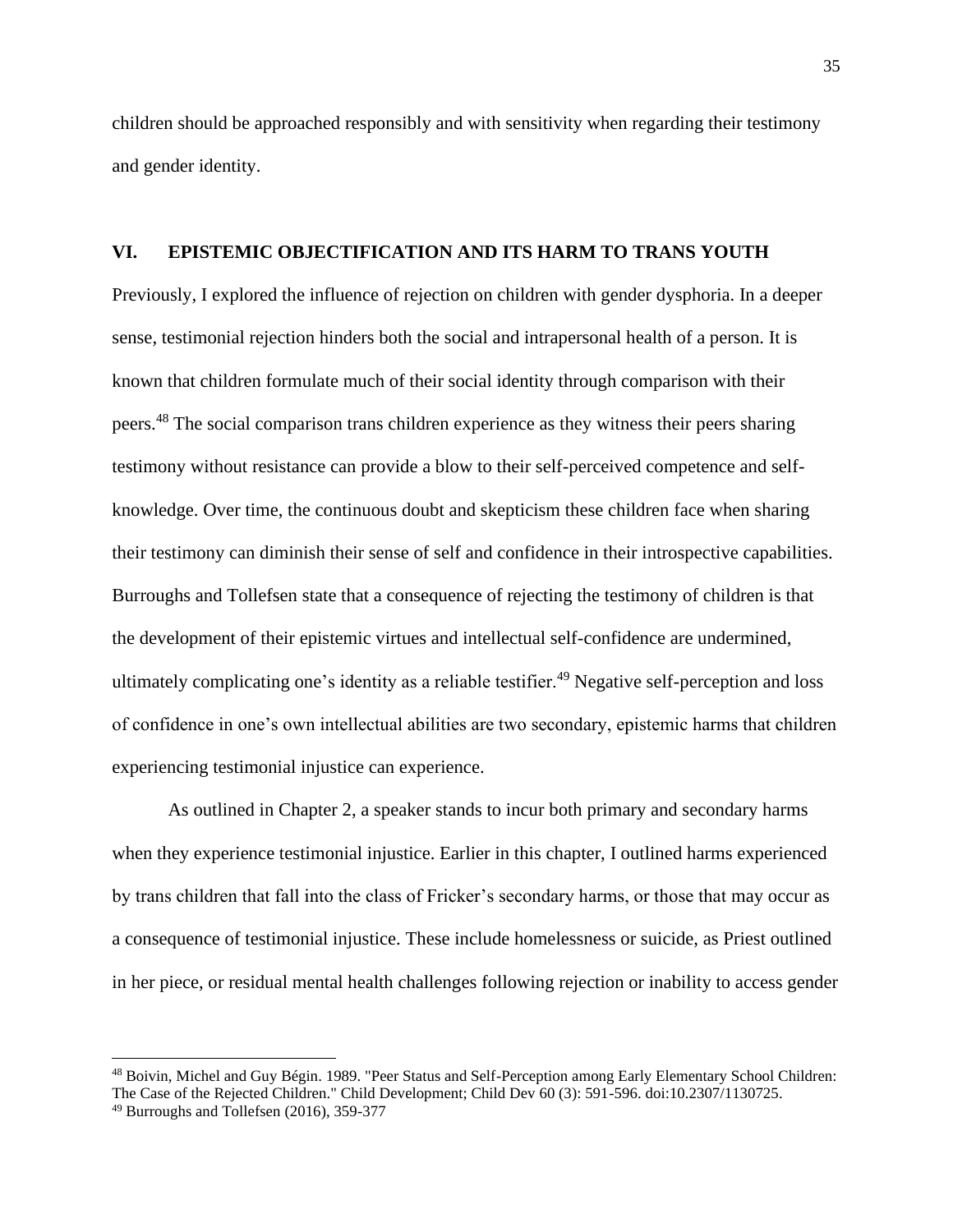children should be approached responsibly and with sensitivity when regarding their testimony and gender identity.

#### **VI. EPISTEMIC OBJECTIFICATION AND ITS HARM TO TRANS YOUTH**

Previously, I explored the influence of rejection on children with gender dysphoria. In a deeper sense, testimonial rejection hinders both the social and intrapersonal health of a person. It is known that children formulate much of their social identity through comparison with their peers.<sup>48</sup> The social comparison trans children experience as they witness their peers sharing testimony without resistance can provide a blow to their self-perceived competence and selfknowledge. Over time, the continuous doubt and skepticism these children face when sharing their testimony can diminish their sense of self and confidence in their introspective capabilities. Burroughs and Tollefsen state that a consequence of rejecting the testimony of children is that the development of their epistemic virtues and intellectual self-confidence are undermined, ultimately complicating one's identity as a reliable testifier.<sup>49</sup> Negative self-perception and loss of confidence in one's own intellectual abilities are two secondary, epistemic harms that children experiencing testimonial injustice can experience.

As outlined in Chapter 2, a speaker stands to incur both primary and secondary harms when they experience testimonial injustice. Earlier in this chapter, I outlined harms experienced by trans children that fall into the class of Fricker's secondary harms, or those that may occur as a consequence of testimonial injustice. These include homelessness or suicide, as Priest outlined in her piece, or residual mental health challenges following rejection or inability to access gender

<sup>48</sup> Boivin, Michel and Guy Bégin. 1989. "Peer Status and Self-Perception among Early Elementary School Children: The Case of the Rejected Children." Child Development; Child Dev 60 (3): 591-596. doi:10.2307/1130725.

<sup>49</sup> Burroughs and Tollefsen (2016), 359-377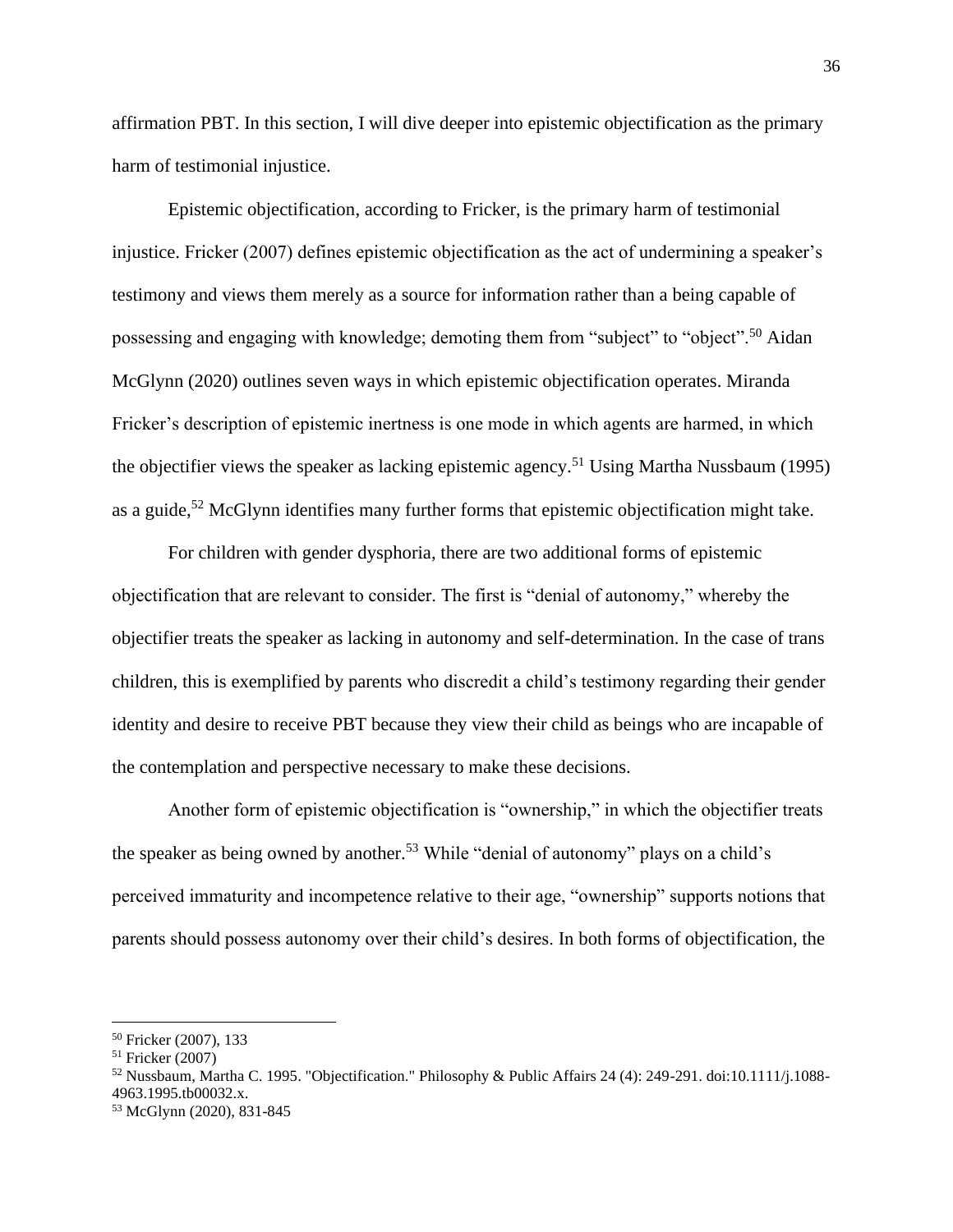affirmation PBT. In this section, I will dive deeper into epistemic objectification as the primary harm of testimonial injustice.

Epistemic objectification, according to Fricker, is the primary harm of testimonial injustice. Fricker (2007) defines epistemic objectification as the act of undermining a speaker's testimony and views them merely as a source for information rather than a being capable of possessing and engaging with knowledge; demoting them from "subject" to "object".<sup>50</sup> Aidan McGlynn (2020) outlines seven ways in which epistemic objectification operates. Miranda Fricker's description of epistemic inertness is one mode in which agents are harmed, in which the objectifier views the speaker as lacking epistemic agency.<sup>51</sup> Using Martha Nussbaum (1995) as a guide,<sup>52</sup> McGlynn identifies many further forms that epistemic objectification might take.

For children with gender dysphoria, there are two additional forms of epistemic objectification that are relevant to consider. The first is "denial of autonomy," whereby the objectifier treats the speaker as lacking in autonomy and self-determination. In the case of trans children, this is exemplified by parents who discredit a child's testimony regarding their gender identity and desire to receive PBT because they view their child as beings who are incapable of the contemplation and perspective necessary to make these decisions.

Another form of epistemic objectification is "ownership," in which the objectifier treats the speaker as being owned by another.<sup>53</sup> While "denial of autonomy" plays on a child's perceived immaturity and incompetence relative to their age, "ownership" supports notions that parents should possess autonomy over their child's desires. In both forms of objectification, the

<sup>50</sup> Fricker (2007), 133

<sup>51</sup> Fricker (2007)

<sup>52</sup> Nussbaum, Martha C. 1995. "Objectification." Philosophy & Public Affairs 24 (4): 249-291. doi:10.1111/j.1088- 4963.1995.tb00032.x.

<sup>53</sup> McGlynn (2020), 831-845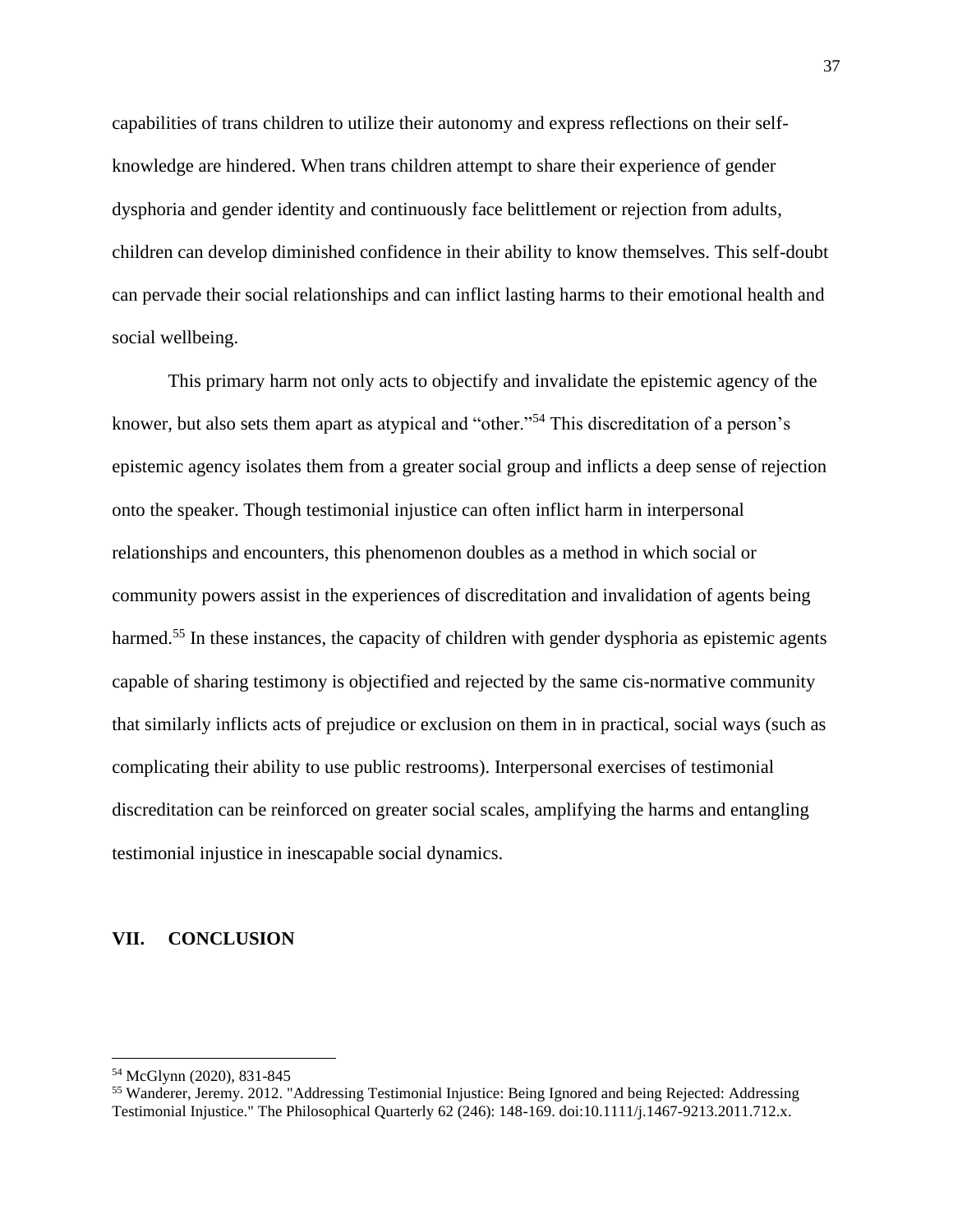capabilities of trans children to utilize their autonomy and express reflections on their selfknowledge are hindered. When trans children attempt to share their experience of gender dysphoria and gender identity and continuously face belittlement or rejection from adults, children can develop diminished confidence in their ability to know themselves. This self-doubt can pervade their social relationships and can inflict lasting harms to their emotional health and social wellbeing.

This primary harm not only acts to objectify and invalidate the epistemic agency of the knower, but also sets them apart as atypical and "other."<sup>54</sup> This discreditation of a person's epistemic agency isolates them from a greater social group and inflicts a deep sense of rejection onto the speaker. Though testimonial injustice can often inflict harm in interpersonal relationships and encounters, this phenomenon doubles as a method in which social or community powers assist in the experiences of discreditation and invalidation of agents being harmed.<sup>55</sup> In these instances, the capacity of children with gender dysphoria as epistemic agents capable of sharing testimony is objectified and rejected by the same cis-normative community that similarly inflicts acts of prejudice or exclusion on them in in practical, social ways (such as complicating their ability to use public restrooms). Interpersonal exercises of testimonial discreditation can be reinforced on greater social scales, amplifying the harms and entangling testimonial injustice in inescapable social dynamics.

#### **VII. CONCLUSION**

<sup>54</sup> McGlynn (2020), 831-845

<sup>55</sup> Wanderer, Jeremy. 2012. "Addressing Testimonial Injustice: Being Ignored and being Rejected: Addressing Testimonial Injustice." The Philosophical Quarterly 62 (246): 148-169. doi:10.1111/j.1467-9213.2011.712.x.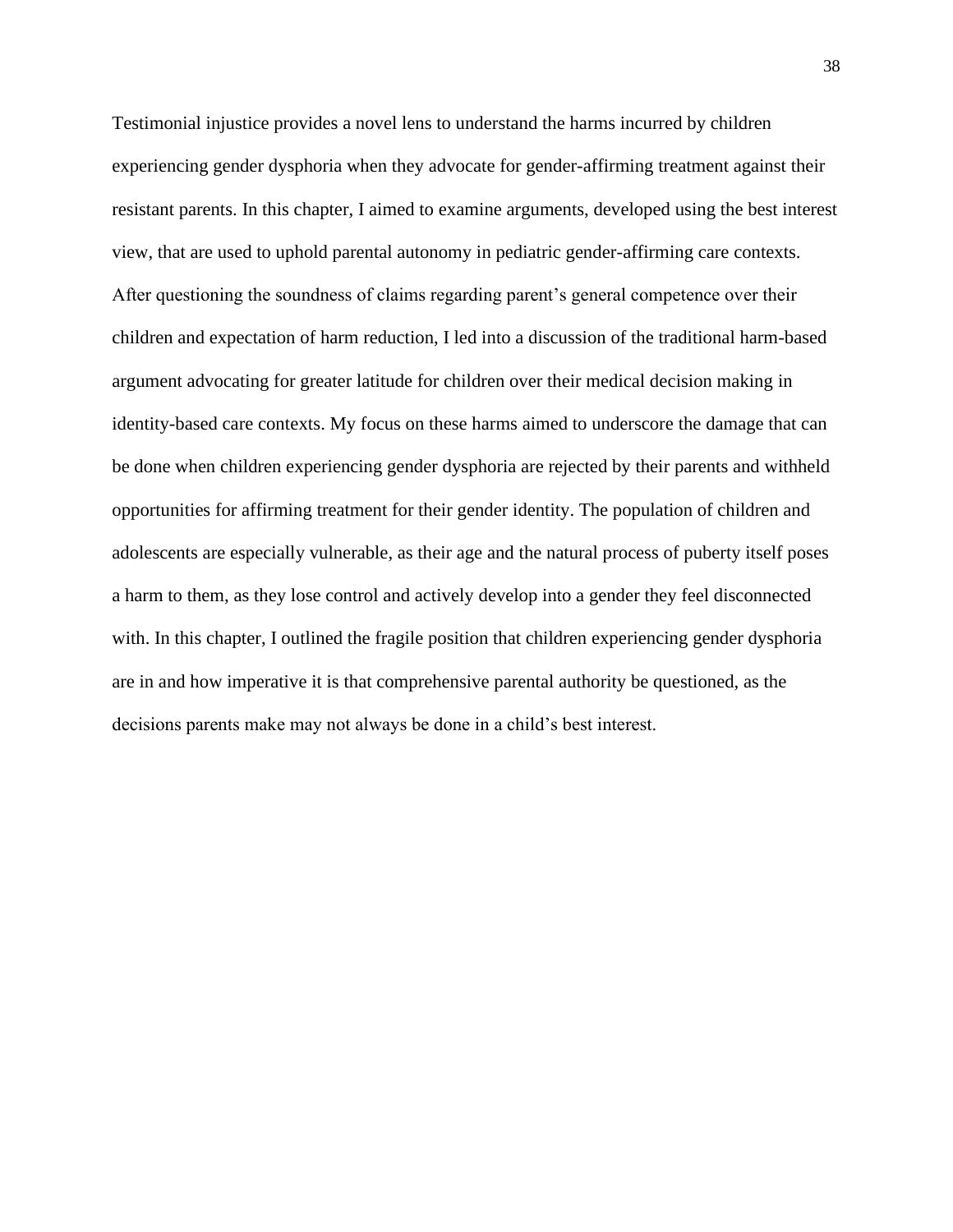Testimonial injustice provides a novel lens to understand the harms incurred by children experiencing gender dysphoria when they advocate for gender-affirming treatment against their resistant parents. In this chapter, I aimed to examine arguments, developed using the best interest view, that are used to uphold parental autonomy in pediatric gender-affirming care contexts. After questioning the soundness of claims regarding parent's general competence over their children and expectation of harm reduction, I led into a discussion of the traditional harm-based argument advocating for greater latitude for children over their medical decision making in identity-based care contexts. My focus on these harms aimed to underscore the damage that can be done when children experiencing gender dysphoria are rejected by their parents and withheld opportunities for affirming treatment for their gender identity. The population of children and adolescents are especially vulnerable, as their age and the natural process of puberty itself poses a harm to them, as they lose control and actively develop into a gender they feel disconnected with. In this chapter, I outlined the fragile position that children experiencing gender dysphoria are in and how imperative it is that comprehensive parental authority be questioned, as the decisions parents make may not always be done in a child's best interest.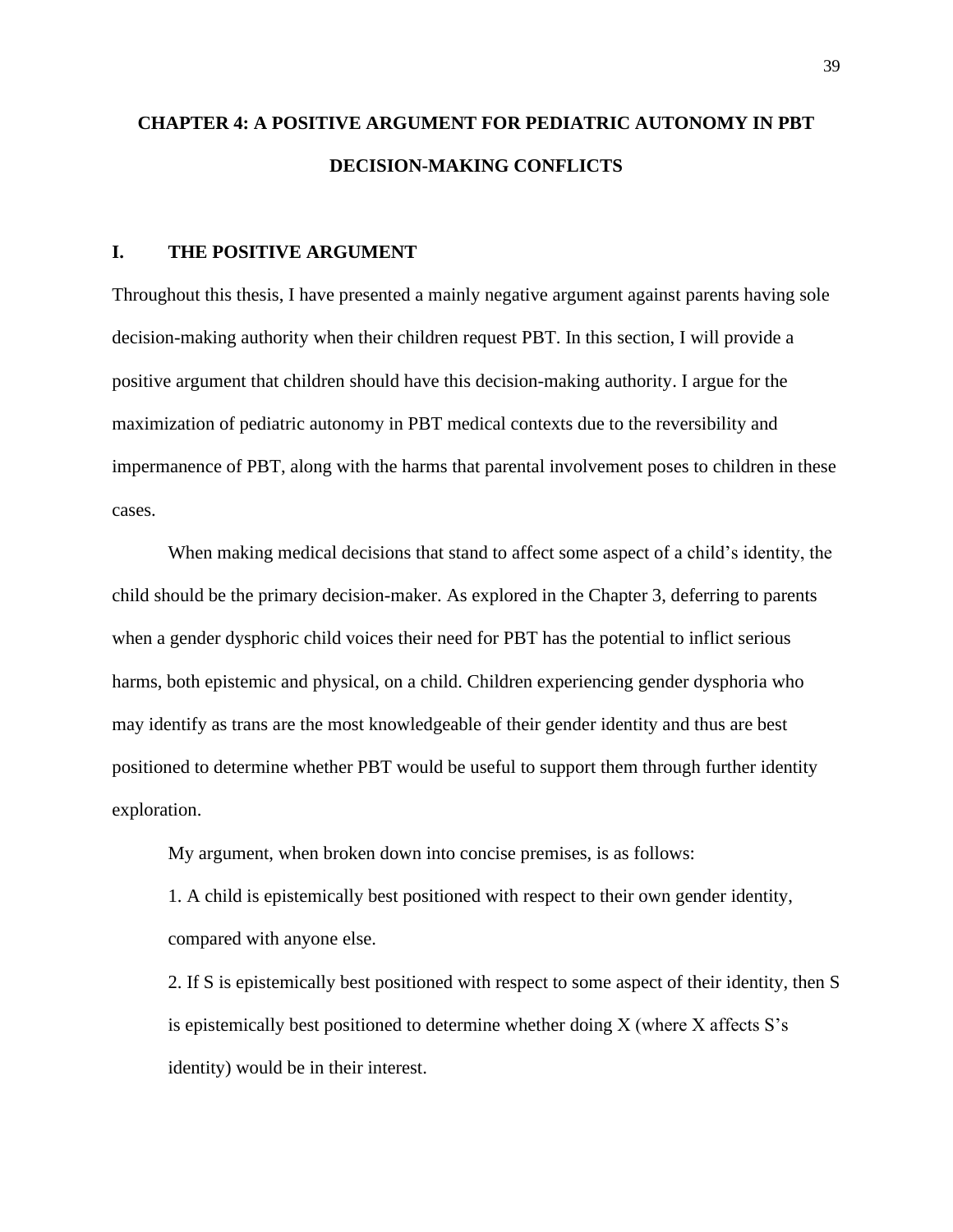# **CHAPTER 4: A POSITIVE ARGUMENT FOR PEDIATRIC AUTONOMY IN PBT DECISION-MAKING CONFLICTS**

### **I. THE POSITIVE ARGUMENT**

Throughout this thesis, I have presented a mainly negative argument against parents having sole decision-making authority when their children request PBT. In this section, I will provide a positive argument that children should have this decision-making authority. I argue for the maximization of pediatric autonomy in PBT medical contexts due to the reversibility and impermanence of PBT, along with the harms that parental involvement poses to children in these cases.

When making medical decisions that stand to affect some aspect of a child's identity, the child should be the primary decision-maker. As explored in the Chapter 3, deferring to parents when a gender dysphoric child voices their need for PBT has the potential to inflict serious harms, both epistemic and physical, on a child. Children experiencing gender dysphoria who may identify as trans are the most knowledgeable of their gender identity and thus are best positioned to determine whether PBT would be useful to support them through further identity exploration.

My argument, when broken down into concise premises, is as follows:

1. A child is epistemically best positioned with respect to their own gender identity, compared with anyone else.

2. If S is epistemically best positioned with respect to some aspect of their identity, then S is epistemically best positioned to determine whether doing X (where X affects S's identity) would be in their interest.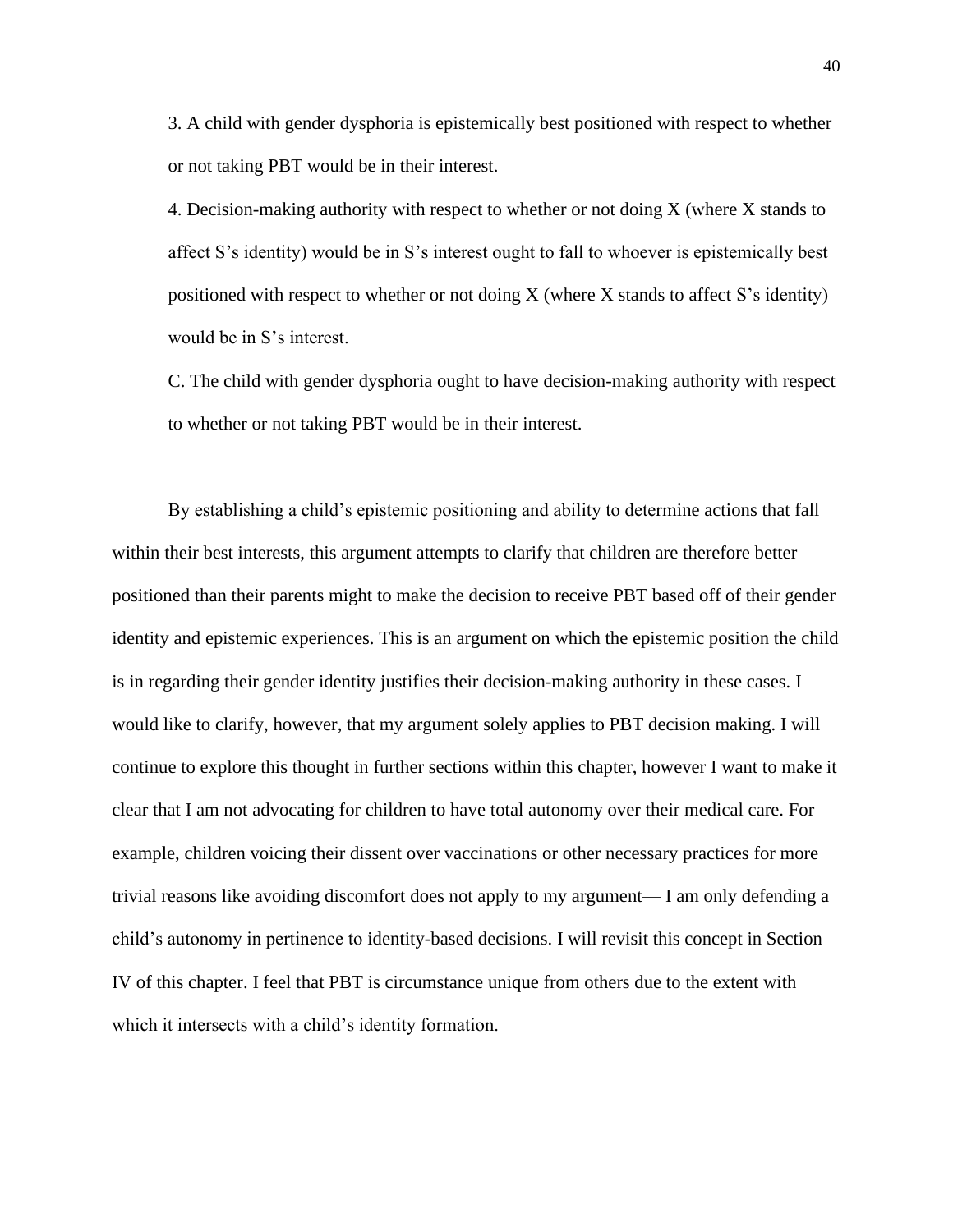3. A child with gender dysphoria is epistemically best positioned with respect to whether or not taking PBT would be in their interest.

4. Decision-making authority with respect to whether or not doing X (where X stands to affect S's identity) would be in S's interest ought to fall to whoever is epistemically best positioned with respect to whether or not doing  $X$  (where  $X$  stands to affect  $S$ 's identity) would be in S's interest.

C. The child with gender dysphoria ought to have decision-making authority with respect to whether or not taking PBT would be in their interest.

By establishing a child's epistemic positioning and ability to determine actions that fall within their best interests, this argument attempts to clarify that children are therefore better positioned than their parents might to make the decision to receive PBT based off of their gender identity and epistemic experiences. This is an argument on which the epistemic position the child is in regarding their gender identity justifies their decision-making authority in these cases. I would like to clarify, however, that my argument solely applies to PBT decision making. I will continue to explore this thought in further sections within this chapter, however I want to make it clear that I am not advocating for children to have total autonomy over their medical care. For example, children voicing their dissent over vaccinations or other necessary practices for more trivial reasons like avoiding discomfort does not apply to my argument— I am only defending a child's autonomy in pertinence to identity-based decisions. I will revisit this concept in Section IV of this chapter. I feel that PBT is circumstance unique from others due to the extent with which it intersects with a child's identity formation.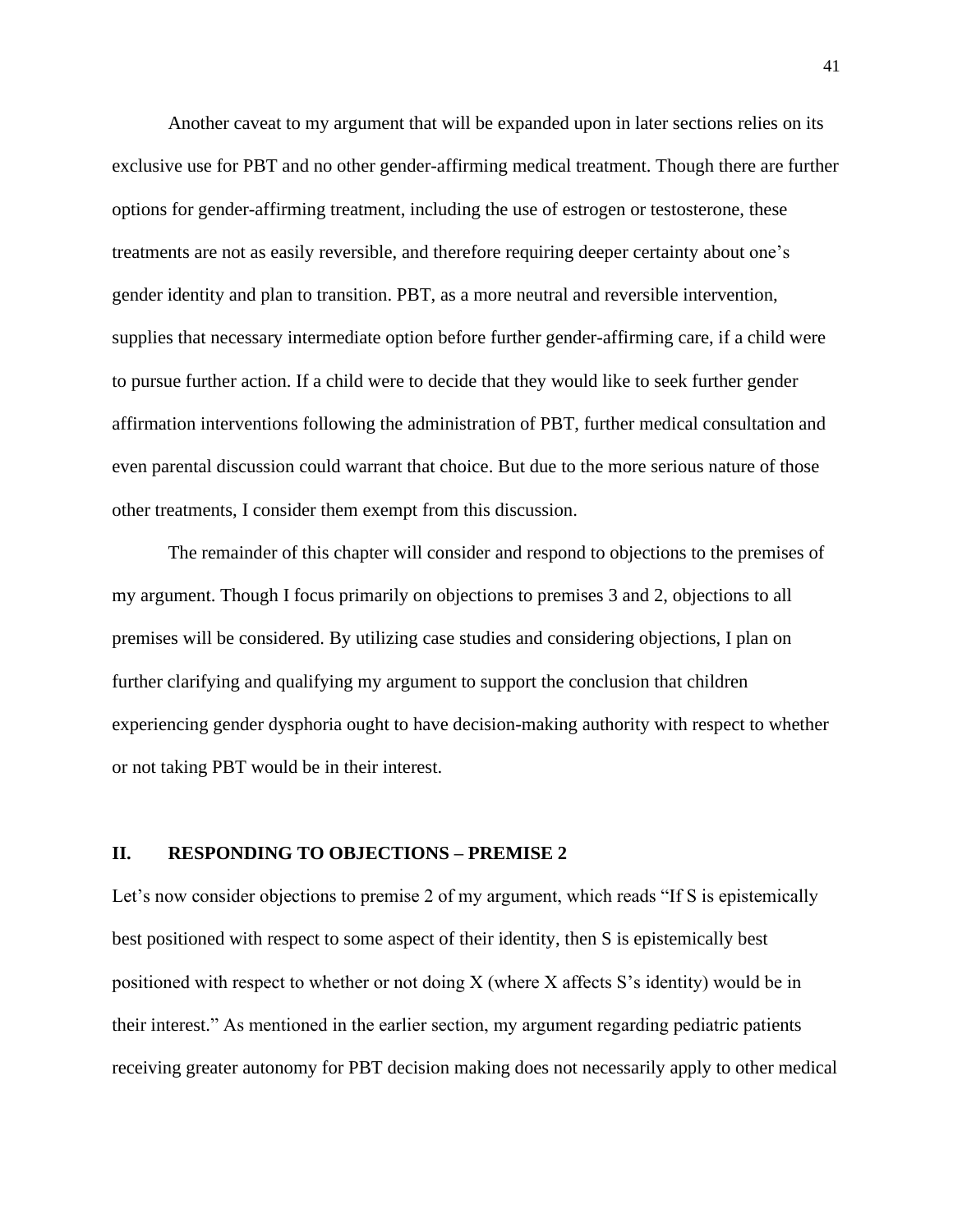Another caveat to my argument that will be expanded upon in later sections relies on its exclusive use for PBT and no other gender-affirming medical treatment. Though there are further options for gender-affirming treatment, including the use of estrogen or testosterone, these treatments are not as easily reversible, and therefore requiring deeper certainty about one's gender identity and plan to transition. PBT, as a more neutral and reversible intervention, supplies that necessary intermediate option before further gender-affirming care, if a child were to pursue further action. If a child were to decide that they would like to seek further gender affirmation interventions following the administration of PBT, further medical consultation and even parental discussion could warrant that choice. But due to the more serious nature of those other treatments, I consider them exempt from this discussion.

The remainder of this chapter will consider and respond to objections to the premises of my argument. Though I focus primarily on objections to premises 3 and 2, objections to all premises will be considered. By utilizing case studies and considering objections, I plan on further clarifying and qualifying my argument to support the conclusion that children experiencing gender dysphoria ought to have decision-making authority with respect to whether or not taking PBT would be in their interest.

### **II. RESPONDING TO OBJECTIONS – PREMISE 2**

Let's now consider objections to premise 2 of my argument, which reads "If S is epistemically best positioned with respect to some aspect of their identity, then S is epistemically best positioned with respect to whether or not doing X (where X affects S's identity) would be in their interest." As mentioned in the earlier section, my argument regarding pediatric patients receiving greater autonomy for PBT decision making does not necessarily apply to other medical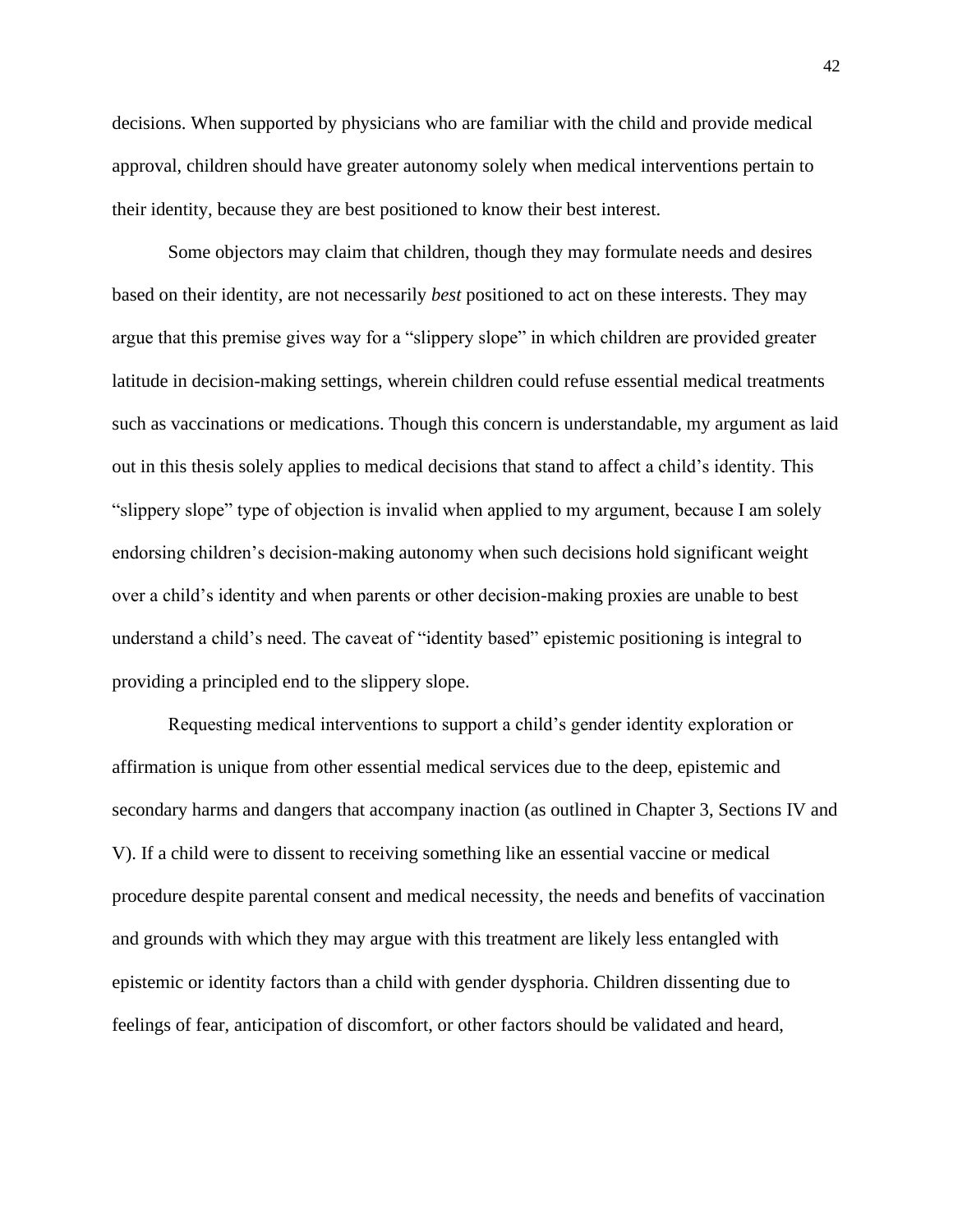decisions. When supported by physicians who are familiar with the child and provide medical approval, children should have greater autonomy solely when medical interventions pertain to their identity, because they are best positioned to know their best interest.

Some objectors may claim that children, though they may formulate needs and desires based on their identity, are not necessarily *best* positioned to act on these interests. They may argue that this premise gives way for a "slippery slope" in which children are provided greater latitude in decision-making settings, wherein children could refuse essential medical treatments such as vaccinations or medications. Though this concern is understandable, my argument as laid out in this thesis solely applies to medical decisions that stand to affect a child's identity. This "slippery slope" type of objection is invalid when applied to my argument, because I am solely endorsing children's decision-making autonomy when such decisions hold significant weight over a child's identity and when parents or other decision-making proxies are unable to best understand a child's need. The caveat of "identity based" epistemic positioning is integral to providing a principled end to the slippery slope.

Requesting medical interventions to support a child's gender identity exploration or affirmation is unique from other essential medical services due to the deep, epistemic and secondary harms and dangers that accompany inaction (as outlined in Chapter 3, Sections IV and V). If a child were to dissent to receiving something like an essential vaccine or medical procedure despite parental consent and medical necessity, the needs and benefits of vaccination and grounds with which they may argue with this treatment are likely less entangled with epistemic or identity factors than a child with gender dysphoria. Children dissenting due to feelings of fear, anticipation of discomfort, or other factors should be validated and heard,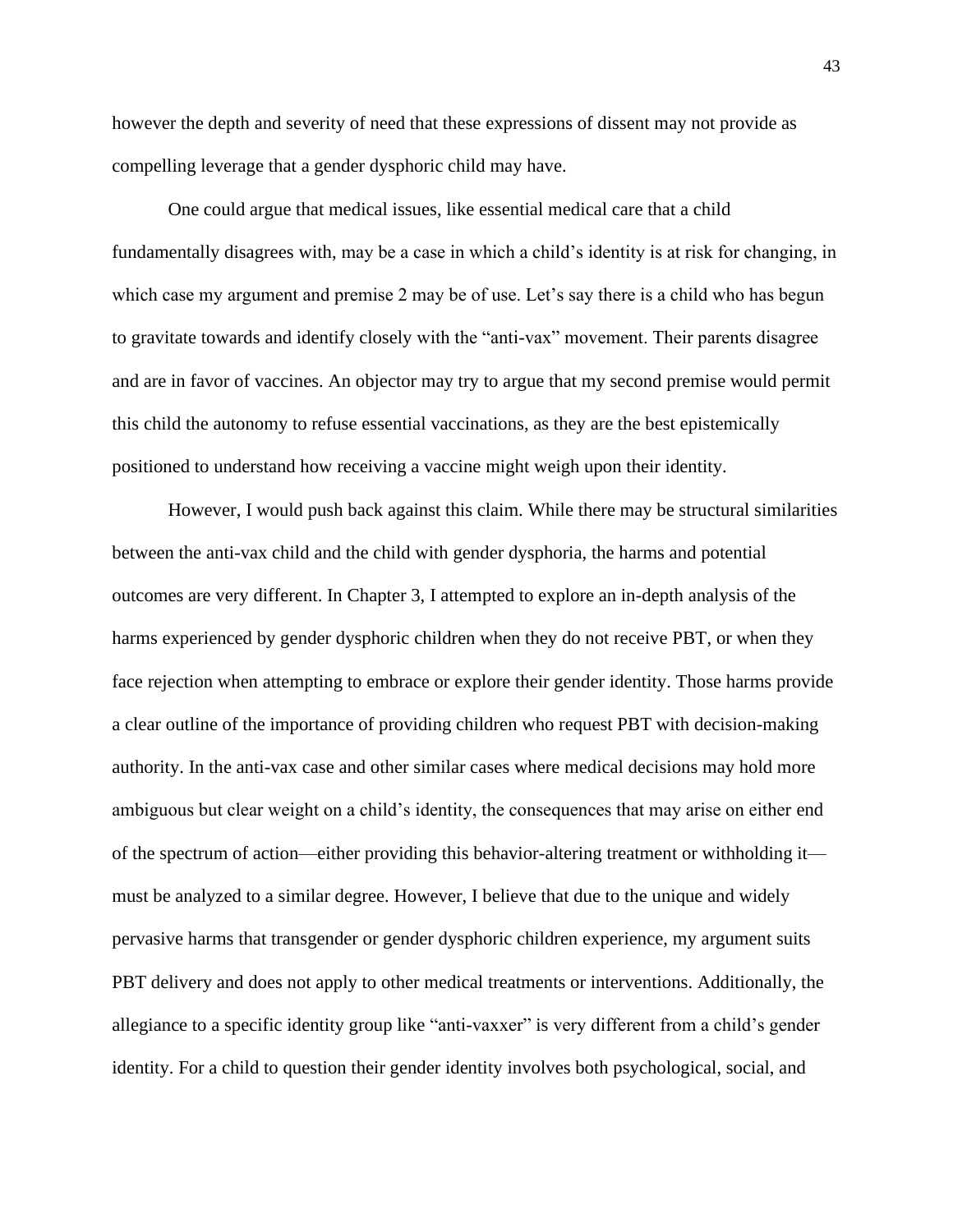however the depth and severity of need that these expressions of dissent may not provide as compelling leverage that a gender dysphoric child may have.

One could argue that medical issues, like essential medical care that a child fundamentally disagrees with, may be a case in which a child's identity is at risk for changing, in which case my argument and premise 2 may be of use. Let's say there is a child who has begun to gravitate towards and identify closely with the "anti-vax" movement. Their parents disagree and are in favor of vaccines. An objector may try to argue that my second premise would permit this child the autonomy to refuse essential vaccinations, as they are the best epistemically positioned to understand how receiving a vaccine might weigh upon their identity.

However, I would push back against this claim. While there may be structural similarities between the anti-vax child and the child with gender dysphoria, the harms and potential outcomes are very different. In Chapter 3, I attempted to explore an in-depth analysis of the harms experienced by gender dysphoric children when they do not receive PBT, or when they face rejection when attempting to embrace or explore their gender identity. Those harms provide a clear outline of the importance of providing children who request PBT with decision-making authority. In the anti-vax case and other similar cases where medical decisions may hold more ambiguous but clear weight on a child's identity, the consequences that may arise on either end of the spectrum of action—either providing this behavior-altering treatment or withholding it must be analyzed to a similar degree. However, I believe that due to the unique and widely pervasive harms that transgender or gender dysphoric children experience, my argument suits PBT delivery and does not apply to other medical treatments or interventions. Additionally, the allegiance to a specific identity group like "anti-vaxxer" is very different from a child's gender identity. For a child to question their gender identity involves both psychological, social, and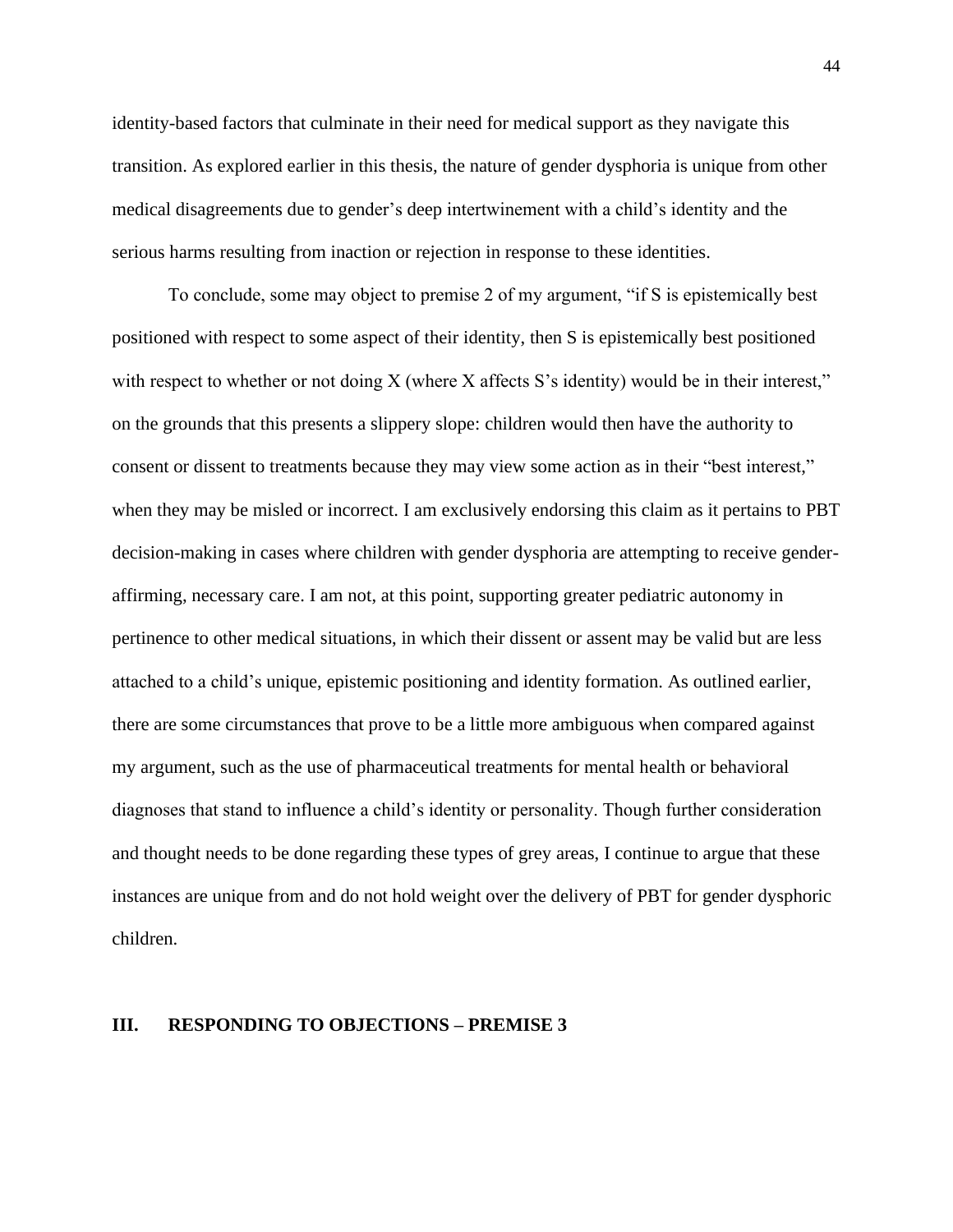identity-based factors that culminate in their need for medical support as they navigate this transition. As explored earlier in this thesis, the nature of gender dysphoria is unique from other medical disagreements due to gender's deep intertwinement with a child's identity and the serious harms resulting from inaction or rejection in response to these identities.

To conclude, some may object to premise 2 of my argument, "if S is epistemically best positioned with respect to some aspect of their identity, then S is epistemically best positioned with respect to whether or not doing X (where X affects S's identity) would be in their interest," on the grounds that this presents a slippery slope: children would then have the authority to consent or dissent to treatments because they may view some action as in their "best interest," when they may be misled or incorrect. I am exclusively endorsing this claim as it pertains to PBT decision-making in cases where children with gender dysphoria are attempting to receive genderaffirming, necessary care. I am not, at this point, supporting greater pediatric autonomy in pertinence to other medical situations, in which their dissent or assent may be valid but are less attached to a child's unique, epistemic positioning and identity formation. As outlined earlier, there are some circumstances that prove to be a little more ambiguous when compared against my argument, such as the use of pharmaceutical treatments for mental health or behavioral diagnoses that stand to influence a child's identity or personality. Though further consideration and thought needs to be done regarding these types of grey areas, I continue to argue that these instances are unique from and do not hold weight over the delivery of PBT for gender dysphoric children.

### **III. RESPONDING TO OBJECTIONS – PREMISE 3**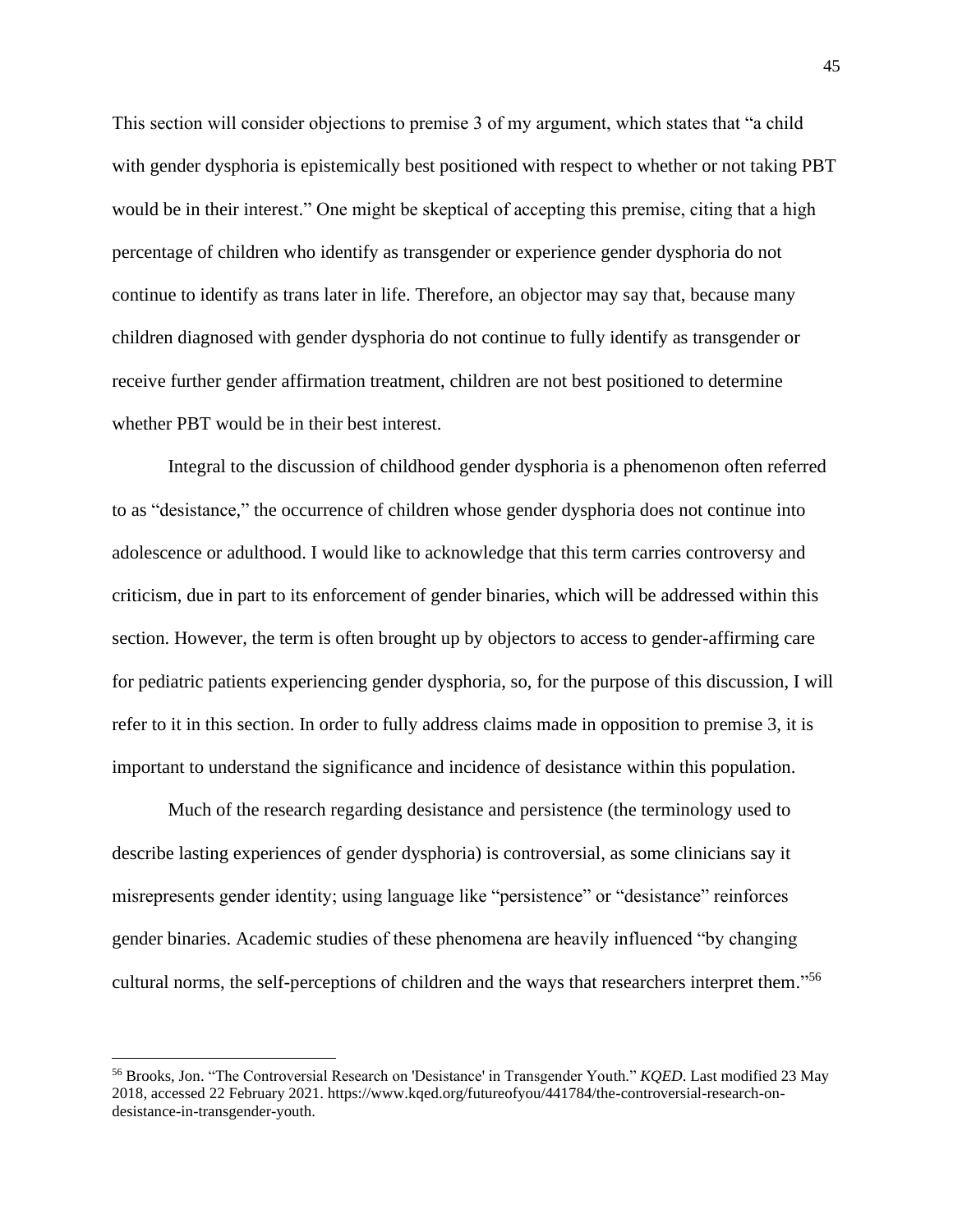This section will consider objections to premise 3 of my argument, which states that "a child with gender dysphoria is epistemically best positioned with respect to whether or not taking PBT would be in their interest." One might be skeptical of accepting this premise, citing that a high percentage of children who identify as transgender or experience gender dysphoria do not continue to identify as trans later in life. Therefore, an objector may say that, because many children diagnosed with gender dysphoria do not continue to fully identify as transgender or receive further gender affirmation treatment, children are not best positioned to determine whether PBT would be in their best interest.

Integral to the discussion of childhood gender dysphoria is a phenomenon often referred to as "desistance," the occurrence of children whose gender dysphoria does not continue into adolescence or adulthood. I would like to acknowledge that this term carries controversy and criticism, due in part to its enforcement of gender binaries, which will be addressed within this section. However, the term is often brought up by objectors to access to gender-affirming care for pediatric patients experiencing gender dysphoria, so, for the purpose of this discussion, I will refer to it in this section. In order to fully address claims made in opposition to premise 3, it is important to understand the significance and incidence of desistance within this population.

Much of the research regarding desistance and persistence (the terminology used to describe lasting experiences of gender dysphoria) is controversial, as some clinicians say it misrepresents gender identity; using language like "persistence" or "desistance" reinforces gender binaries. Academic studies of these phenomena are heavily influenced "by changing cultural norms, the self-perceptions of children and the ways that researchers interpret them." 56

<sup>56</sup> Brooks, Jon. "The Controversial Research on 'Desistance' in Transgender Youth." *KQED*. Last modified 23 May 2018, accessed 22 February 2021. https://www.kqed.org/futureofyou/441784/the-controversial-research-ondesistance-in-transgender-youth.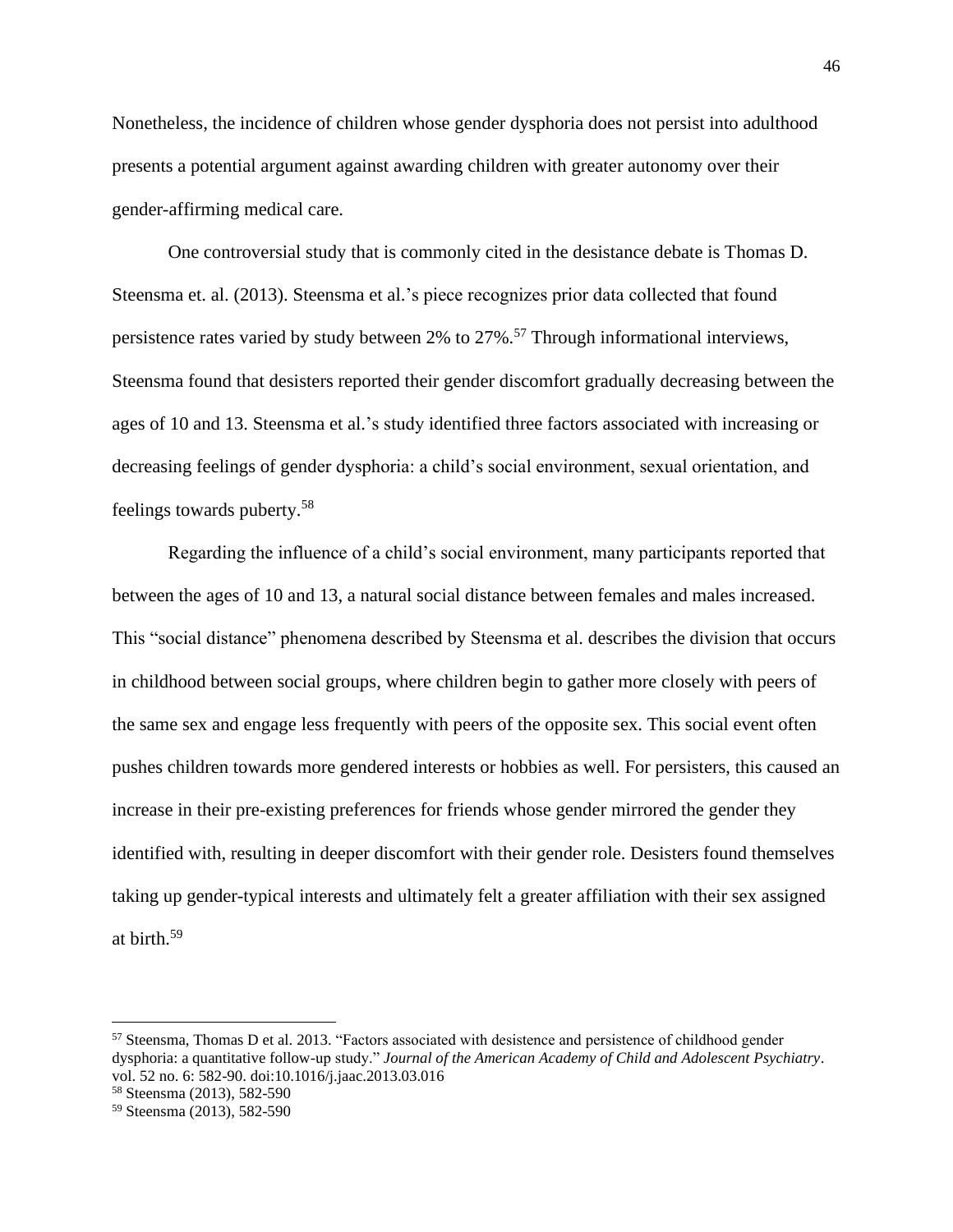Nonetheless, the incidence of children whose gender dysphoria does not persist into adulthood presents a potential argument against awarding children with greater autonomy over their gender-affirming medical care.

One controversial study that is commonly cited in the desistance debate is Thomas D. Steensma et. al. (2013). Steensma et al.'s piece recognizes prior data collected that found persistence rates varied by study between 2% to 27%.<sup>57</sup> Through informational interviews, Steensma found that desisters reported their gender discomfort gradually decreasing between the ages of 10 and 13. Steensma et al.'s study identified three factors associated with increasing or decreasing feelings of gender dysphoria: a child's social environment, sexual orientation, and feelings towards puberty.<sup>58</sup>

Regarding the influence of a child's social environment, many participants reported that between the ages of 10 and 13, a natural social distance between females and males increased. This "social distance" phenomena described by Steensma et al. describes the division that occurs in childhood between social groups, where children begin to gather more closely with peers of the same sex and engage less frequently with peers of the opposite sex. This social event often pushes children towards more gendered interests or hobbies as well. For persisters, this caused an increase in their pre-existing preferences for friends whose gender mirrored the gender they identified with, resulting in deeper discomfort with their gender role. Desisters found themselves taking up gender-typical interests and ultimately felt a greater affiliation with their sex assigned at birth.<sup>59</sup>

<sup>57</sup> Steensma, Thomas D et al. 2013. "Factors associated with desistence and persistence of childhood gender dysphoria: a quantitative follow-up study." *Journal of the American Academy of Child and Adolescent Psychiatry*. vol. 52 no. 6: 582-90. doi:10.1016/j.jaac.2013.03.016

<sup>58</sup> Steensma (2013), 582-590

<sup>59</sup> Steensma (2013), 582-590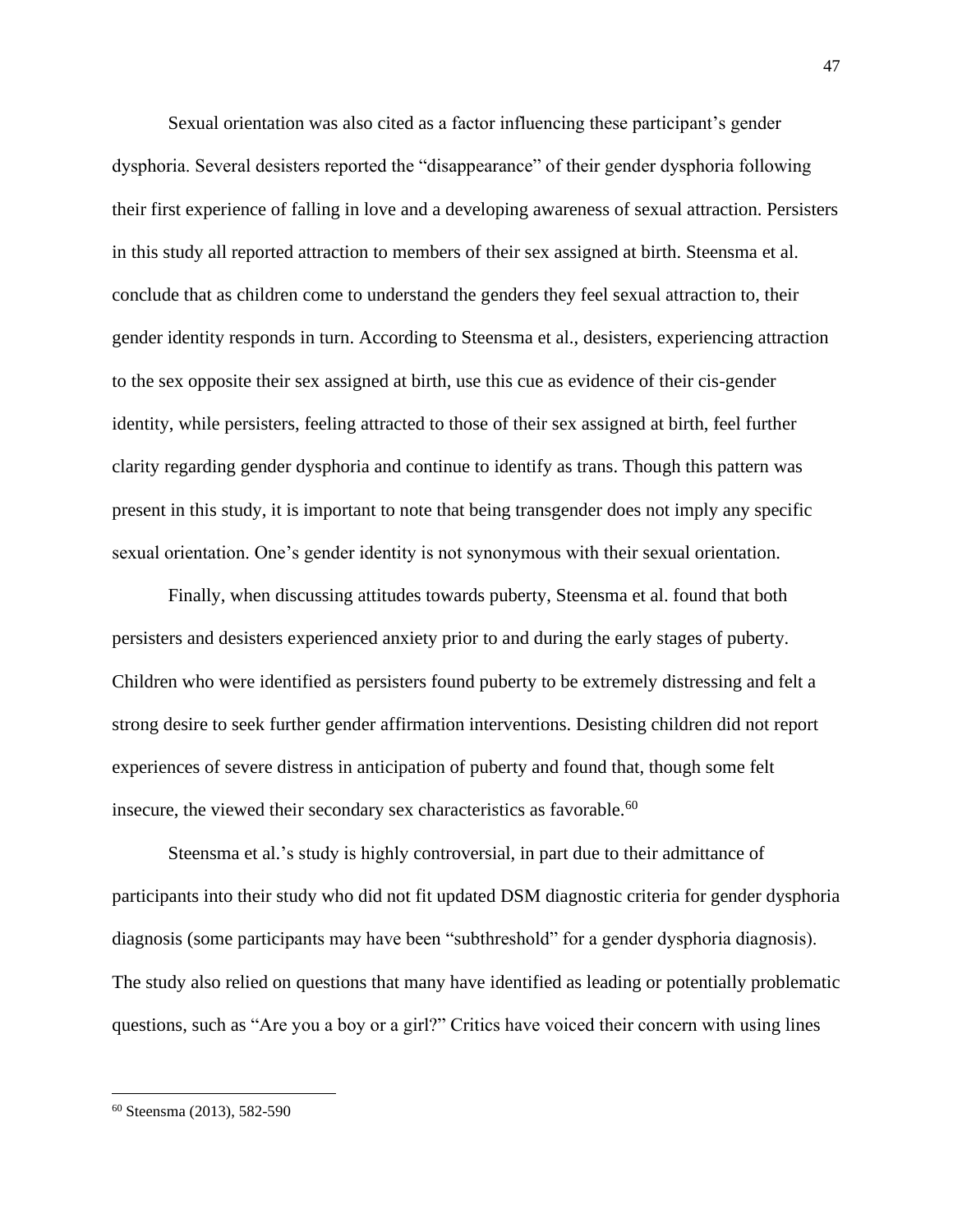Sexual orientation was also cited as a factor influencing these participant's gender dysphoria. Several desisters reported the "disappearance" of their gender dysphoria following their first experience of falling in love and a developing awareness of sexual attraction. Persisters in this study all reported attraction to members of their sex assigned at birth. Steensma et al. conclude that as children come to understand the genders they feel sexual attraction to, their gender identity responds in turn. According to Steensma et al., desisters, experiencing attraction to the sex opposite their sex assigned at birth, use this cue as evidence of their cis-gender identity, while persisters, feeling attracted to those of their sex assigned at birth, feel further clarity regarding gender dysphoria and continue to identify as trans. Though this pattern was present in this study, it is important to note that being transgender does not imply any specific sexual orientation. One's gender identity is not synonymous with their sexual orientation.

Finally, when discussing attitudes towards puberty, Steensma et al. found that both persisters and desisters experienced anxiety prior to and during the early stages of puberty. Children who were identified as persisters found puberty to be extremely distressing and felt a strong desire to seek further gender affirmation interventions. Desisting children did not report experiences of severe distress in anticipation of puberty and found that, though some felt insecure, the viewed their secondary sex characteristics as favorable.<sup>60</sup>

Steensma et al.'s study is highly controversial, in part due to their admittance of participants into their study who did not fit updated DSM diagnostic criteria for gender dysphoria diagnosis (some participants may have been "subthreshold" for a gender dysphoria diagnosis). The study also relied on questions that many have identified as leading or potentially problematic questions, such as "Are you a boy or a girl?" Critics have voiced their concern with using lines

<sup>60</sup> Steensma (2013), 582-590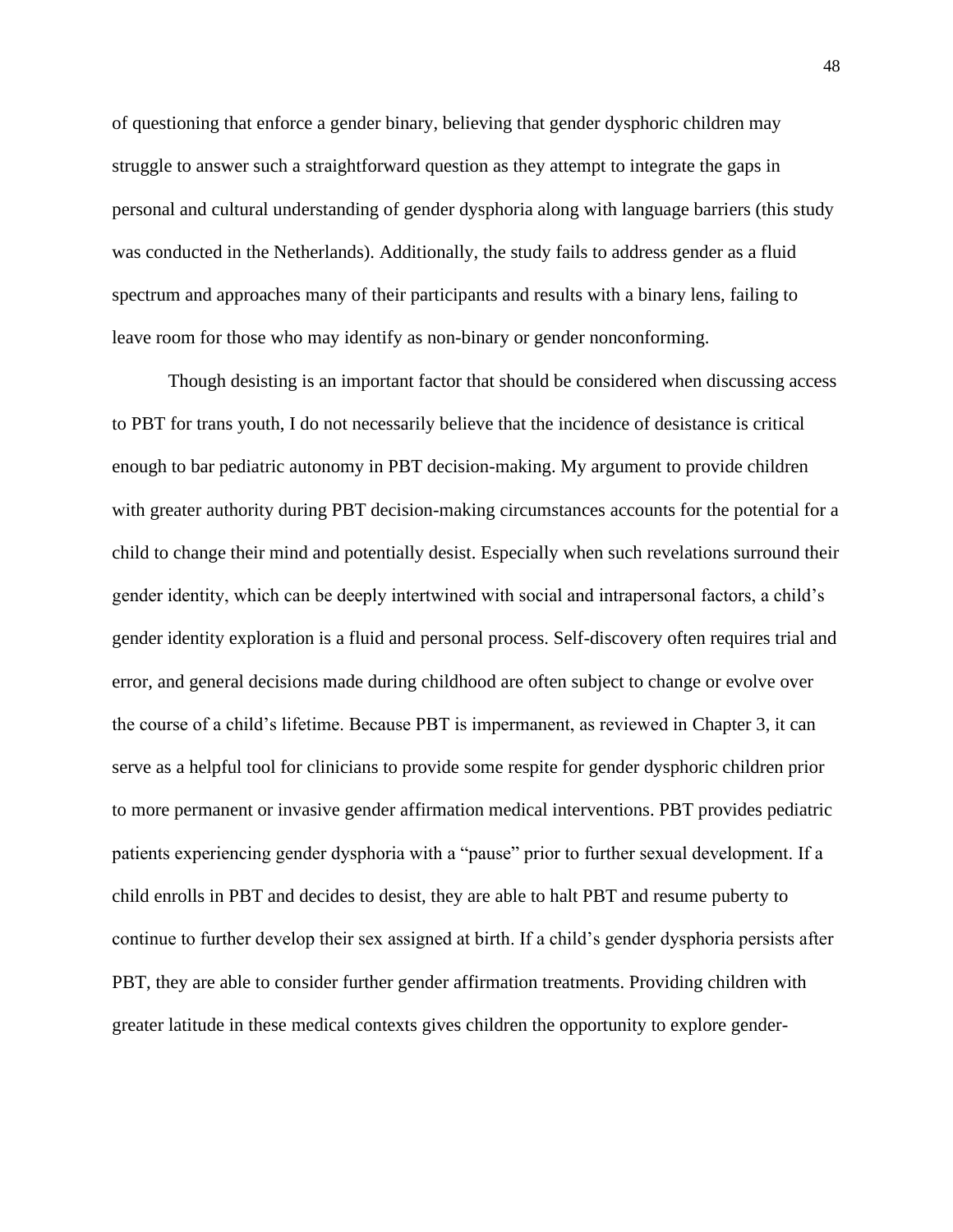of questioning that enforce a gender binary, believing that gender dysphoric children may struggle to answer such a straightforward question as they attempt to integrate the gaps in personal and cultural understanding of gender dysphoria along with language barriers (this study was conducted in the Netherlands). Additionally, the study fails to address gender as a fluid spectrum and approaches many of their participants and results with a binary lens, failing to leave room for those who may identify as non-binary or gender nonconforming.

Though desisting is an important factor that should be considered when discussing access to PBT for trans youth, I do not necessarily believe that the incidence of desistance is critical enough to bar pediatric autonomy in PBT decision-making. My argument to provide children with greater authority during PBT decision-making circumstances accounts for the potential for a child to change their mind and potentially desist. Especially when such revelations surround their gender identity, which can be deeply intertwined with social and intrapersonal factors, a child's gender identity exploration is a fluid and personal process. Self-discovery often requires trial and error, and general decisions made during childhood are often subject to change or evolve over the course of a child's lifetime. Because PBT is impermanent, as reviewed in Chapter 3, it can serve as a helpful tool for clinicians to provide some respite for gender dysphoric children prior to more permanent or invasive gender affirmation medical interventions. PBT provides pediatric patients experiencing gender dysphoria with a "pause" prior to further sexual development. If a child enrolls in PBT and decides to desist, they are able to halt PBT and resume puberty to continue to further develop their sex assigned at birth. If a child's gender dysphoria persists after PBT, they are able to consider further gender affirmation treatments. Providing children with greater latitude in these medical contexts gives children the opportunity to explore gender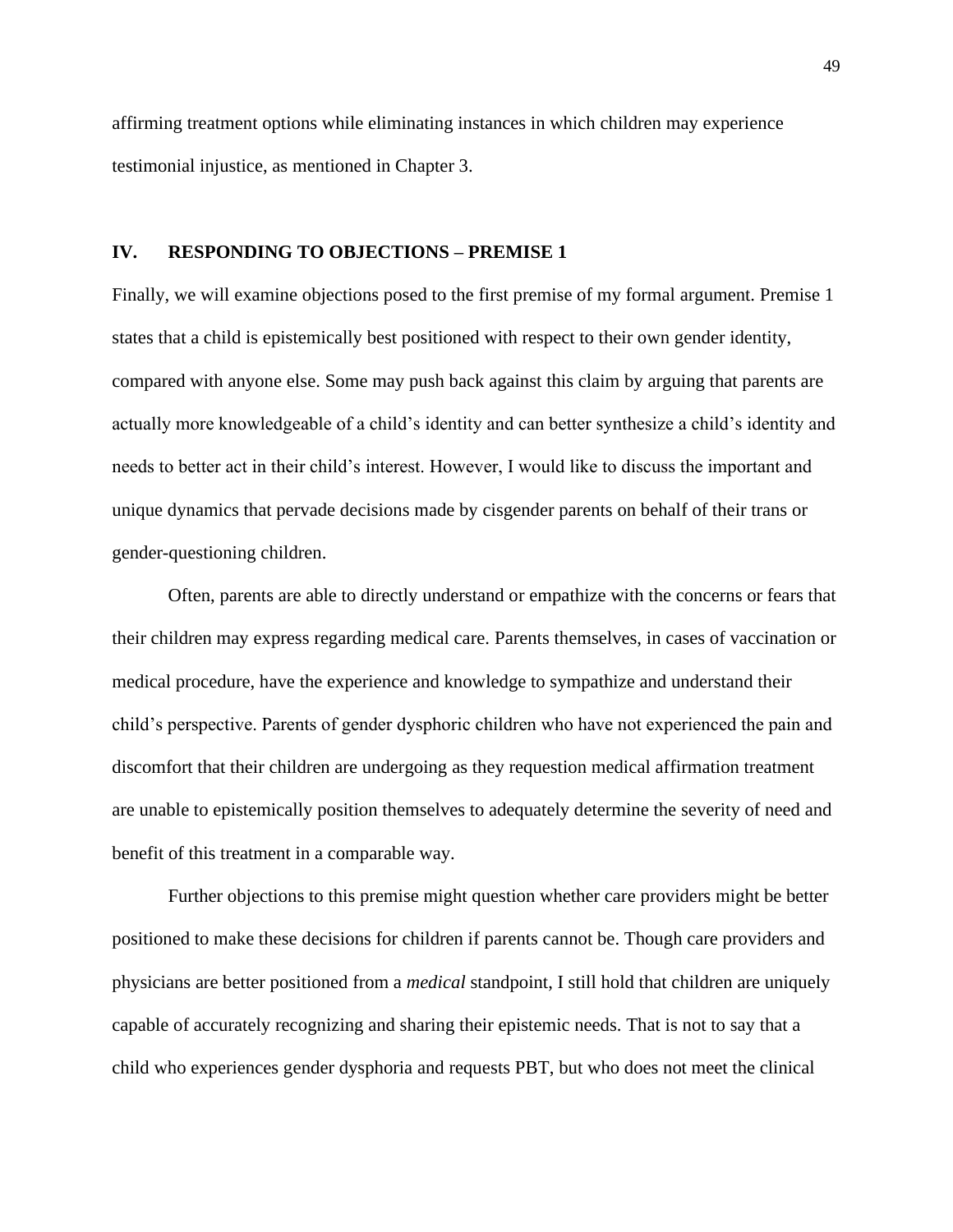affirming treatment options while eliminating instances in which children may experience testimonial injustice, as mentioned in Chapter 3.

#### **IV. RESPONDING TO OBJECTIONS – PREMISE 1**

Finally, we will examine objections posed to the first premise of my formal argument. Premise 1 states that a child is epistemically best positioned with respect to their own gender identity, compared with anyone else. Some may push back against this claim by arguing that parents are actually more knowledgeable of a child's identity and can better synthesize a child's identity and needs to better act in their child's interest. However, I would like to discuss the important and unique dynamics that pervade decisions made by cisgender parents on behalf of their trans or gender-questioning children.

Often, parents are able to directly understand or empathize with the concerns or fears that their children may express regarding medical care. Parents themselves, in cases of vaccination or medical procedure, have the experience and knowledge to sympathize and understand their child's perspective. Parents of gender dysphoric children who have not experienced the pain and discomfort that their children are undergoing as they requestion medical affirmation treatment are unable to epistemically position themselves to adequately determine the severity of need and benefit of this treatment in a comparable way.

Further objections to this premise might question whether care providers might be better positioned to make these decisions for children if parents cannot be. Though care providers and physicians are better positioned from a *medical* standpoint, I still hold that children are uniquely capable of accurately recognizing and sharing their epistemic needs. That is not to say that a child who experiences gender dysphoria and requests PBT, but who does not meet the clinical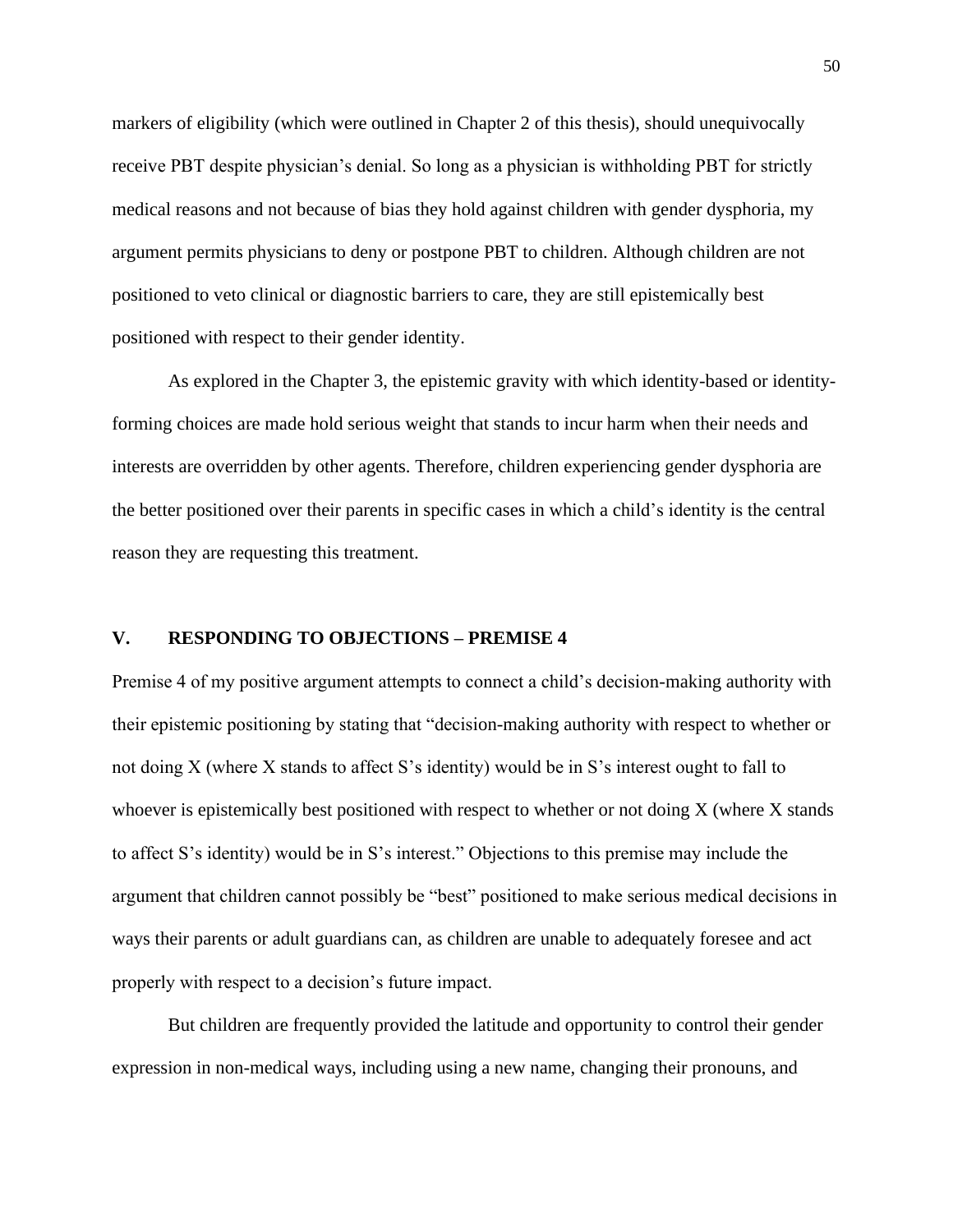markers of eligibility (which were outlined in Chapter 2 of this thesis), should unequivocally receive PBT despite physician's denial. So long as a physician is withholding PBT for strictly medical reasons and not because of bias they hold against children with gender dysphoria, my argument permits physicians to deny or postpone PBT to children. Although children are not positioned to veto clinical or diagnostic barriers to care, they are still epistemically best positioned with respect to their gender identity.

As explored in the Chapter 3, the epistemic gravity with which identity-based or identityforming choices are made hold serious weight that stands to incur harm when their needs and interests are overridden by other agents. Therefore, children experiencing gender dysphoria are the better positioned over their parents in specific cases in which a child's identity is the central reason they are requesting this treatment.

### **V. RESPONDING TO OBJECTIONS – PREMISE 4**

Premise 4 of my positive argument attempts to connect a child's decision-making authority with their epistemic positioning by stating that "decision-making authority with respect to whether or not doing X (where X stands to affect S's identity) would be in S's interest ought to fall to whoever is epistemically best positioned with respect to whether or not doing X (where X stands to affect S's identity) would be in S's interest." Objections to this premise may include the argument that children cannot possibly be "best" positioned to make serious medical decisions in ways their parents or adult guardians can, as children are unable to adequately foresee and act properly with respect to a decision's future impact.

But children are frequently provided the latitude and opportunity to control their gender expression in non-medical ways, including using a new name, changing their pronouns, and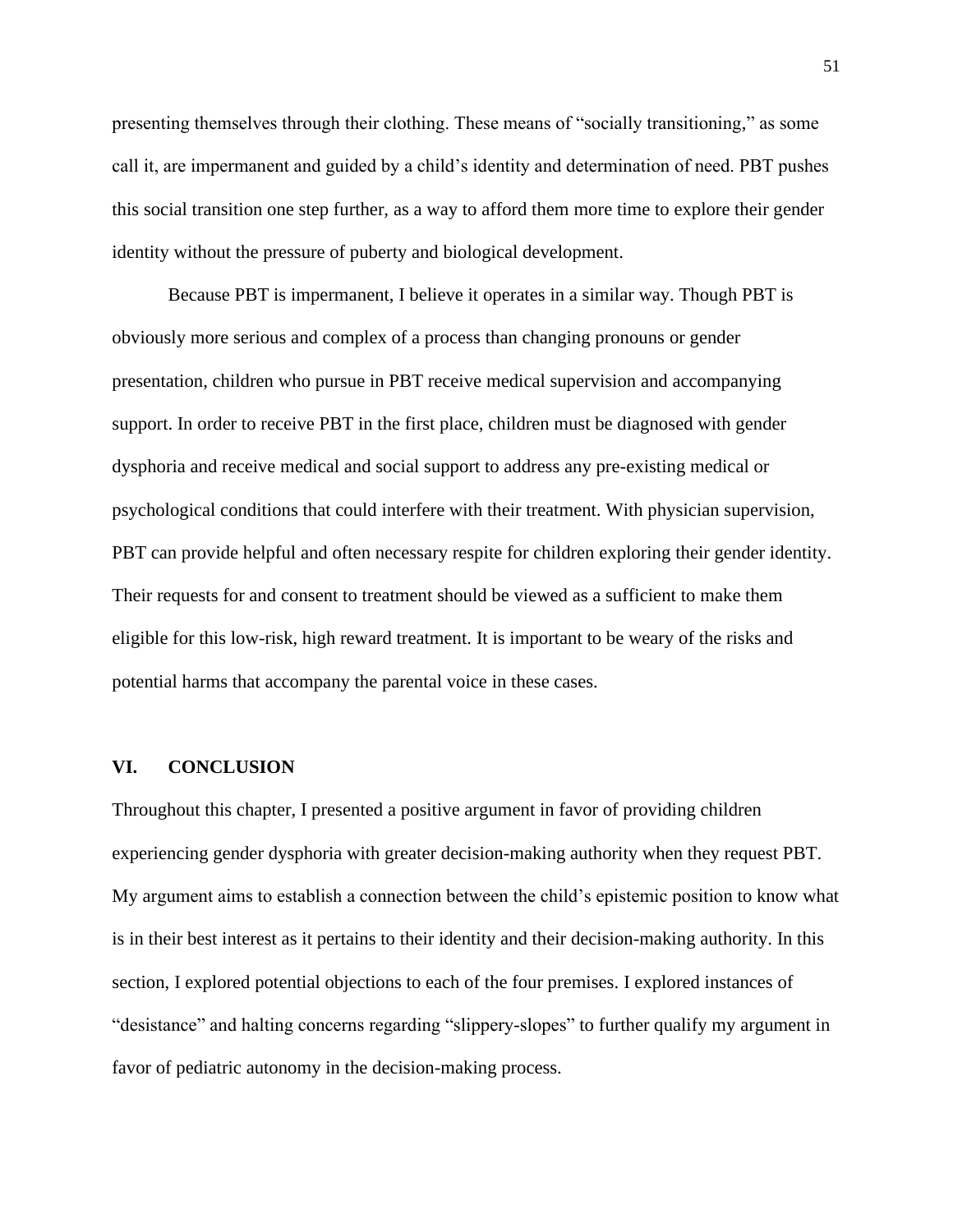presenting themselves through their clothing. These means of "socially transitioning," as some call it, are impermanent and guided by a child's identity and determination of need. PBT pushes this social transition one step further, as a way to afford them more time to explore their gender identity without the pressure of puberty and biological development.

Because PBT is impermanent, I believe it operates in a similar way. Though PBT is obviously more serious and complex of a process than changing pronouns or gender presentation, children who pursue in PBT receive medical supervision and accompanying support. In order to receive PBT in the first place, children must be diagnosed with gender dysphoria and receive medical and social support to address any pre-existing medical or psychological conditions that could interfere with their treatment. With physician supervision, PBT can provide helpful and often necessary respite for children exploring their gender identity. Their requests for and consent to treatment should be viewed as a sufficient to make them eligible for this low-risk, high reward treatment. It is important to be weary of the risks and potential harms that accompany the parental voice in these cases.

#### **VI. CONCLUSION**

Throughout this chapter, I presented a positive argument in favor of providing children experiencing gender dysphoria with greater decision-making authority when they request PBT. My argument aims to establish a connection between the child's epistemic position to know what is in their best interest as it pertains to their identity and their decision-making authority. In this section, I explored potential objections to each of the four premises. I explored instances of "desistance" and halting concerns regarding "slippery-slopes" to further qualify my argument in favor of pediatric autonomy in the decision-making process.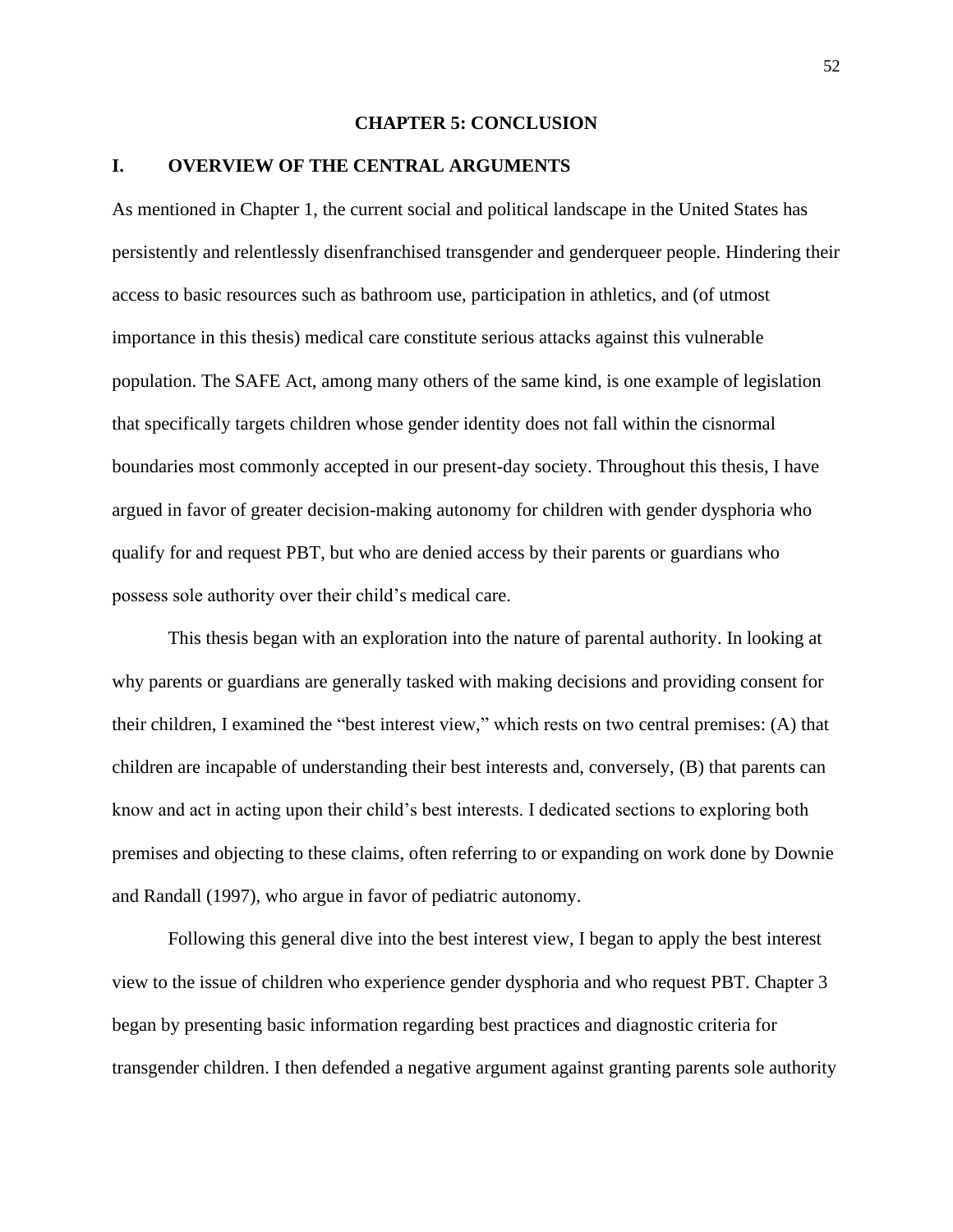#### **CHAPTER 5: CONCLUSION**

#### **I. OVERVIEW OF THE CENTRAL ARGUMENTS**

As mentioned in Chapter 1, the current social and political landscape in the United States has persistently and relentlessly disenfranchised transgender and genderqueer people. Hindering their access to basic resources such as bathroom use, participation in athletics, and (of utmost importance in this thesis) medical care constitute serious attacks against this vulnerable population. The SAFE Act, among many others of the same kind, is one example of legislation that specifically targets children whose gender identity does not fall within the cisnormal boundaries most commonly accepted in our present-day society. Throughout this thesis, I have argued in favor of greater decision-making autonomy for children with gender dysphoria who qualify for and request PBT, but who are denied access by their parents or guardians who possess sole authority over their child's medical care.

This thesis began with an exploration into the nature of parental authority. In looking at why parents or guardians are generally tasked with making decisions and providing consent for their children, I examined the "best interest view," which rests on two central premises: (A) that children are incapable of understanding their best interests and, conversely, (B) that parents can know and act in acting upon their child's best interests. I dedicated sections to exploring both premises and objecting to these claims, often referring to or expanding on work done by Downie and Randall (1997), who argue in favor of pediatric autonomy.

Following this general dive into the best interest view, I began to apply the best interest view to the issue of children who experience gender dysphoria and who request PBT. Chapter 3 began by presenting basic information regarding best practices and diagnostic criteria for transgender children. I then defended a negative argument against granting parents sole authority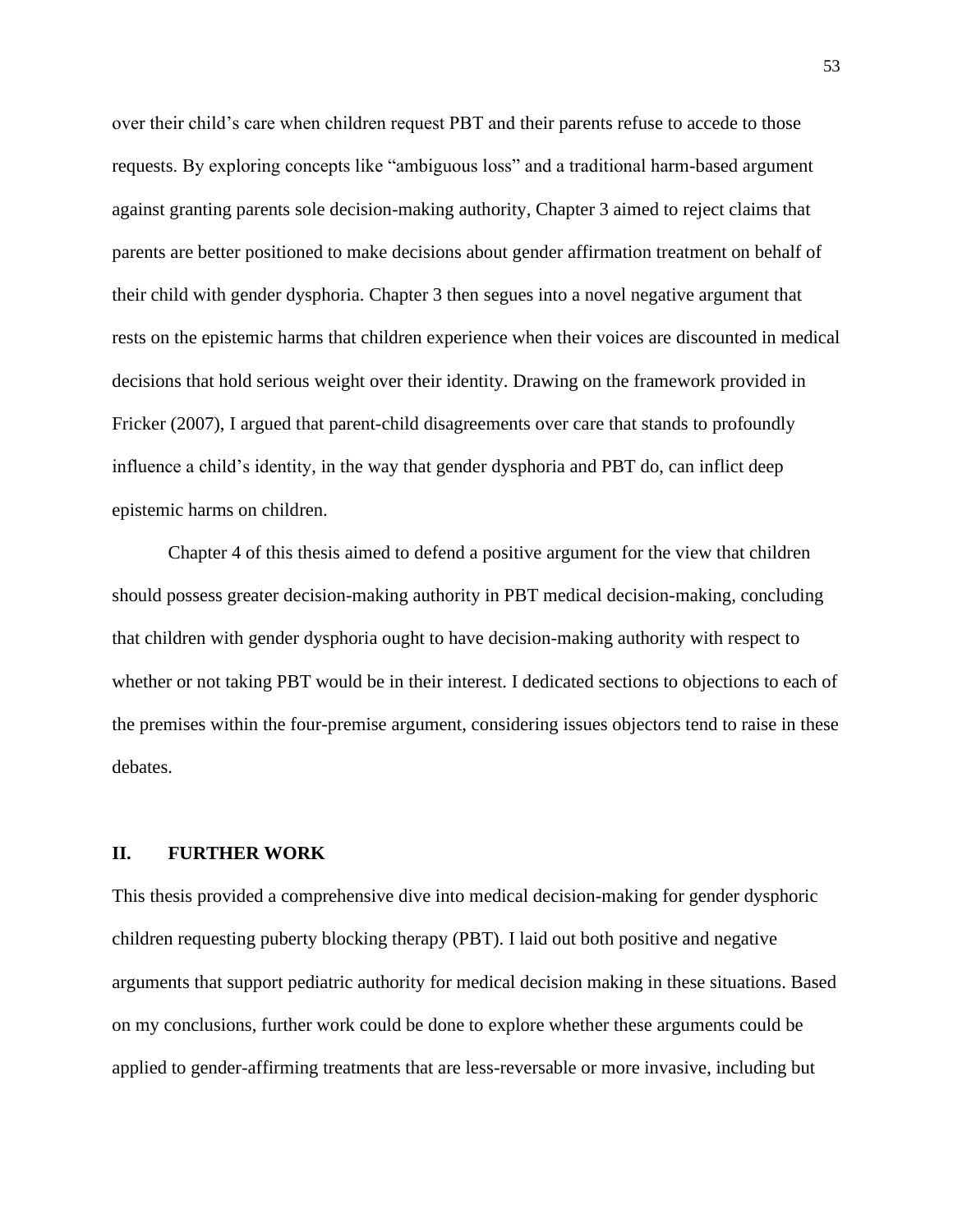over their child's care when children request PBT and their parents refuse to accede to those requests. By exploring concepts like "ambiguous loss" and a traditional harm-based argument against granting parents sole decision-making authority, Chapter 3 aimed to reject claims that parents are better positioned to make decisions about gender affirmation treatment on behalf of their child with gender dysphoria. Chapter 3 then segues into a novel negative argument that rests on the epistemic harms that children experience when their voices are discounted in medical decisions that hold serious weight over their identity. Drawing on the framework provided in Fricker (2007), I argued that parent-child disagreements over care that stands to profoundly influence a child's identity, in the way that gender dysphoria and PBT do, can inflict deep epistemic harms on children.

Chapter 4 of this thesis aimed to defend a positive argument for the view that children should possess greater decision-making authority in PBT medical decision-making, concluding that children with gender dysphoria ought to have decision-making authority with respect to whether or not taking PBT would be in their interest. I dedicated sections to objections to each of the premises within the four-premise argument, considering issues objectors tend to raise in these debates.

#### **II. FURTHER WORK**

This thesis provided a comprehensive dive into medical decision-making for gender dysphoric children requesting puberty blocking therapy (PBT). I laid out both positive and negative arguments that support pediatric authority for medical decision making in these situations. Based on my conclusions, further work could be done to explore whether these arguments could be applied to gender-affirming treatments that are less-reversable or more invasive, including but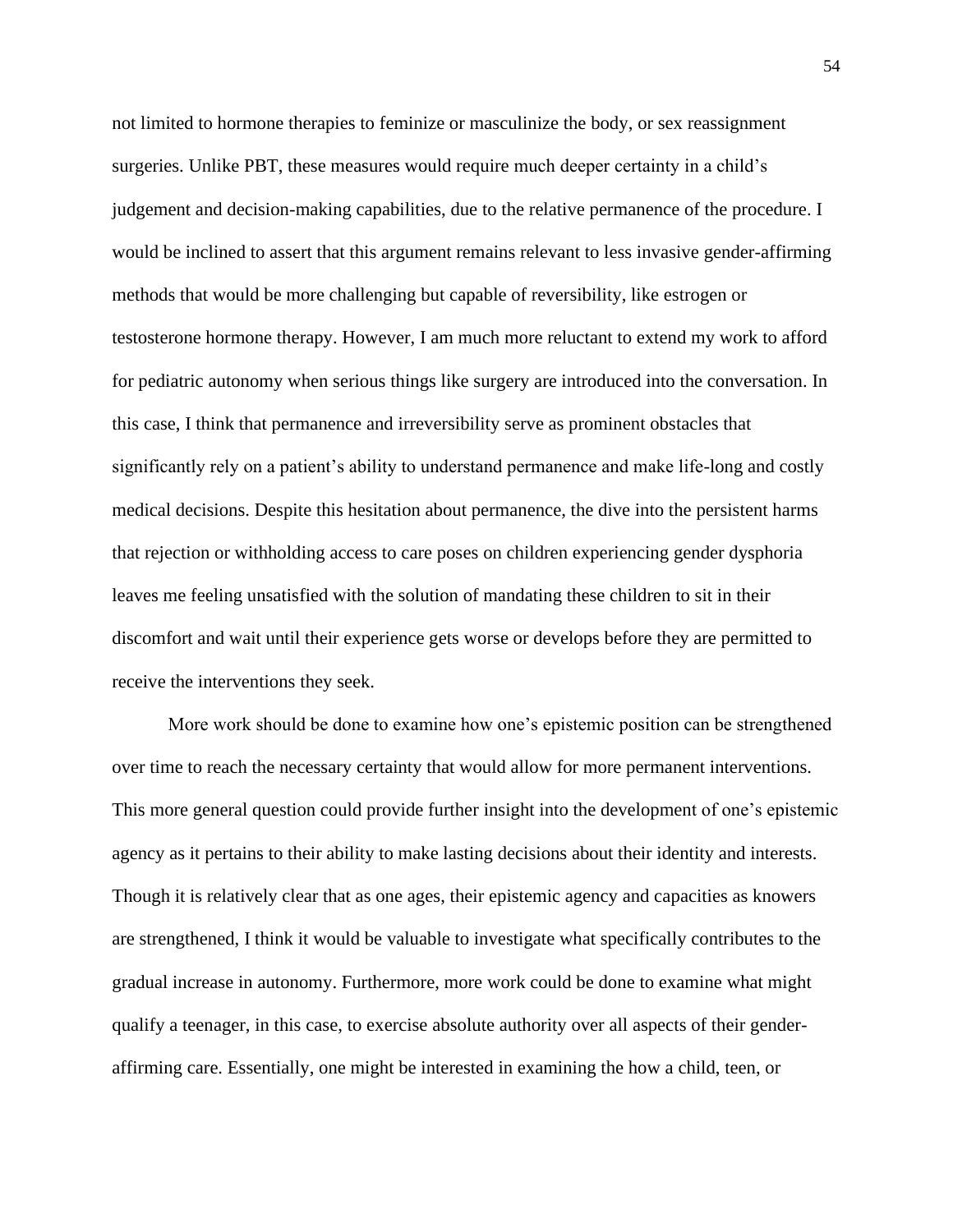not limited to hormone therapies to feminize or masculinize the body, or sex reassignment surgeries. Unlike PBT, these measures would require much deeper certainty in a child's judgement and decision-making capabilities, due to the relative permanence of the procedure. I would be inclined to assert that this argument remains relevant to less invasive gender-affirming methods that would be more challenging but capable of reversibility, like estrogen or testosterone hormone therapy. However, I am much more reluctant to extend my work to afford for pediatric autonomy when serious things like surgery are introduced into the conversation. In this case, I think that permanence and irreversibility serve as prominent obstacles that significantly rely on a patient's ability to understand permanence and make life-long and costly medical decisions. Despite this hesitation about permanence, the dive into the persistent harms that rejection or withholding access to care poses on children experiencing gender dysphoria leaves me feeling unsatisfied with the solution of mandating these children to sit in their discomfort and wait until their experience gets worse or develops before they are permitted to receive the interventions they seek.

More work should be done to examine how one's epistemic position can be strengthened over time to reach the necessary certainty that would allow for more permanent interventions. This more general question could provide further insight into the development of one's epistemic agency as it pertains to their ability to make lasting decisions about their identity and interests. Though it is relatively clear that as one ages, their epistemic agency and capacities as knowers are strengthened, I think it would be valuable to investigate what specifically contributes to the gradual increase in autonomy. Furthermore, more work could be done to examine what might qualify a teenager, in this case, to exercise absolute authority over all aspects of their genderaffirming care. Essentially, one might be interested in examining the how a child, teen, or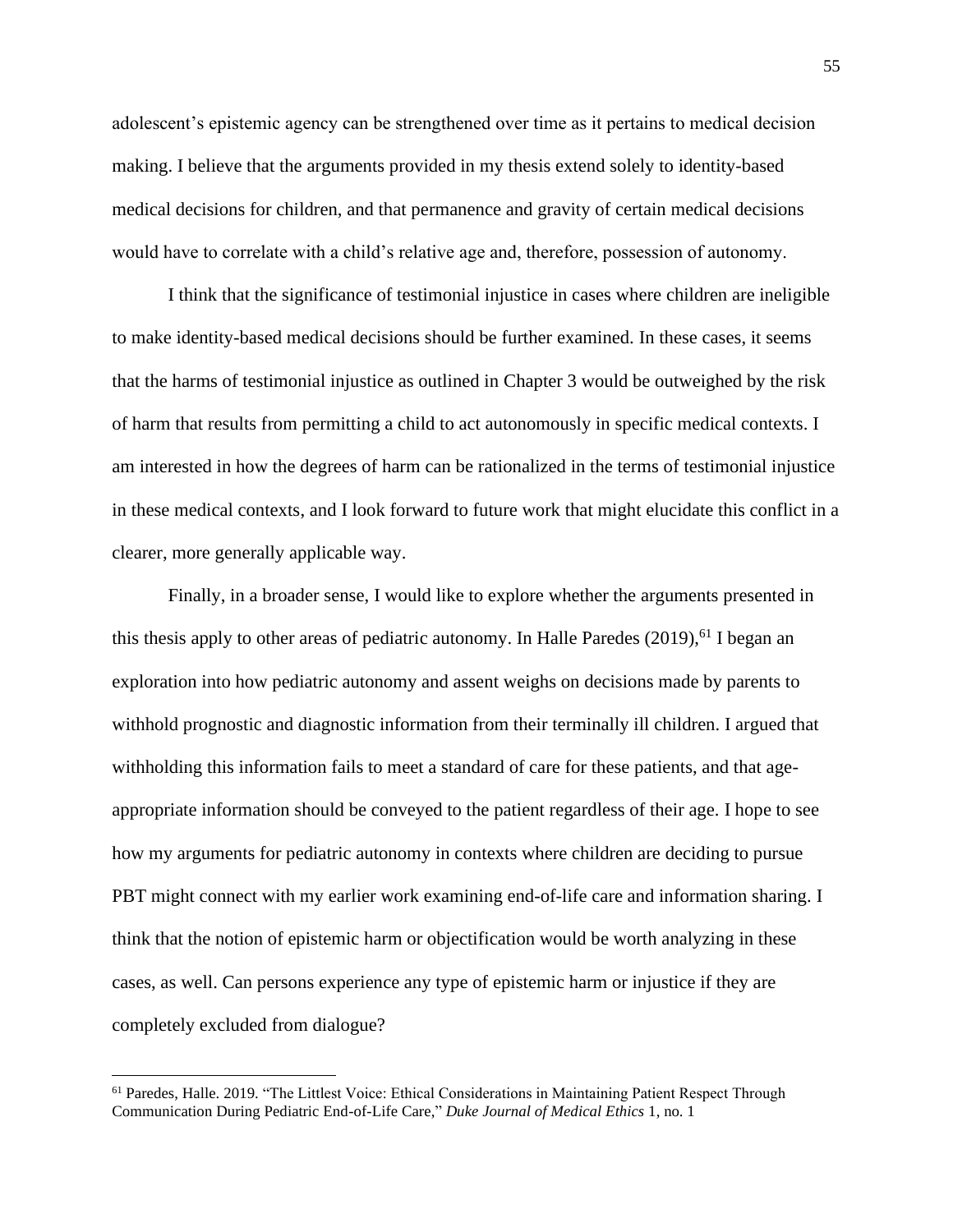adolescent's epistemic agency can be strengthened over time as it pertains to medical decision making. I believe that the arguments provided in my thesis extend solely to identity-based medical decisions for children, and that permanence and gravity of certain medical decisions would have to correlate with a child's relative age and, therefore, possession of autonomy.

I think that the significance of testimonial injustice in cases where children are ineligible to make identity-based medical decisions should be further examined. In these cases, it seems that the harms of testimonial injustice as outlined in Chapter 3 would be outweighed by the risk of harm that results from permitting a child to act autonomously in specific medical contexts. I am interested in how the degrees of harm can be rationalized in the terms of testimonial injustice in these medical contexts, and I look forward to future work that might elucidate this conflict in a clearer, more generally applicable way.

Finally, in a broader sense, I would like to explore whether the arguments presented in this thesis apply to other areas of pediatric autonomy. In Halle Paredes (2019),<sup>61</sup> I began an exploration into how pediatric autonomy and assent weighs on decisions made by parents to withhold prognostic and diagnostic information from their terminally ill children. I argued that withholding this information fails to meet a standard of care for these patients, and that ageappropriate information should be conveyed to the patient regardless of their age. I hope to see how my arguments for pediatric autonomy in contexts where children are deciding to pursue PBT might connect with my earlier work examining end-of-life care and information sharing. I think that the notion of epistemic harm or objectification would be worth analyzing in these cases, as well. Can persons experience any type of epistemic harm or injustice if they are completely excluded from dialogue?

<sup>&</sup>lt;sup>61</sup> Paredes, Halle. 2019. "The Littlest Voice: Ethical Considerations in Maintaining Patient Respect Through Communication During Pediatric End-of-Life Care," *Duke Journal of Medical Ethics* 1, no. 1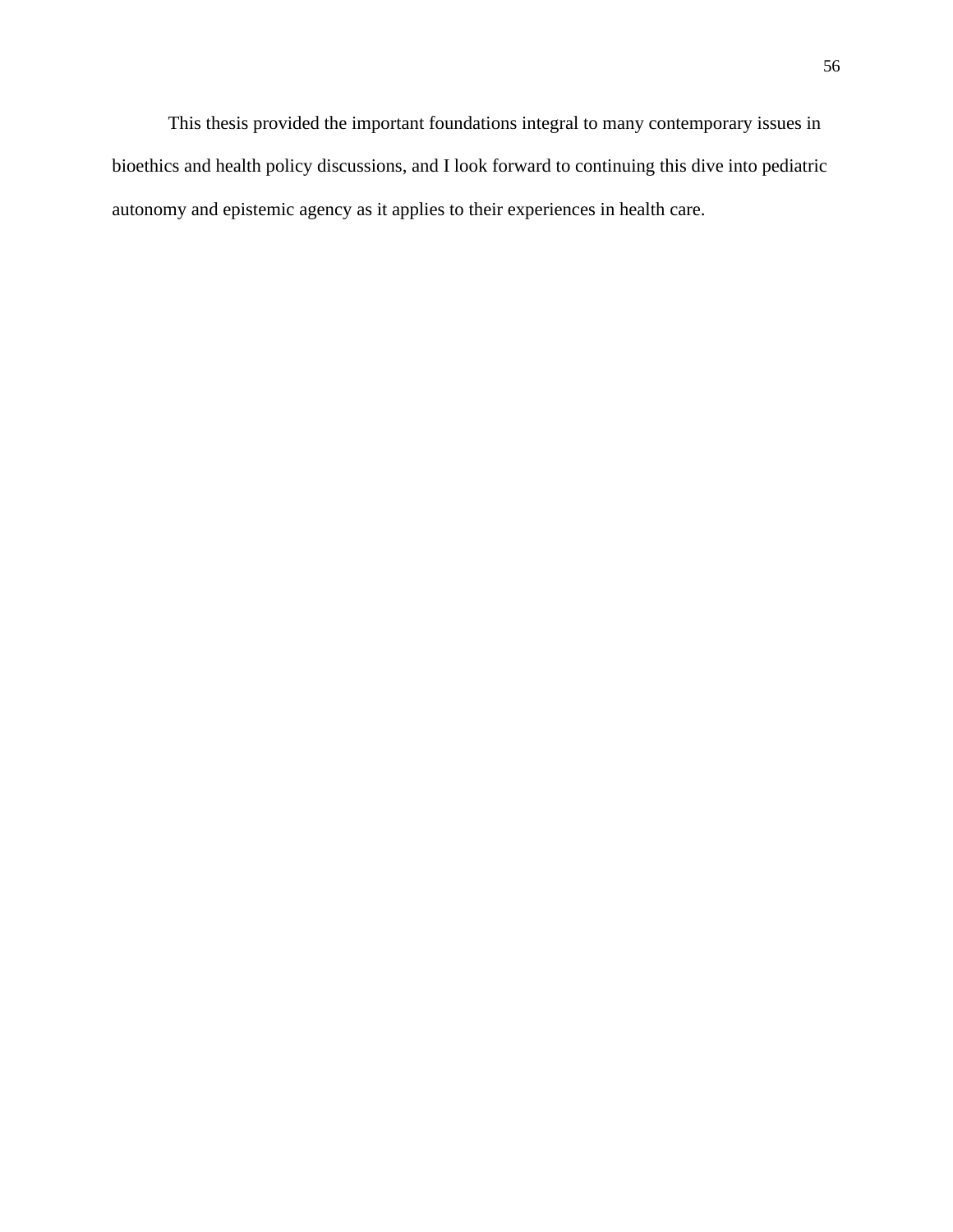This thesis provided the important foundations integral to many contemporary issues in bioethics and health policy discussions, and I look forward to continuing this dive into pediatric autonomy and epistemic agency as it applies to their experiences in health care.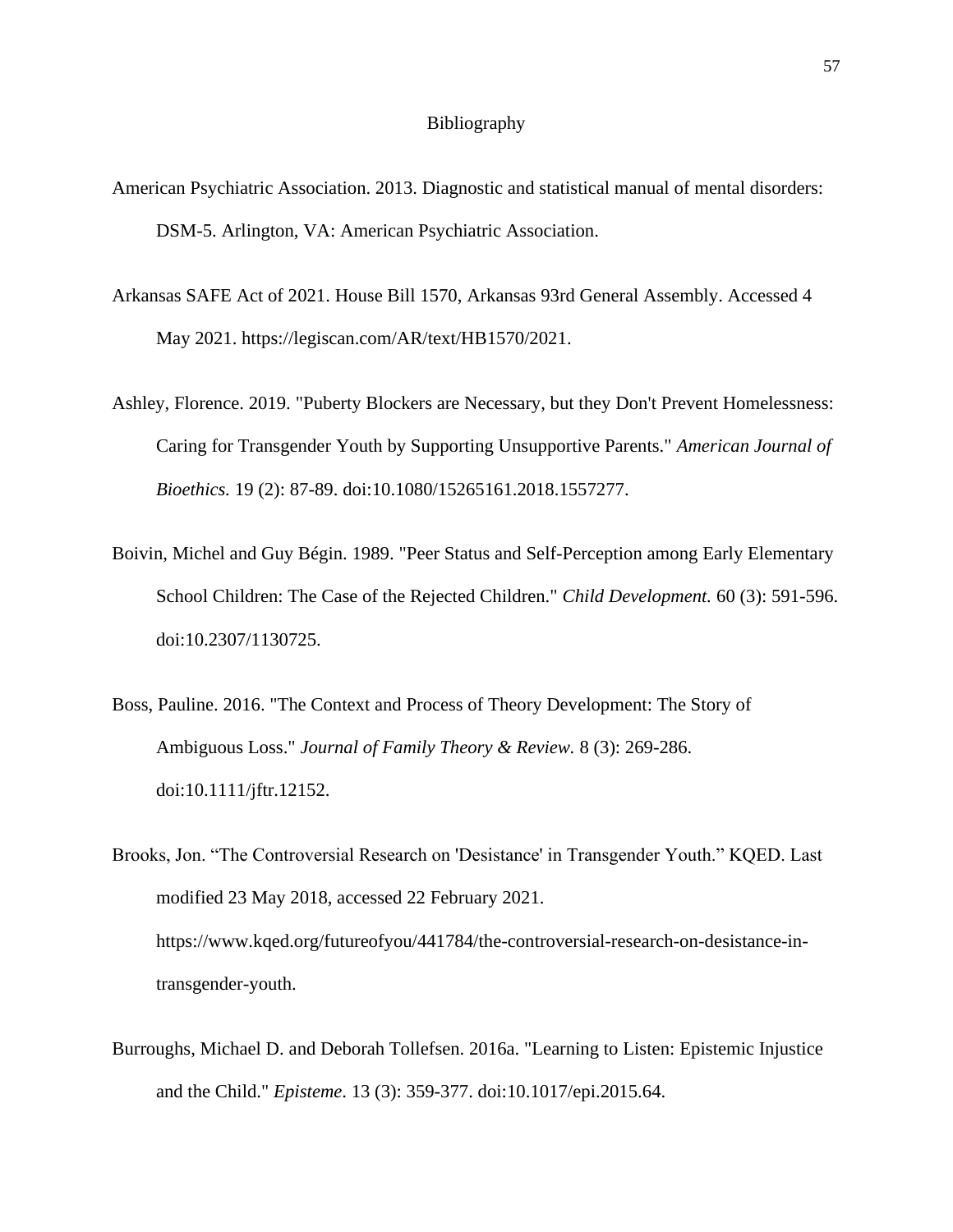#### Bibliography

- American Psychiatric Association. 2013. Diagnostic and statistical manual of mental disorders: DSM-5. Arlington, VA: American Psychiatric Association.
- Arkansas SAFE Act of 2021. House Bill 1570, Arkansas 93rd General Assembly. Accessed 4 May 2021. https://legiscan.com/AR/text/HB1570/2021.
- Ashley, Florence. 2019. "Puberty Blockers are Necessary, but they Don't Prevent Homelessness: Caring for Transgender Youth by Supporting Unsupportive Parents." *American Journal of Bioethics.* 19 (2): 87-89. doi:10.1080/15265161.2018.1557277.
- Boivin, Michel and Guy Bégin. 1989. "Peer Status and Self-Perception among Early Elementary School Children: The Case of the Rejected Children." *Child Development.* 60 (3): 591-596. doi:10.2307/1130725.
- Boss, Pauline. 2016. "The Context and Process of Theory Development: The Story of Ambiguous Loss." *Journal of Family Theory & Review.* 8 (3): 269-286. doi:10.1111/jftr.12152.
- Brooks, Jon. "The Controversial Research on 'Desistance' in Transgender Youth." KQED. Last modified 23 May 2018, accessed 22 February 2021. https://www.kqed.org/futureofyou/441784/the-controversial-research-on-desistance-intransgender-youth.
- Burroughs, Michael D. and Deborah Tollefsen. 2016a. "Learning to Listen: Epistemic Injustice and the Child." *Episteme*. 13 (3): 359-377. doi:10.1017/epi.2015.64.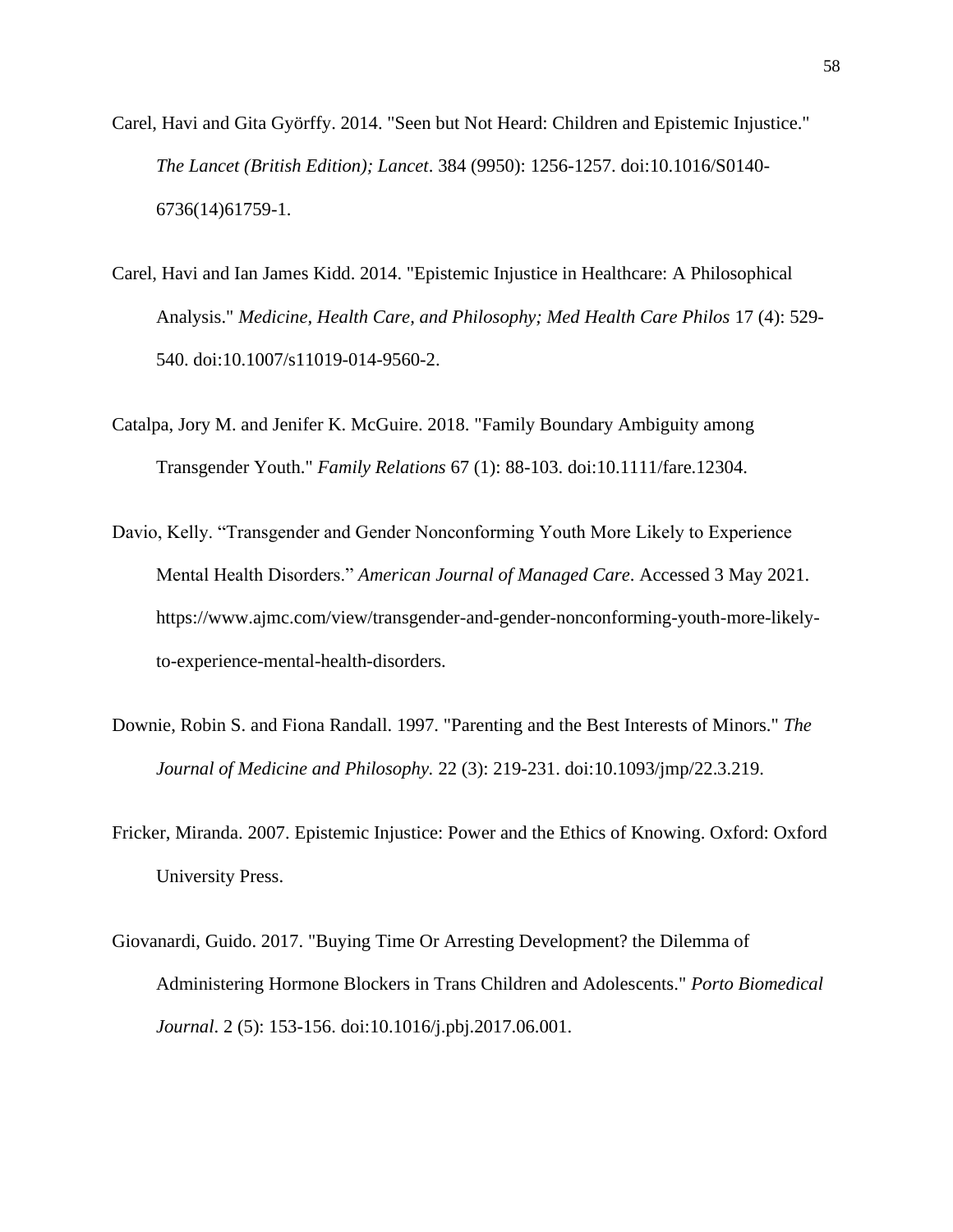- Carel, Havi and Gita Györffy. 2014. "Seen but Not Heard: Children and Epistemic Injustice." *The Lancet (British Edition); Lancet*. 384 (9950): 1256-1257. doi:10.1016/S0140- 6736(14)61759-1.
- Carel, Havi and Ian James Kidd. 2014. "Epistemic Injustice in Healthcare: A Philosophical Analysis." *Medicine, Health Care, and Philosophy; Med Health Care Philos* 17 (4): 529- 540. doi:10.1007/s11019-014-9560-2.
- Catalpa, Jory M. and Jenifer K. McGuire. 2018. "Family Boundary Ambiguity among Transgender Youth." *Family Relations* 67 (1): 88-103. doi:10.1111/fare.12304.
- Davio, Kelly. "Transgender and Gender Nonconforming Youth More Likely to Experience Mental Health Disorders." *American Journal of Managed Care*. Accessed 3 May 2021. https://www.ajmc.com/view/transgender-and-gender-nonconforming-youth-more-likelyto-experience-mental-health-disorders.
- Downie, Robin S. and Fiona Randall. 1997. "Parenting and the Best Interests of Minors." *The Journal of Medicine and Philosophy.* 22 (3): 219-231. doi:10.1093/jmp/22.3.219.
- Fricker, Miranda. 2007. Epistemic Injustice: Power and the Ethics of Knowing. Oxford: Oxford University Press.
- Giovanardi, Guido. 2017. "Buying Time Or Arresting Development? the Dilemma of Administering Hormone Blockers in Trans Children and Adolescents." *Porto Biomedical Journal*. 2 (5): 153-156. doi:10.1016/j.pbj.2017.06.001.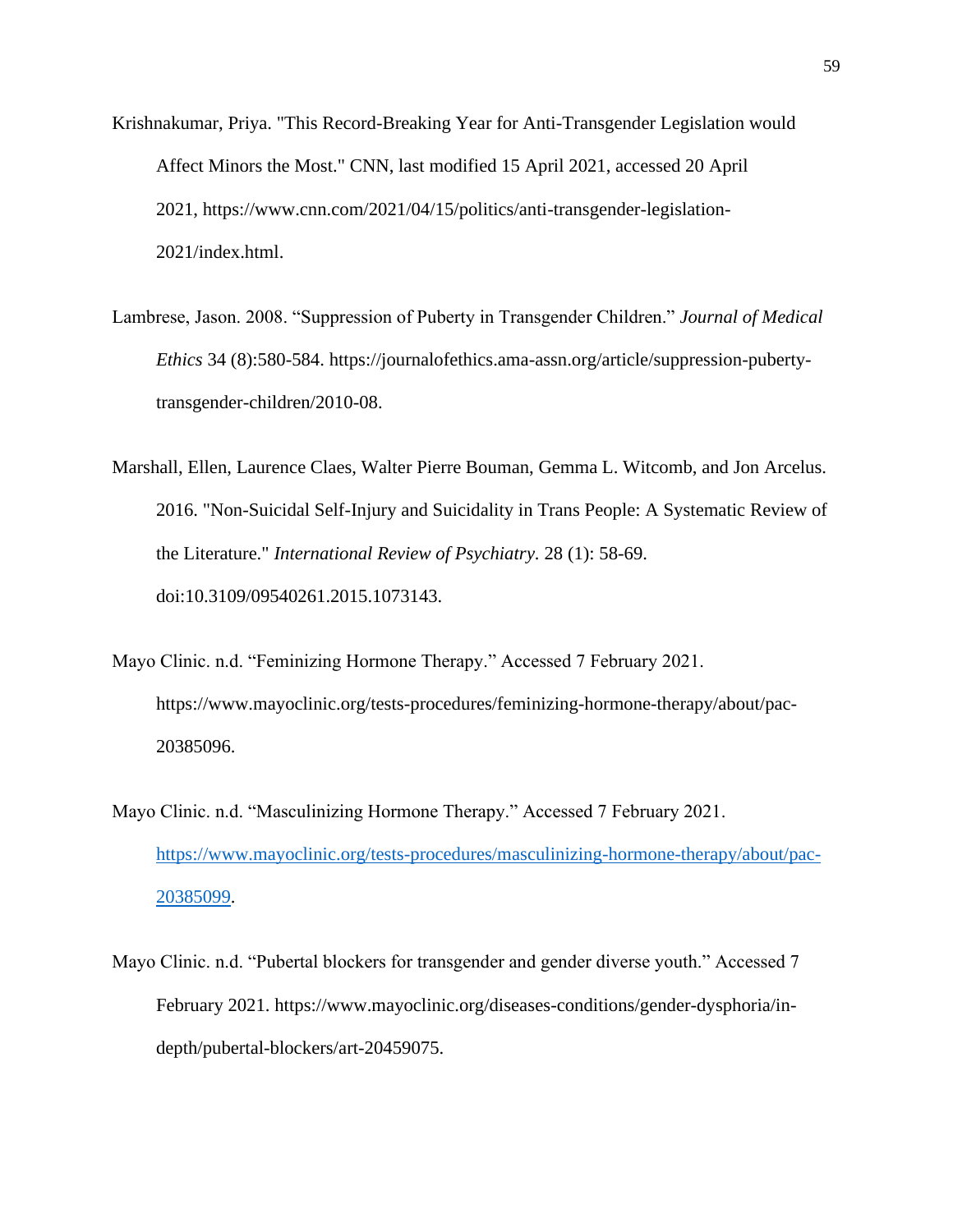- Krishnakumar, Priya. "This Record-Breaking Year for Anti-Transgender Legislation would Affect Minors the Most." CNN, last modified 15 April 2021, accessed 20 April 2021, https://www.cnn.com/2021/04/15/politics/anti-transgender-legislation-2021/index.html.
- Lambrese, Jason. 2008. "Suppression of Puberty in Transgender Children." *Journal of Medical Ethics* 34 (8):580-584. https://journalofethics.ama-assn.org/article/suppression-pubertytransgender-children/2010-08.
- Marshall, Ellen, Laurence Claes, Walter Pierre Bouman, Gemma L. Witcomb, and Jon Arcelus. 2016. "Non-Suicidal Self-Injury and Suicidality in Trans People: A Systematic Review of the Literature." *International Review of Psychiatry.* 28 (1): 58-69. doi:10.3109/09540261.2015.1073143.
- Mayo Clinic. n.d. "Feminizing Hormone Therapy." Accessed 7 February 2021. https://www.mayoclinic.org/tests-procedures/feminizing-hormone-therapy/about/pac-20385096.
- Mayo Clinic. n.d. "Masculinizing Hormone Therapy." Accessed 7 February 2021. [https://www.mayoclinic.org/tests-procedures/masculinizing-hormone-therapy/about/pac-](https://www.mayoclinic.org/tests-procedures/masculinizing-hormone-therapy/about/pac-20385099)[20385099.](https://www.mayoclinic.org/tests-procedures/masculinizing-hormone-therapy/about/pac-20385099)
- Mayo Clinic. n.d. "Pubertal blockers for transgender and gender diverse youth." Accessed 7 February 2021. https://www.mayoclinic.org/diseases-conditions/gender-dysphoria/indepth/pubertal-blockers/art-20459075.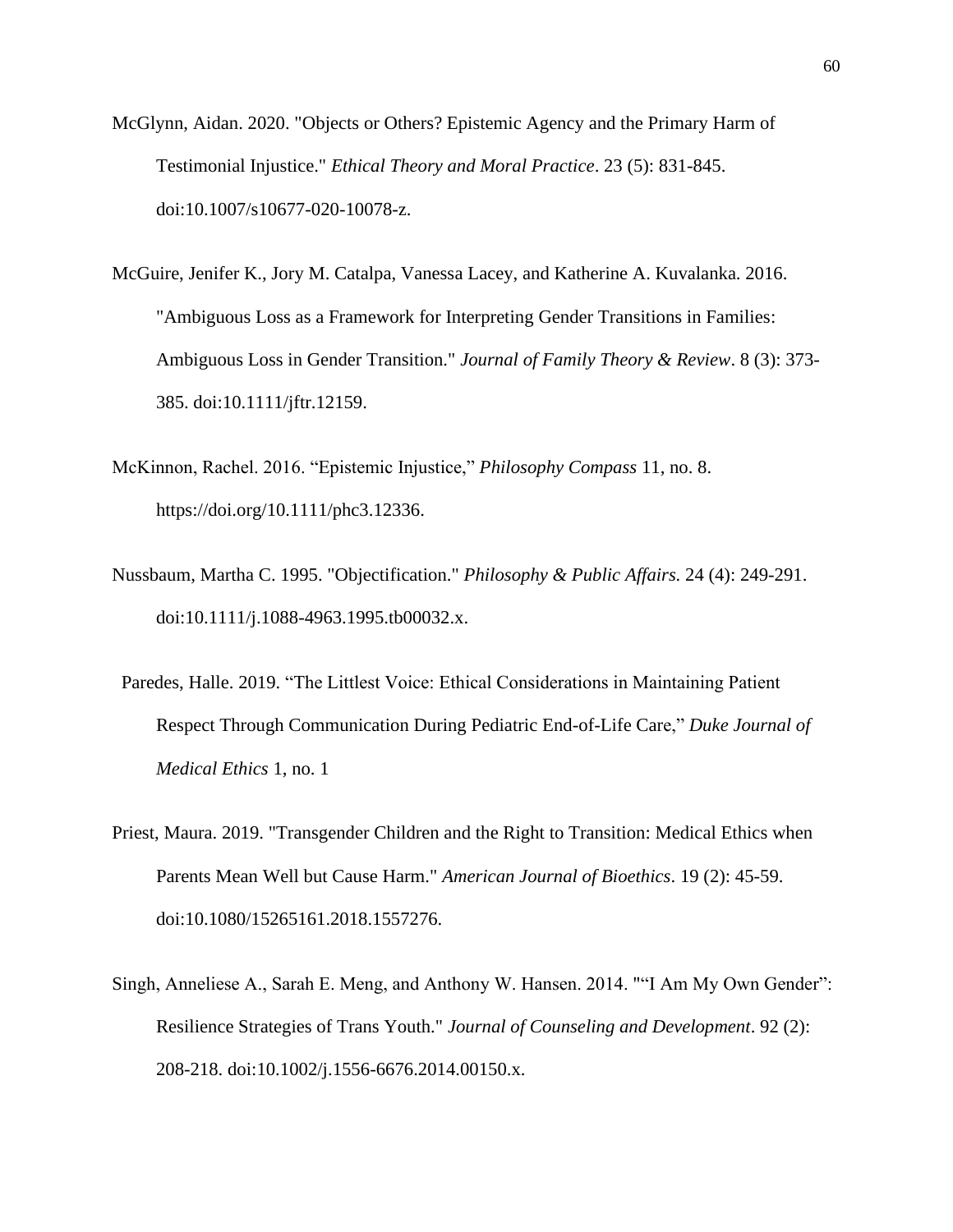- McGlynn, Aidan. 2020. "Objects or Others? Epistemic Agency and the Primary Harm of Testimonial Injustice." *Ethical Theory and Moral Practice*. 23 (5): 831-845. doi:10.1007/s10677-020-10078-z.
- McGuire, Jenifer K., Jory M. Catalpa, Vanessa Lacey, and Katherine A. Kuvalanka. 2016. "Ambiguous Loss as a Framework for Interpreting Gender Transitions in Families: Ambiguous Loss in Gender Transition." *Journal of Family Theory & Review*. 8 (3): 373- 385. doi:10.1111/jftr.12159.
- McKinnon, Rachel. 2016. "Epistemic Injustice," *Philosophy Compass* 11, no. 8. https://doi.org/10.1111/phc3.12336.
- Nussbaum, Martha C. 1995. "Objectification." *Philosophy & Public Affairs.* 24 (4): 249-291. doi:10.1111/j.1088-4963.1995.tb00032.x.
- Paredes, Halle. 2019. "The Littlest Voice: Ethical Considerations in Maintaining Patient Respect Through Communication During Pediatric End-of-Life Care," *Duke Journal of Medical Ethics* 1, no. 1
- Priest, Maura. 2019. "Transgender Children and the Right to Transition: Medical Ethics when Parents Mean Well but Cause Harm." *American Journal of Bioethics*. 19 (2): 45-59. doi:10.1080/15265161.2018.1557276.
- Singh, Anneliese A., Sarah E. Meng, and Anthony W. Hansen. 2014. ""I Am My Own Gender": Resilience Strategies of Trans Youth." *Journal of Counseling and Development*. 92 (2): 208-218. doi:10.1002/j.1556-6676.2014.00150.x.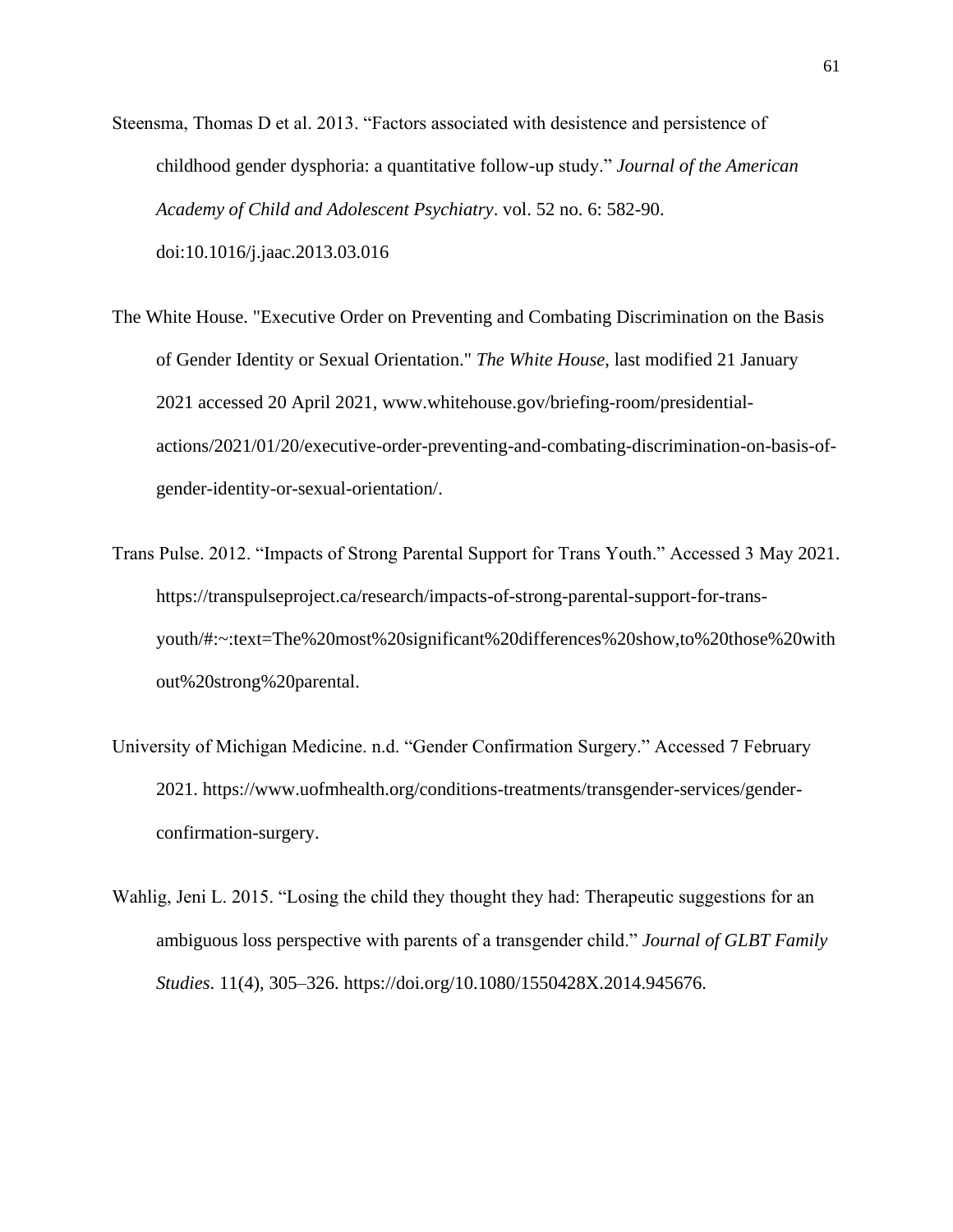- Steensma, Thomas D et al. 2013. "Factors associated with desistence and persistence of childhood gender dysphoria: a quantitative follow-up study." *Journal of the American Academy of Child and Adolescent Psychiatry*. vol. 52 no. 6: 582-90. doi:10.1016/j.jaac.2013.03.016
- The White House. "Executive Order on Preventing and Combating Discrimination on the Basis of Gender Identity or Sexual Orientation." *The White House*, last modified 21 January 2021 accessed 20 April 2021, www.whitehouse.gov/briefing-room/presidentialactions/2021/01/20/executive-order-preventing-and-combating-discrimination-on-basis-ofgender-identity-or-sexual-orientation/.
- Trans Pulse. 2012. "Impacts of Strong Parental Support for Trans Youth." Accessed 3 May 2021. https://transpulseproject.ca/research/impacts-of-strong-parental-support-for-transyouth/#:~:text=The%20most%20significant%20differences%20show,to%20those%20with out%20strong%20parental.
- University of Michigan Medicine. n.d. "Gender Confirmation Surgery." Accessed 7 February 2021. https://www.uofmhealth.org/conditions-treatments/transgender-services/genderconfirmation-surgery.
- Wahlig, Jeni L. 2015. "Losing the child they thought they had: Therapeutic suggestions for an ambiguous loss perspective with parents of a transgender child." *Journal of GLBT Family Studies*. 11(4), 305–326. https://doi.org/10.1080/1550428X.2014.945676.